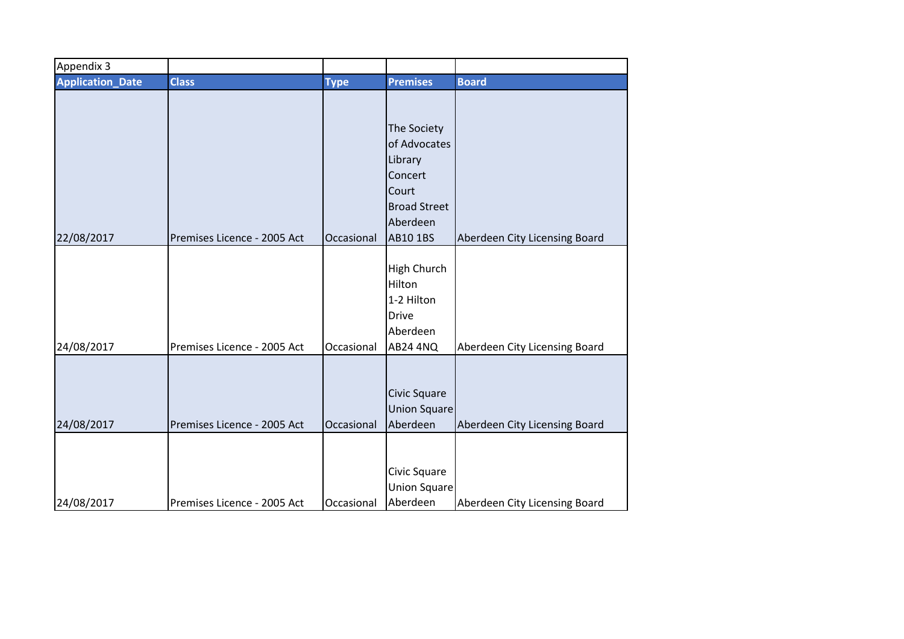| Appendix 3              |                             |             |                                                                                                           |                               |
|-------------------------|-----------------------------|-------------|-----------------------------------------------------------------------------------------------------------|-------------------------------|
| <b>Application_Date</b> | <b>Class</b>                | <b>Type</b> | <b>Premises</b>                                                                                           | <b>Board</b>                  |
| 22/08/2017              | Premises Licence - 2005 Act | Occasional  | The Society<br>of Advocates<br>Library<br>Concert<br>Court<br><b>Broad Street</b><br>Aberdeen<br>AB10 1BS | Aberdeen City Licensing Board |
| 24/08/2017              | Premises Licence - 2005 Act | Occasional  | <b>High Church</b><br>Hilton<br>1-2 Hilton<br><b>Drive</b><br>Aberdeen<br><b>AB24 4NQ</b>                 | Aberdeen City Licensing Board |
| 24/08/2017              | Premises Licence - 2005 Act | Occasional  | <b>Civic Square</b><br><b>Union Square</b><br>Aberdeen                                                    | Aberdeen City Licensing Board |
| 24/08/2017              | Premises Licence - 2005 Act | Occasional  | Civic Square<br><b>Union Square</b><br>Aberdeen                                                           | Aberdeen City Licensing Board |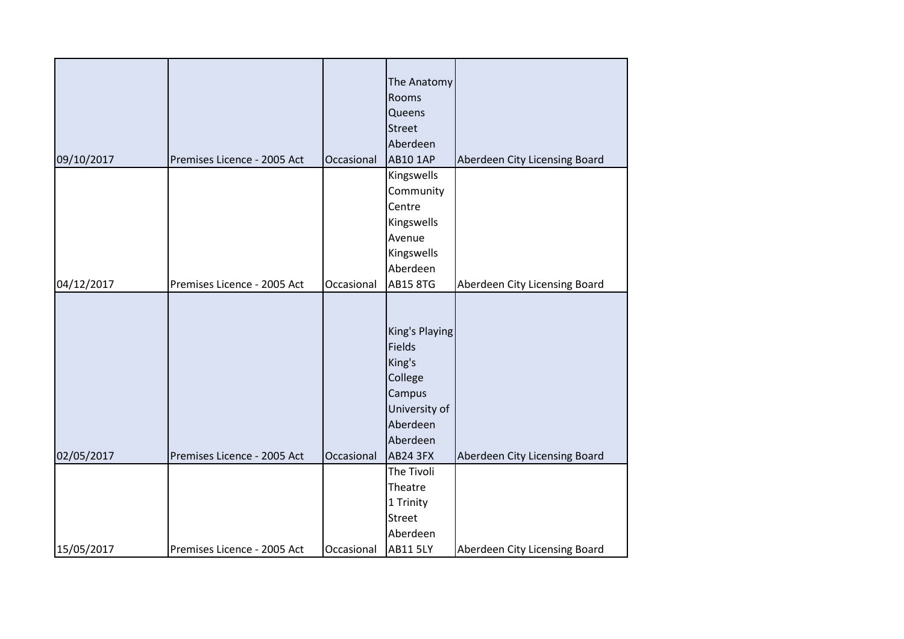|            |                             |            | The Anatomy     |                               |
|------------|-----------------------------|------------|-----------------|-------------------------------|
|            |                             |            | Rooms           |                               |
|            |                             |            | Queens          |                               |
|            |                             |            | <b>Street</b>   |                               |
|            |                             |            | Aberdeen        |                               |
| 09/10/2017 | Premises Licence - 2005 Act | Occasional | <b>AB10 1AP</b> | Aberdeen City Licensing Board |
|            |                             |            | Kingswells      |                               |
|            |                             |            | Community       |                               |
|            |                             |            | Centre          |                               |
|            |                             |            | Kingswells      |                               |
|            |                             |            | Avenue          |                               |
|            |                             |            | Kingswells      |                               |
|            |                             |            | Aberdeen        |                               |
| 04/12/2017 | Premises Licence - 2005 Act | Occasional | <b>AB15 8TG</b> | Aberdeen City Licensing Board |
|            |                             |            |                 |                               |
|            |                             |            |                 |                               |
|            |                             |            | King's Playing  |                               |
|            |                             |            | Fields          |                               |
|            |                             |            | King's          |                               |
|            |                             |            | College         |                               |
|            |                             |            | Campus          |                               |
|            |                             |            | University of   |                               |
|            |                             |            | Aberdeen        |                               |
|            |                             |            | Aberdeen        |                               |
| 02/05/2017 | Premises Licence - 2005 Act | Occasional | AB24 3FX        | Aberdeen City Licensing Board |
|            |                             |            | The Tivoli      |                               |
|            |                             |            | Theatre         |                               |
|            |                             |            | 1 Trinity       |                               |
|            |                             |            | <b>Street</b>   |                               |
|            |                             |            | Aberdeen        |                               |
| 15/05/2017 | Premises Licence - 2005 Act | Occasional | <b>AB11 5LY</b> | Aberdeen City Licensing Board |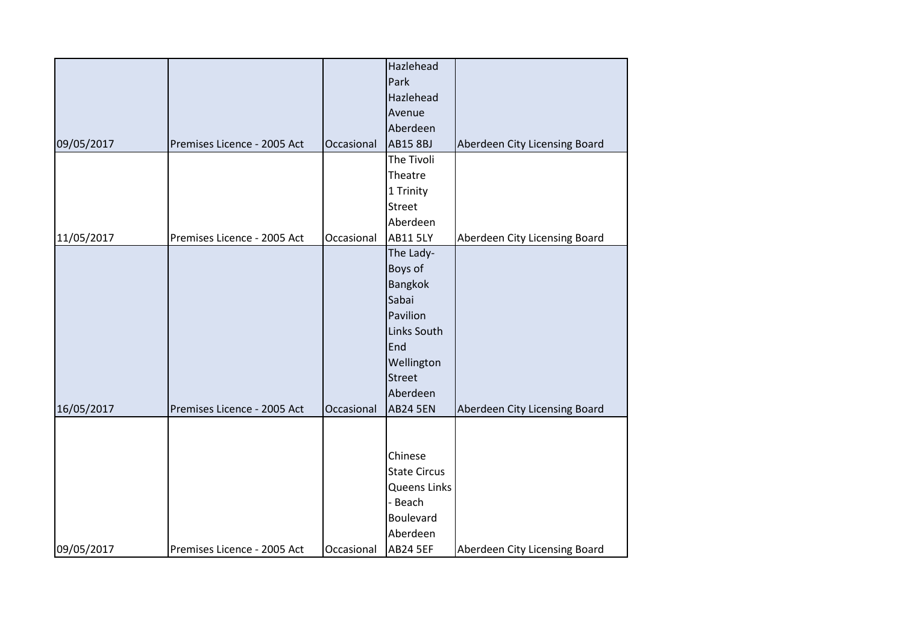|            |                             |            | Hazlehead           |                               |
|------------|-----------------------------|------------|---------------------|-------------------------------|
|            |                             |            | Park                |                               |
|            |                             |            | Hazlehead           |                               |
|            |                             |            | Avenue              |                               |
|            |                             |            | Aberdeen            |                               |
| 09/05/2017 | Premises Licence - 2005 Act | Occasional | <b>AB15 8BJ</b>     | Aberdeen City Licensing Board |
|            |                             |            | The Tivoli          |                               |
|            |                             |            | Theatre             |                               |
|            |                             |            | 1 Trinity           |                               |
|            |                             |            | <b>Street</b>       |                               |
|            |                             |            | Aberdeen            |                               |
| 11/05/2017 | Premises Licence - 2005 Act | Occasional | <b>AB11 5LY</b>     | Aberdeen City Licensing Board |
|            |                             |            | The Lady-           |                               |
|            |                             |            | Boys of             |                               |
|            |                             |            | Bangkok             |                               |
|            |                             |            | Sabai               |                               |
|            |                             |            | Pavilion            |                               |
|            |                             |            | Links South         |                               |
|            |                             |            | End                 |                               |
|            |                             |            | Wellington          |                               |
|            |                             |            | <b>Street</b>       |                               |
|            |                             |            | Aberdeen            |                               |
| 16/05/2017 | Premises Licence - 2005 Act | Occasional | <b>AB24 5EN</b>     | Aberdeen City Licensing Board |
|            |                             |            |                     |                               |
|            |                             |            |                     |                               |
|            |                             |            | Chinese             |                               |
|            |                             |            | <b>State Circus</b> |                               |
|            |                             |            | <b>Queens Links</b> |                               |
|            |                             |            | - Beach             |                               |
|            |                             |            | Boulevard           |                               |
|            |                             |            | Aberdeen            |                               |
| 09/05/2017 | Premises Licence - 2005 Act | Occasional | <b>AB24 5EF</b>     | Aberdeen City Licensing Board |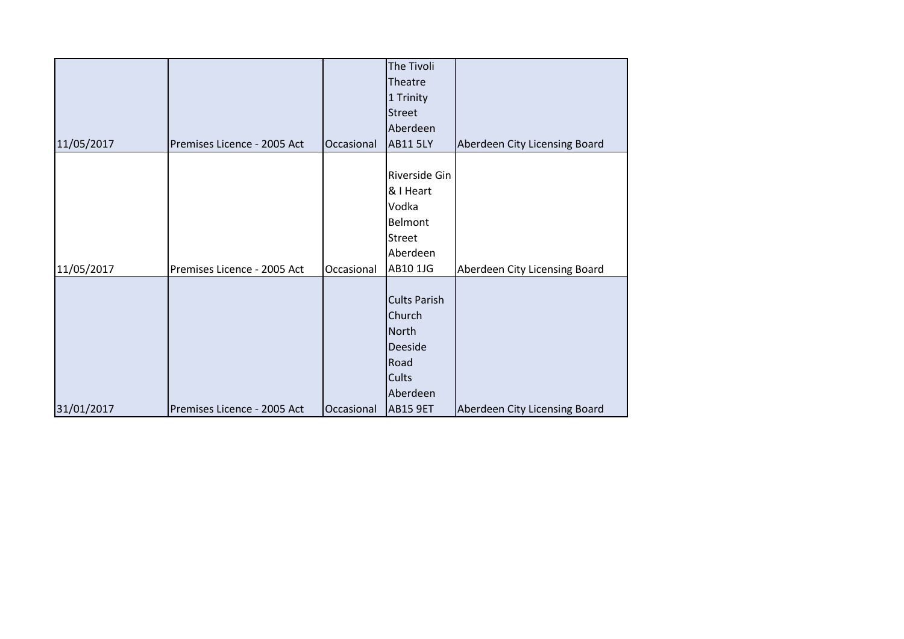|            |                             |            | The Tivoli<br>Theatre<br>1 Trinity<br><b>Street</b>                                                      |                               |
|------------|-----------------------------|------------|----------------------------------------------------------------------------------------------------------|-------------------------------|
| 11/05/2017 | Premises Licence - 2005 Act | Occasional | Aberdeen<br><b>AB11 5LY</b>                                                                              | Aberdeen City Licensing Board |
| 11/05/2017 | Premises Licence - 2005 Act | Occasional | Riverside Gin<br>& I Heart<br>Vodka<br><b>Belmont</b><br>Street<br>Aberdeen<br>AB10 1JG                  | Aberdeen City Licensing Board |
| 31/01/2017 | Premises Licence - 2005 Act | Occasional | <b>Cults Parish</b><br>Church<br><b>North</b><br>Deeside<br>Road<br>Cults<br>Aberdeen<br><b>AB15 9ET</b> | Aberdeen City Licensing Board |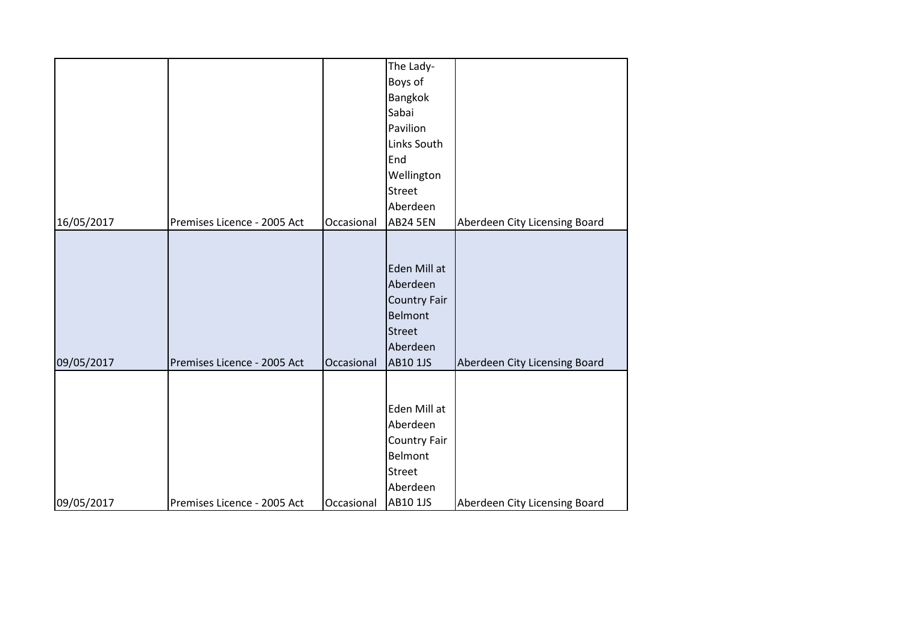|            |                             |            | The Lady-                                                                                           |                               |
|------------|-----------------------------|------------|-----------------------------------------------------------------------------------------------------|-------------------------------|
|            |                             |            | Boys of                                                                                             |                               |
|            |                             |            | Bangkok                                                                                             |                               |
|            |                             |            | Sabai                                                                                               |                               |
|            |                             |            | Pavilion                                                                                            |                               |
|            |                             |            | Links South                                                                                         |                               |
|            |                             |            | End                                                                                                 |                               |
|            |                             |            | Wellington                                                                                          |                               |
|            |                             |            | <b>Street</b>                                                                                       |                               |
|            |                             |            | Aberdeen                                                                                            |                               |
| 16/05/2017 | Premises Licence - 2005 Act | Occasional | <b>AB24 5EN</b>                                                                                     | Aberdeen City Licensing Board |
| 09/05/2017 | Premises Licence - 2005 Act | Occasional | Eden Mill at<br>Aberdeen<br><b>Country Fair</b><br>Belmont<br><b>Street</b><br>Aberdeen<br>AB10 1JS | Aberdeen City Licensing Board |
| 09/05/2017 | Premises Licence - 2005 Act | Occasional | Eden Mill at<br>Aberdeen<br>Country Fair<br>Belmont<br><b>Street</b><br>Aberdeen<br>AB10 1JS        | Aberdeen City Licensing Board |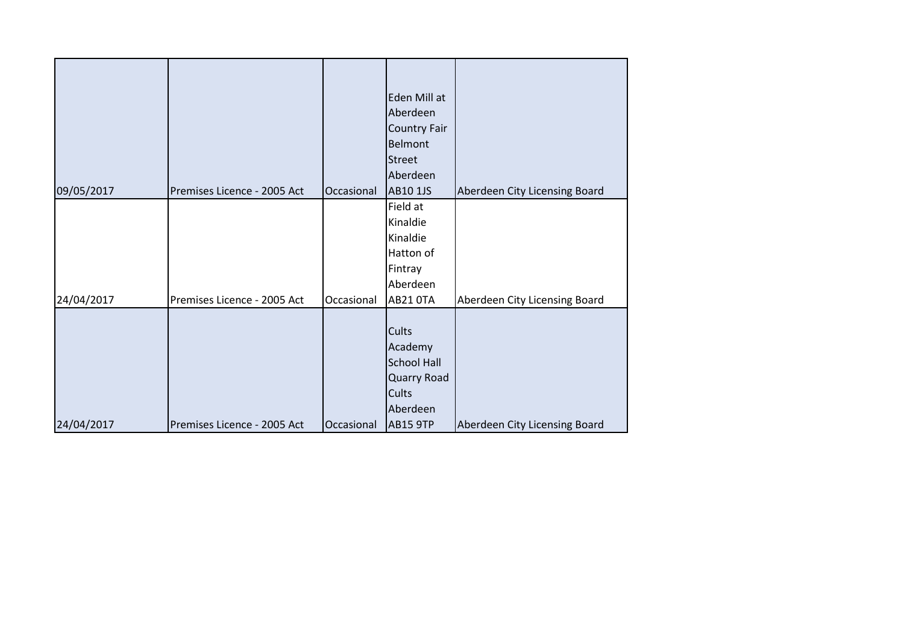|            |                             |            | Eden Mill at        |                               |
|------------|-----------------------------|------------|---------------------|-------------------------------|
|            |                             |            | Aberdeen            |                               |
|            |                             |            | <b>Country Fair</b> |                               |
|            |                             |            | Belmont             |                               |
|            |                             |            | <b>Street</b>       |                               |
|            |                             |            | Aberdeen            |                               |
| 09/05/2017 | Premises Licence - 2005 Act | Occasional | AB10 1JS            | Aberdeen City Licensing Board |
|            |                             |            | Field at            |                               |
|            |                             |            | Kinaldie            |                               |
|            |                             |            | Kinaldie            |                               |
|            |                             |            | Hatton of           |                               |
|            |                             |            | Fintray             |                               |
|            |                             |            | Aberdeen            |                               |
| 24/04/2017 | Premises Licence - 2005 Act | Occasional | <b>AB21 0TA</b>     | Aberdeen City Licensing Board |
|            |                             |            |                     |                               |
|            |                             |            | <b>Cults</b>        |                               |
|            |                             |            | Academy             |                               |
|            |                             |            | <b>School Hall</b>  |                               |
|            |                             |            | Quarry Road         |                               |
|            |                             |            | <b>Cults</b>        |                               |
|            |                             |            | Aberdeen            |                               |
| 24/04/2017 | Premises Licence - 2005 Act | Occasional | <b>AB15 9TP</b>     | Aberdeen City Licensing Board |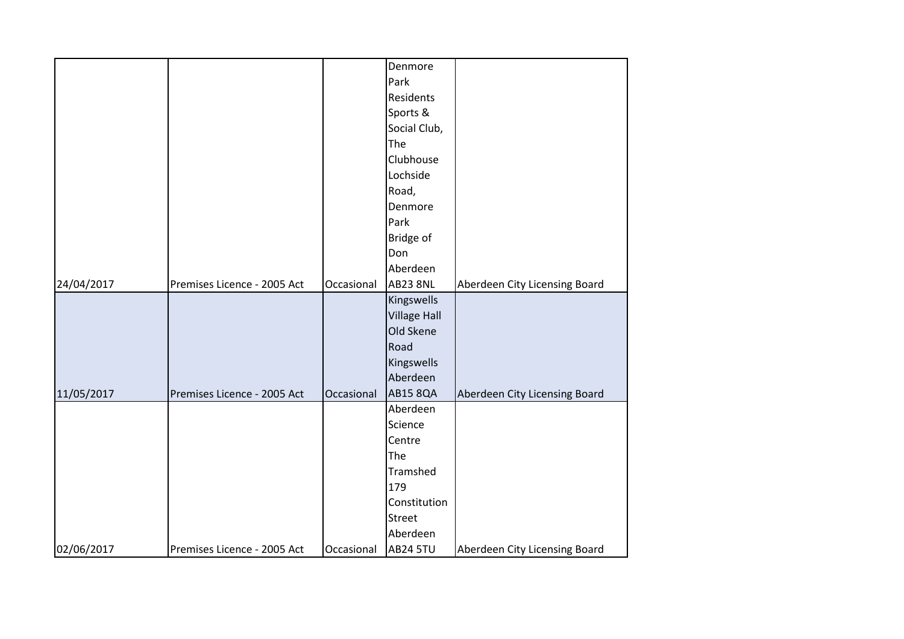|            |                             |            | Denmore             |                               |
|------------|-----------------------------|------------|---------------------|-------------------------------|
|            |                             |            | Park                |                               |
|            |                             |            | Residents           |                               |
|            |                             |            | Sports &            |                               |
|            |                             |            | Social Club,        |                               |
|            |                             |            | The                 |                               |
|            |                             |            | Clubhouse           |                               |
|            |                             |            | Lochside            |                               |
|            |                             |            | Road,               |                               |
|            |                             |            | Denmore             |                               |
|            |                             |            | Park                |                               |
|            |                             |            | Bridge of           |                               |
|            |                             |            | Don                 |                               |
|            |                             |            | Aberdeen            |                               |
| 24/04/2017 | Premises Licence - 2005 Act | Occasional | <b>AB23 8NL</b>     | Aberdeen City Licensing Board |
|            |                             |            | Kingswells          |                               |
|            |                             |            | <b>Village Hall</b> |                               |
|            |                             |            | Old Skene           |                               |
|            |                             |            | Road                |                               |
|            |                             |            | Kingswells          |                               |
|            |                             |            | Aberdeen            |                               |
| 11/05/2017 | Premises Licence - 2005 Act | Occasional | <b>AB15 8QA</b>     | Aberdeen City Licensing Board |
|            |                             |            | Aberdeen            |                               |
|            |                             |            | Science             |                               |
|            |                             |            | Centre              |                               |
|            |                             |            | The                 |                               |
|            |                             |            | Tramshed            |                               |
|            |                             |            | 179                 |                               |
|            |                             |            | Constitution        |                               |
|            |                             |            | <b>Street</b>       |                               |
|            |                             |            | Aberdeen            |                               |
| 02/06/2017 | Premises Licence - 2005 Act | Occasional | <b>AB24 5TU</b>     | Aberdeen City Licensing Board |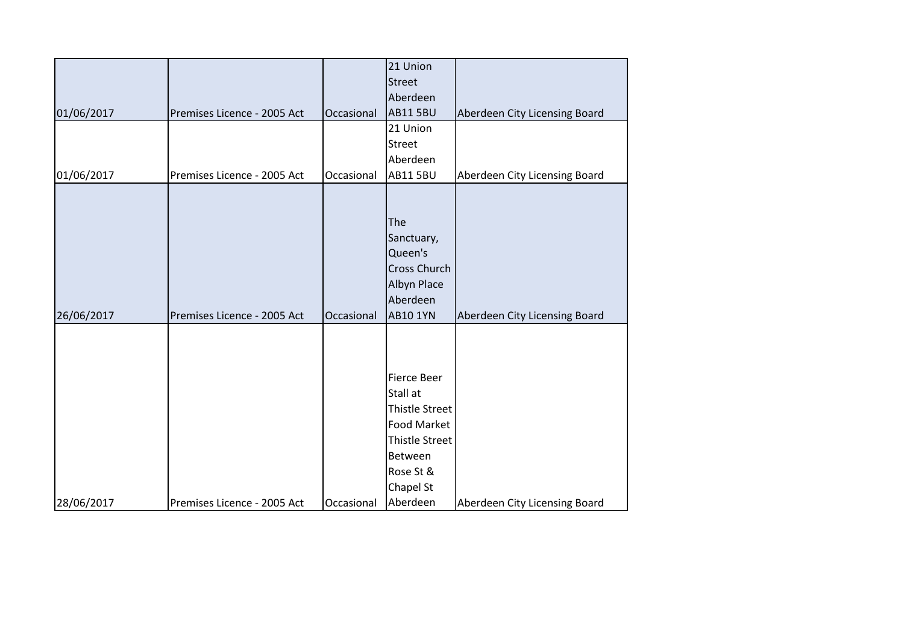|                                                         | 21 Union               |                               |
|---------------------------------------------------------|------------------------|-------------------------------|
|                                                         | <b>Street</b>          |                               |
|                                                         | Aberdeen               |                               |
| 01/06/2017<br>Premises Licence - 2005 Act<br>Occasional | <b>AB11 5BU</b>        | Aberdeen City Licensing Board |
|                                                         | 21 Union               |                               |
|                                                         | <b>Street</b>          |                               |
|                                                         | Aberdeen               |                               |
| 01/06/2017<br>Premises Licence - 2005 Act<br>Occasional | <b>AB11 5BU</b>        | Aberdeen City Licensing Board |
|                                                         |                        |                               |
|                                                         |                        |                               |
|                                                         | The                    |                               |
|                                                         | Sanctuary,             |                               |
|                                                         | Queen's                |                               |
|                                                         | <b>Cross Church</b>    |                               |
|                                                         | Albyn Place            |                               |
|                                                         | Aberdeen               |                               |
| 26/06/2017<br>Premises Licence - 2005 Act<br>Occasional | <b>AB10 1YN</b>        | Aberdeen City Licensing Board |
|                                                         |                        |                               |
|                                                         |                        |                               |
|                                                         | <b>Fierce Beer</b>     |                               |
|                                                         | Stall at               |                               |
|                                                         | Thistle Street         |                               |
|                                                         | Food Market            |                               |
|                                                         |                        |                               |
|                                                         |                        |                               |
|                                                         | Thistle Street         |                               |
|                                                         | Between                |                               |
|                                                         | Rose St &<br>Chapel St |                               |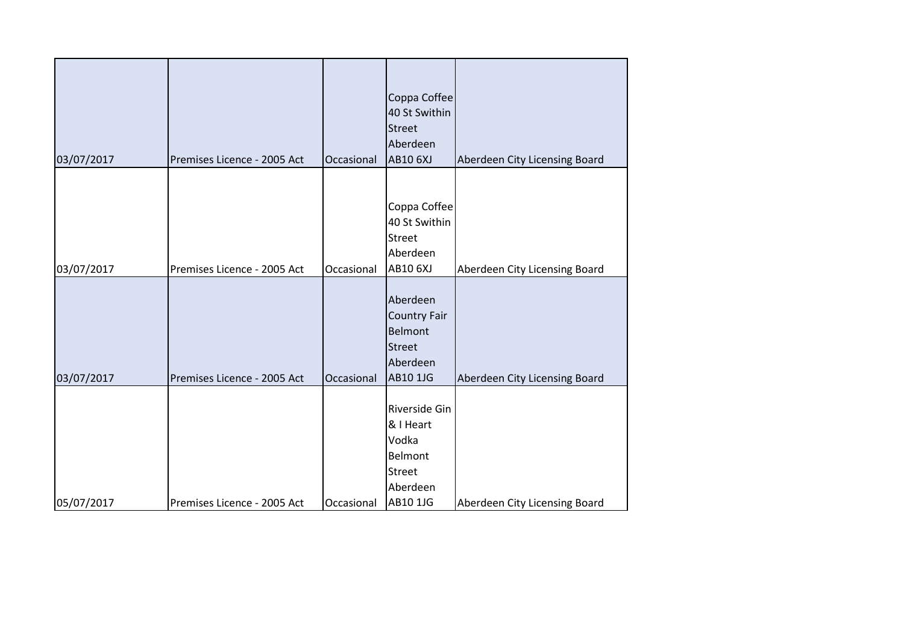|            |                             |            | Coppa Coffee        |                               |
|------------|-----------------------------|------------|---------------------|-------------------------------|
|            |                             |            | 40 St Swithin       |                               |
|            |                             |            | <b>Street</b>       |                               |
|            |                             |            | Aberdeen            |                               |
| 03/07/2017 | Premises Licence - 2005 Act | Occasional | <b>AB10 6XJ</b>     | Aberdeen City Licensing Board |
|            |                             |            |                     |                               |
|            |                             |            | Coppa Coffee        |                               |
|            |                             |            | 40 St Swithin       |                               |
|            |                             |            | <b>Street</b>       |                               |
|            |                             |            | Aberdeen            |                               |
| 03/07/2017 | Premises Licence - 2005 Act | Occasional | <b>AB10 6XJ</b>     | Aberdeen City Licensing Board |
|            |                             |            |                     |                               |
|            |                             |            | Aberdeen            |                               |
|            |                             |            | <b>Country Fair</b> |                               |
|            |                             |            | <b>Belmont</b>      |                               |
|            |                             |            | <b>Street</b>       |                               |
|            |                             |            | Aberdeen            |                               |
| 03/07/2017 | Premises Licence - 2005 Act | Occasional | <b>AB10 1JG</b>     | Aberdeen City Licensing Board |
|            |                             |            |                     |                               |
|            |                             |            | Riverside Gin       |                               |
|            |                             |            | & I Heart           |                               |
|            |                             |            | Vodka               |                               |
|            |                             |            | <b>Belmont</b>      |                               |
|            |                             |            | Street              |                               |
|            |                             |            | Aberdeen            |                               |
| 05/07/2017 | Premises Licence - 2005 Act | Occasional | AB10 1JG            | Aberdeen City Licensing Board |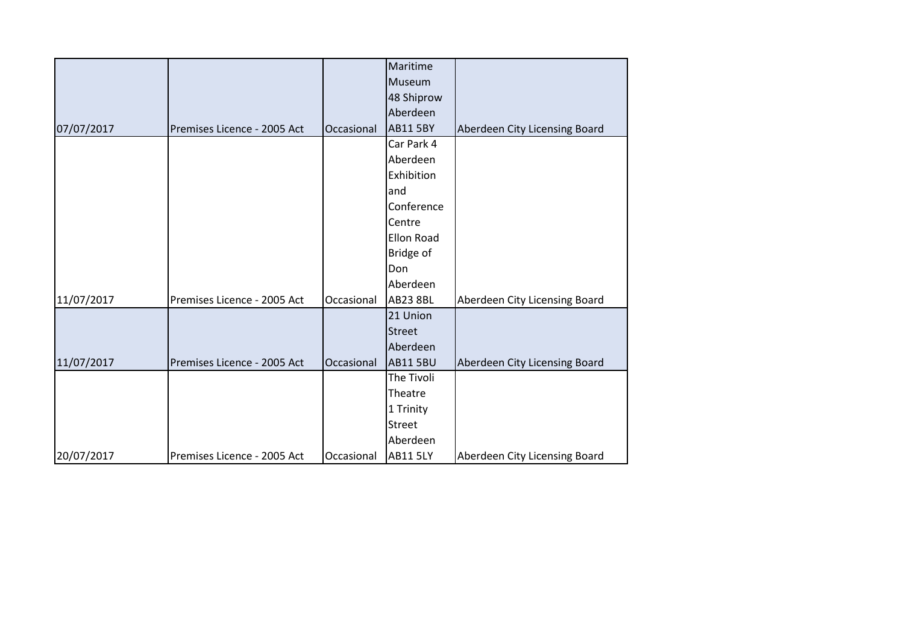|            |                             |            | Maritime          |                               |
|------------|-----------------------------|------------|-------------------|-------------------------------|
|            |                             |            | Museum            |                               |
|            |                             |            | 48 Shiprow        |                               |
|            |                             |            | Aberdeen          |                               |
| 07/07/2017 | Premises Licence - 2005 Act | Occasional | <b>AB11 5BY</b>   | Aberdeen City Licensing Board |
|            |                             |            | Car Park 4        |                               |
|            |                             |            | Aberdeen          |                               |
|            |                             |            | Exhibition        |                               |
|            |                             |            | and               |                               |
|            |                             |            | Conference        |                               |
|            |                             |            | Centre            |                               |
|            |                             |            | <b>Ellon Road</b> |                               |
|            |                             |            | Bridge of         |                               |
|            |                             |            | Don               |                               |
|            |                             |            | Aberdeen          |                               |
| 11/07/2017 | Premises Licence - 2005 Act | Occasional | <b>AB23 8BL</b>   | Aberdeen City Licensing Board |
|            |                             |            | 21 Union          |                               |
|            |                             |            | <b>Street</b>     |                               |
|            |                             |            | Aberdeen          |                               |
| 11/07/2017 | Premises Licence - 2005 Act | Occasional | <b>AB11 5BU</b>   | Aberdeen City Licensing Board |
|            |                             |            | The Tivoli        |                               |
|            |                             |            | Theatre           |                               |
|            |                             |            | 1 Trinity         |                               |
|            |                             |            | Street            |                               |
|            |                             |            | Aberdeen          |                               |
| 20/07/2017 | Premises Licence - 2005 Act | Occasional | <b>AB11 5LY</b>   | Aberdeen City Licensing Board |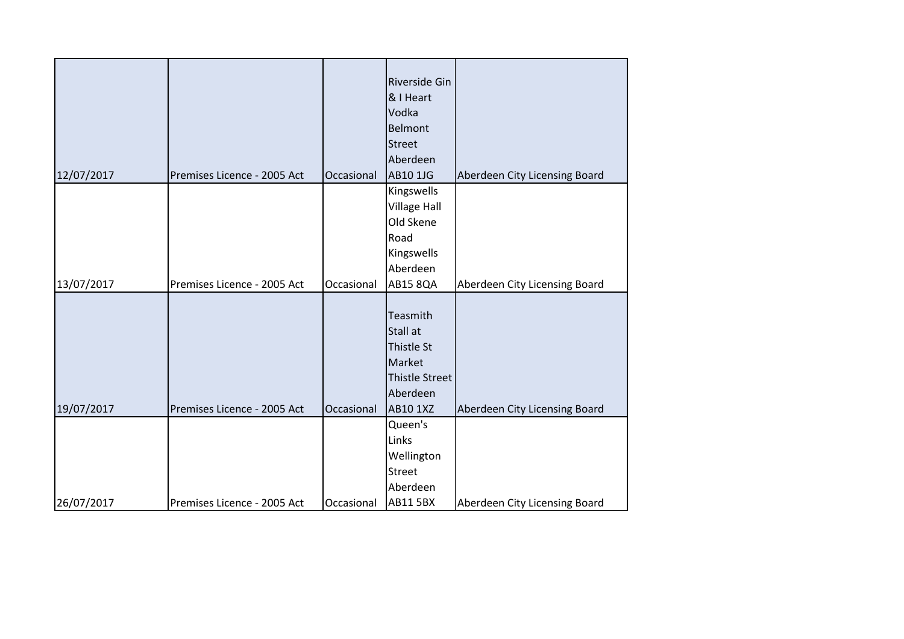| 12/07/2017 | Premises Licence - 2005 Act | Occasional | Riverside Gin<br>& I Heart<br>Vodka<br>Belmont<br><b>Street</b><br>Aberdeen<br><b>AB10 1JG</b> | Aberdeen City Licensing Board |
|------------|-----------------------------|------------|------------------------------------------------------------------------------------------------|-------------------------------|
|            |                             |            | Kingswells                                                                                     |                               |
|            |                             |            | <b>Village Hall</b>                                                                            |                               |
|            |                             |            | Old Skene<br>Road                                                                              |                               |
|            |                             |            | Kingswells                                                                                     |                               |
|            |                             |            | Aberdeen                                                                                       |                               |
| 13/07/2017 | Premises Licence - 2005 Act | Occasional | <b>AB15 8QA</b>                                                                                | Aberdeen City Licensing Board |
|            |                             |            |                                                                                                |                               |
|            |                             |            | Teasmith                                                                                       |                               |
|            |                             |            | <b>Stall at</b>                                                                                |                               |
|            |                             |            | Thistle St                                                                                     |                               |
|            |                             |            | Market                                                                                         |                               |
|            |                             |            | <b>Thistle Street</b>                                                                          |                               |
|            |                             |            | Aberdeen                                                                                       |                               |
| 19/07/2017 | Premises Licence - 2005 Act | Occasional | AB10 1XZ<br>Queen's                                                                            | Aberdeen City Licensing Board |
|            |                             |            | Links                                                                                          |                               |
|            |                             |            | Wellington                                                                                     |                               |
|            |                             |            | <b>Street</b>                                                                                  |                               |
|            |                             |            | Aberdeen                                                                                       |                               |
| 26/07/2017 | Premises Licence - 2005 Act | Occasional | <b>AB11 5BX</b>                                                                                | Aberdeen City Licensing Board |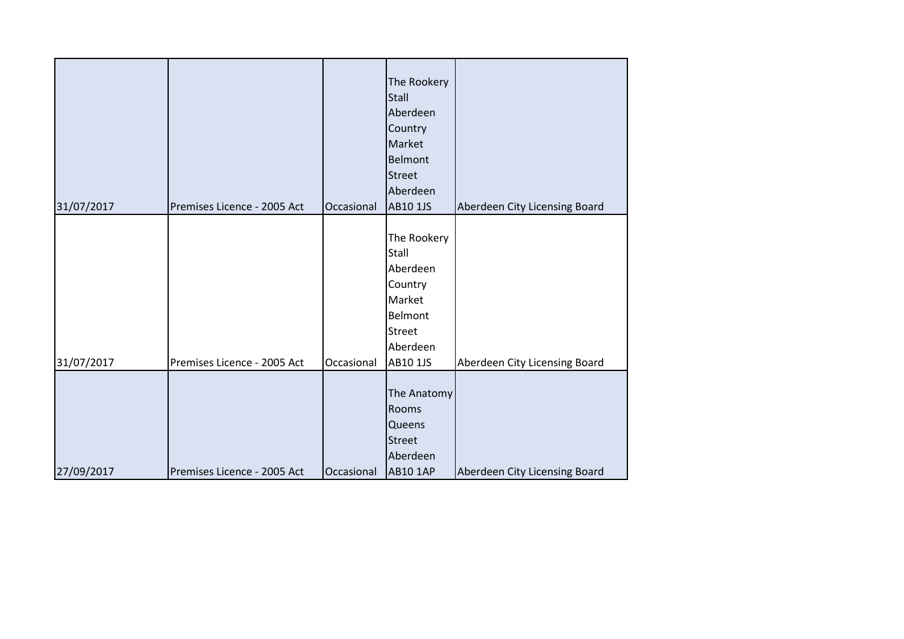| 31/07/2017 | Premises Licence - 2005 Act | Occasional | The Rookery<br><b>Stall</b><br>Aberdeen<br>Country<br>Market<br>Belmont<br><b>Street</b><br>Aberdeen<br><b>AB10 1JS</b> | Aberdeen City Licensing Board |
|------------|-----------------------------|------------|-------------------------------------------------------------------------------------------------------------------------|-------------------------------|
|            |                             |            |                                                                                                                         |                               |
|            |                             |            | The Rookery                                                                                                             |                               |
|            |                             |            | Stall                                                                                                                   |                               |
|            |                             |            | Aberdeen                                                                                                                |                               |
|            |                             |            | Country                                                                                                                 |                               |
|            |                             |            | Market                                                                                                                  |                               |
|            |                             |            | Belmont                                                                                                                 |                               |
|            |                             |            | <b>Street</b>                                                                                                           |                               |
|            |                             |            | Aberdeen                                                                                                                |                               |
| 31/07/2017 | Premises Licence - 2005 Act | Occasional | AB10 1JS                                                                                                                | Aberdeen City Licensing Board |
|            |                             |            |                                                                                                                         |                               |
|            |                             |            | The Anatomy                                                                                                             |                               |
|            |                             |            | Rooms                                                                                                                   |                               |
|            |                             |            | Queens                                                                                                                  |                               |
|            |                             |            | <b>Street</b>                                                                                                           |                               |
|            |                             |            | Aberdeen                                                                                                                |                               |
| 27/09/2017 | Premises Licence - 2005 Act | Occasional | <b>AB10 1AP</b>                                                                                                         | Aberdeen City Licensing Board |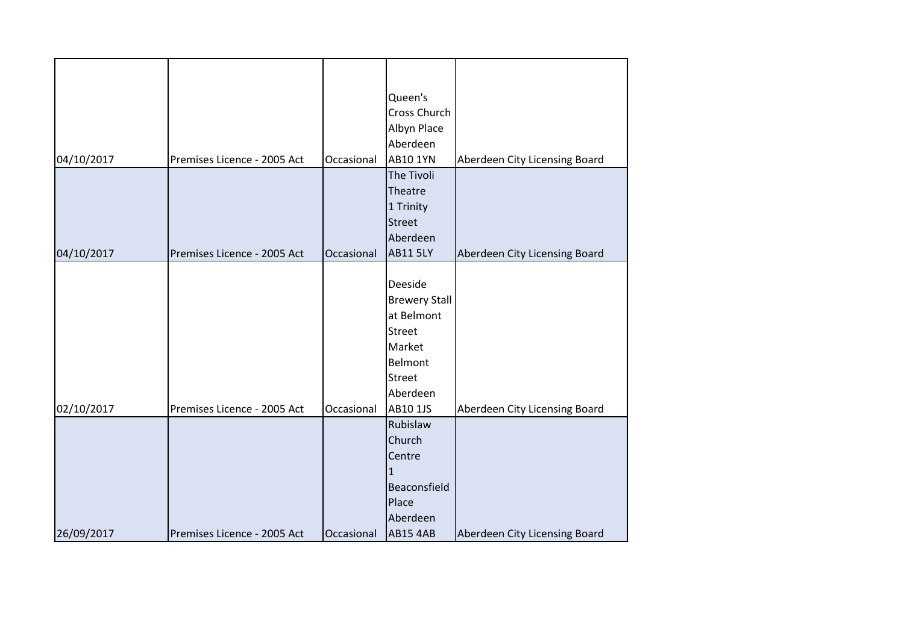|            |                             |            | Queen's              |                               |
|------------|-----------------------------|------------|----------------------|-------------------------------|
|            |                             |            | Cross Church         |                               |
|            |                             |            | Albyn Place          |                               |
|            |                             |            | Aberdeen             |                               |
| 04/10/2017 | Premises Licence - 2005 Act | Occasional | <b>AB10 1YN</b>      | Aberdeen City Licensing Board |
|            |                             |            | The Tivoli           |                               |
|            |                             |            | Theatre              |                               |
|            |                             |            | 1 Trinity            |                               |
|            |                             |            | <b>Street</b>        |                               |
|            |                             |            | Aberdeen             |                               |
| 04/10/2017 | Premises Licence - 2005 Act | Occasional | <b>AB11 5LY</b>      | Aberdeen City Licensing Board |
|            |                             |            |                      |                               |
|            |                             |            | Deeside              |                               |
|            |                             |            | <b>Brewery Stall</b> |                               |
|            |                             |            | at Belmont           |                               |
|            |                             |            | <b>Street</b>        |                               |
|            |                             |            | Market               |                               |
|            |                             |            | Belmont              |                               |
|            |                             |            | <b>Street</b>        |                               |
|            |                             |            | Aberdeen             |                               |
| 02/10/2017 | Premises Licence - 2005 Act | Occasional | AB10 1JS             | Aberdeen City Licensing Board |
|            |                             |            | Rubislaw             |                               |
|            |                             |            | Church               |                               |
|            |                             |            | Centre               |                               |
|            |                             |            | $\mathbf{1}$         |                               |
|            |                             |            | Beaconsfield         |                               |
|            |                             |            | Place                |                               |
|            |                             |            | Aberdeen             |                               |
| 26/09/2017 | Premises Licence - 2005 Act | Occasional | <b>AB15 4AB</b>      | Aberdeen City Licensing Board |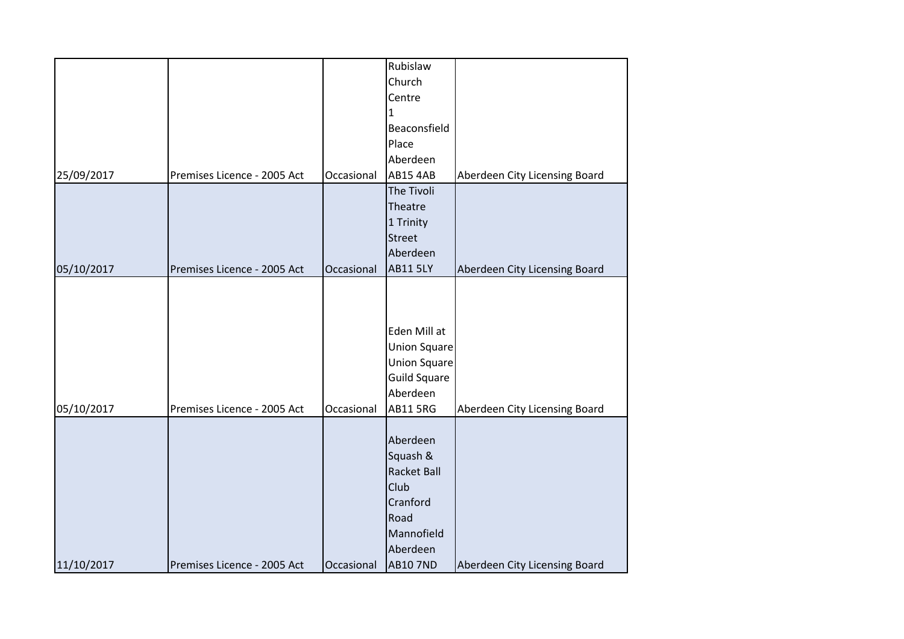|            |                             |            | Rubislaw            |                               |
|------------|-----------------------------|------------|---------------------|-------------------------------|
|            |                             |            | Church              |                               |
|            |                             |            | Centre              |                               |
|            |                             |            | 1                   |                               |
|            |                             |            | Beaconsfield        |                               |
|            |                             |            | Place               |                               |
|            |                             |            | Aberdeen            |                               |
| 25/09/2017 | Premises Licence - 2005 Act | Occasional | <b>AB15 4AB</b>     | Aberdeen City Licensing Board |
|            |                             |            | The Tivoli          |                               |
|            |                             |            | Theatre             |                               |
|            |                             |            | 1 Trinity           |                               |
|            |                             |            | <b>Street</b>       |                               |
|            |                             |            | Aberdeen            |                               |
| 05/10/2017 | Premises Licence - 2005 Act | Occasional | <b>AB11 5LY</b>     | Aberdeen City Licensing Board |
|            |                             |            |                     |                               |
|            |                             |            |                     |                               |
|            |                             |            |                     |                               |
|            |                             |            | Eden Mill at        |                               |
|            |                             |            | Union Square        |                               |
|            |                             |            | Union Square        |                               |
|            |                             |            | <b>Guild Square</b> |                               |
|            |                             |            | Aberdeen            |                               |
| 05/10/2017 | Premises Licence - 2005 Act | Occasional | <b>AB11 5RG</b>     | Aberdeen City Licensing Board |
|            |                             |            |                     |                               |
|            |                             |            | Aberdeen            |                               |
|            |                             |            | Squash &            |                               |
|            |                             |            | <b>Racket Ball</b>  |                               |
|            |                             |            | Club                |                               |
|            |                             |            | Cranford            |                               |
|            |                             |            | Road                |                               |
|            |                             |            | Mannofield          |                               |
|            |                             |            | Aberdeen            |                               |
| 11/10/2017 | Premises Licence - 2005 Act | Occasional | <b>AB10 7ND</b>     | Aberdeen City Licensing Board |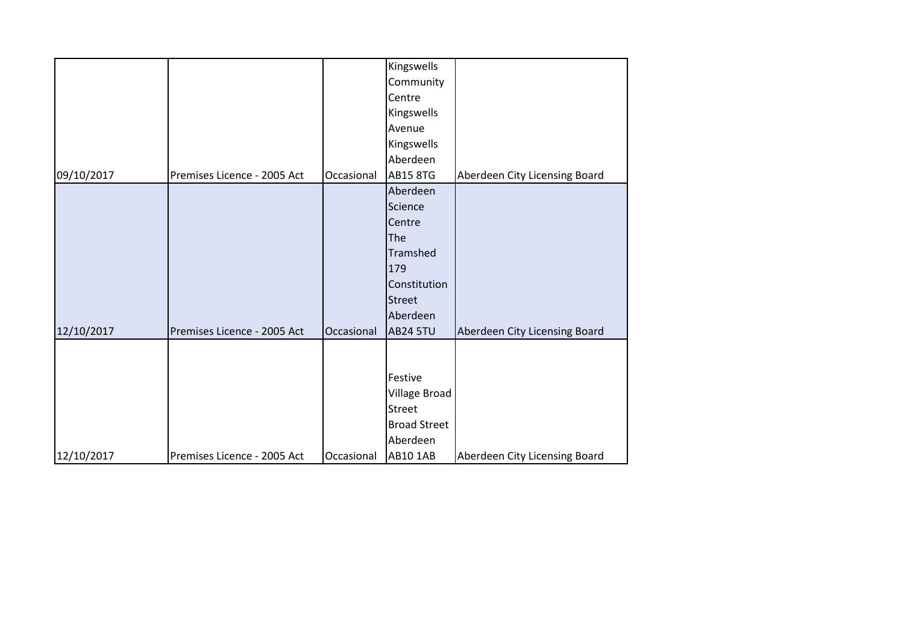|            |                             |            | Kingswells          |                               |
|------------|-----------------------------|------------|---------------------|-------------------------------|
|            |                             |            | Community           |                               |
|            |                             |            | Centre              |                               |
|            |                             |            | Kingswells          |                               |
|            |                             |            | Avenue              |                               |
|            |                             |            | Kingswells          |                               |
|            |                             |            | Aberdeen            |                               |
| 09/10/2017 | Premises Licence - 2005 Act | Occasional | <b>AB15 8TG</b>     | Aberdeen City Licensing Board |
|            |                             |            | Aberdeen            |                               |
|            |                             |            | Science             |                               |
|            |                             |            | Centre              |                               |
|            |                             |            | The                 |                               |
|            |                             |            | Tramshed            |                               |
|            |                             |            | 179                 |                               |
|            |                             |            | Constitution        |                               |
|            |                             |            | <b>Street</b>       |                               |
|            |                             |            | Aberdeen            |                               |
| 12/10/2017 | Premises Licence - 2005 Act | Occasional | <b>AB24 5TU</b>     | Aberdeen City Licensing Board |
|            |                             |            |                     |                               |
|            |                             |            |                     |                               |
|            |                             |            | Festive             |                               |
|            |                             |            | Village Broad       |                               |
|            |                             |            | <b>Street</b>       |                               |
|            |                             |            | <b>Broad Street</b> |                               |
|            |                             |            | Aberdeen            |                               |
| 12/10/2017 | Premises Licence - 2005 Act | Occasional | <b>AB10 1AB</b>     | Aberdeen City Licensing Board |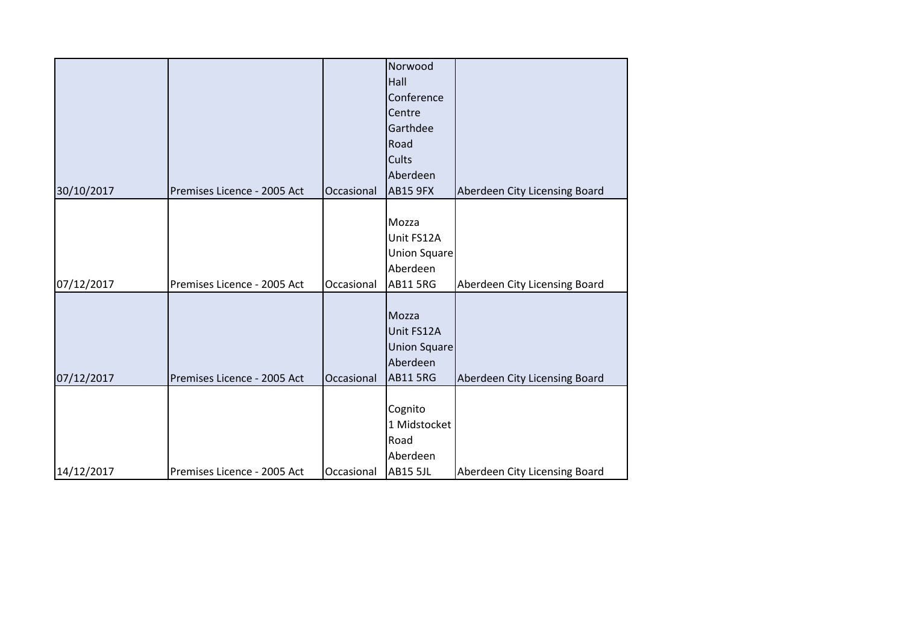|            |                             |            | Norwood             |                               |
|------------|-----------------------------|------------|---------------------|-------------------------------|
|            |                             |            | Hall                |                               |
|            |                             |            | Conference          |                               |
|            |                             |            | Centre              |                               |
|            |                             |            | Garthdee            |                               |
|            |                             |            | Road                |                               |
|            |                             |            | Cults               |                               |
|            |                             |            | Aberdeen            |                               |
| 30/10/2017 | Premises Licence - 2005 Act | Occasional | <b>AB15 9FX</b>     | Aberdeen City Licensing Board |
|            |                             |            |                     |                               |
|            |                             |            | Mozza               |                               |
|            |                             |            | Unit FS12A          |                               |
|            |                             |            | <b>Union Square</b> |                               |
|            |                             |            | Aberdeen            |                               |
| 07/12/2017 | Premises Licence - 2005 Act | Occasional | <b>AB11 5RG</b>     | Aberdeen City Licensing Board |
|            |                             |            |                     |                               |
|            |                             |            | Mozza               |                               |
|            |                             |            | Unit FS12A          |                               |
|            |                             |            | <b>Union Square</b> |                               |
|            |                             |            | Aberdeen            |                               |
| 07/12/2017 | Premises Licence - 2005 Act | Occasional | <b>AB11 5RG</b>     | Aberdeen City Licensing Board |
|            |                             |            |                     |                               |
|            |                             |            | Cognito             |                               |
|            |                             |            | 1 Midstocket        |                               |
|            |                             |            | Road                |                               |
|            |                             |            | Aberdeen            |                               |
| 14/12/2017 | Premises Licence - 2005 Act | Occasional | <b>AB15 5JL</b>     | Aberdeen City Licensing Board |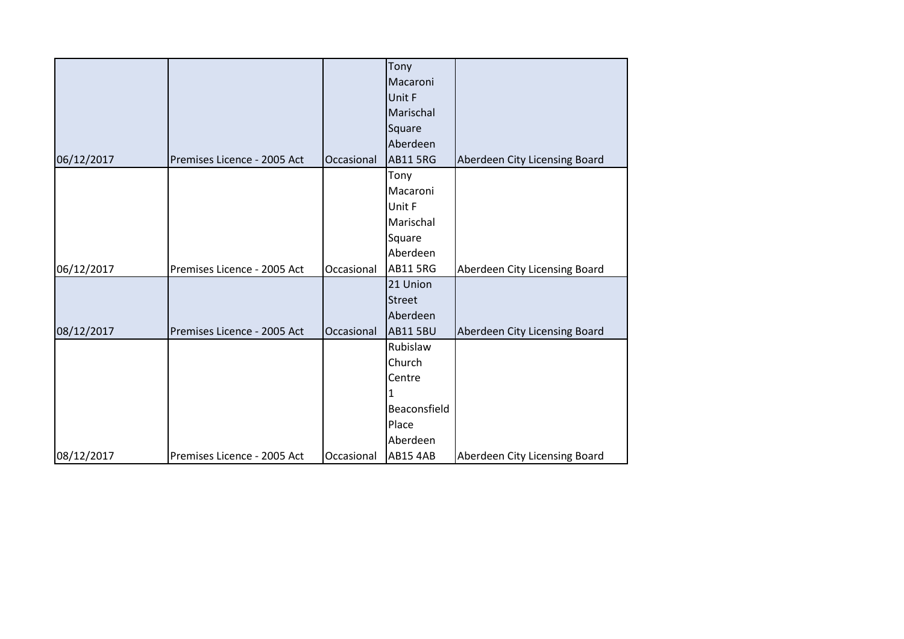|            |                             |            | Tony            |                               |
|------------|-----------------------------|------------|-----------------|-------------------------------|
|            |                             |            | Macaroni        |                               |
|            |                             |            | Unit F          |                               |
|            |                             |            | Marischal       |                               |
|            |                             |            | Square          |                               |
|            |                             |            | Aberdeen        |                               |
| 06/12/2017 | Premises Licence - 2005 Act | Occasional | <b>AB11 5RG</b> | Aberdeen City Licensing Board |
|            |                             |            | Tony            |                               |
|            |                             |            | Macaroni        |                               |
|            |                             |            | Unit F          |                               |
|            |                             |            | Marischal       |                               |
|            |                             |            | Square          |                               |
|            |                             |            | Aberdeen        |                               |
| 06/12/2017 | Premises Licence - 2005 Act | Occasional | <b>AB11 5RG</b> | Aberdeen City Licensing Board |
|            |                             |            | 21 Union        |                               |
|            |                             |            | <b>Street</b>   |                               |
|            |                             |            | Aberdeen        |                               |
| 08/12/2017 | Premises Licence - 2005 Act | Occasional | <b>AB11 5BU</b> | Aberdeen City Licensing Board |
|            |                             |            | Rubislaw        |                               |
|            |                             |            | Church          |                               |
|            |                             |            | Centre          |                               |
|            |                             |            | 1               |                               |
|            |                             |            | Beaconsfield    |                               |
|            |                             |            | Place           |                               |
|            |                             |            | Aberdeen        |                               |
| 08/12/2017 | Premises Licence - 2005 Act | Occasional | <b>AB15 4AB</b> | Aberdeen City Licensing Board |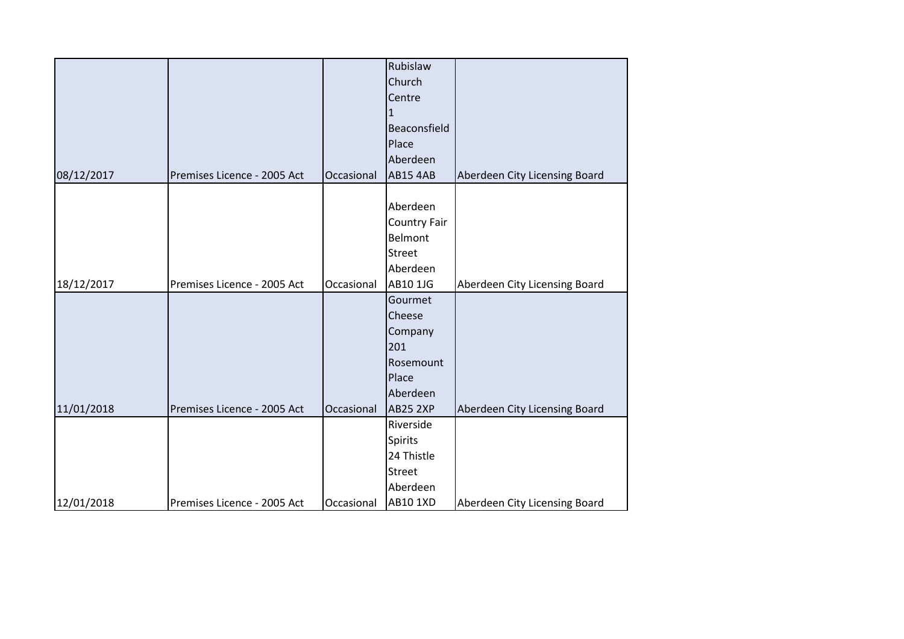|            |                             |            | Rubislaw        |                               |
|------------|-----------------------------|------------|-----------------|-------------------------------|
|            |                             |            | Church          |                               |
|            |                             |            | Centre          |                               |
|            |                             |            | 1.              |                               |
|            |                             |            | Beaconsfield    |                               |
|            |                             |            | Place           |                               |
|            |                             |            | Aberdeen        |                               |
| 08/12/2017 | Premises Licence - 2005 Act | Occasional | <b>AB15 4AB</b> | Aberdeen City Licensing Board |
|            |                             |            |                 |                               |
|            |                             |            | Aberdeen        |                               |
|            |                             |            | Country Fair    |                               |
|            |                             |            | <b>Belmont</b>  |                               |
|            |                             |            | Street          |                               |
|            |                             |            | Aberdeen        |                               |
| 18/12/2017 | Premises Licence - 2005 Act | Occasional | AB10 1JG        | Aberdeen City Licensing Board |
|            |                             |            | Gourmet         |                               |
|            |                             |            | Cheese          |                               |
|            |                             |            | Company         |                               |
|            |                             |            | 201             |                               |
|            |                             |            | Rosemount       |                               |
|            |                             |            | Place           |                               |
|            |                             |            | Aberdeen        |                               |
| 11/01/2018 | Premises Licence - 2005 Act | Occasional | <b>AB25 2XP</b> | Aberdeen City Licensing Board |
|            |                             |            | Riverside       |                               |
|            |                             |            | <b>Spirits</b>  |                               |
|            |                             |            | 24 Thistle      |                               |
|            |                             |            | <b>Street</b>   |                               |
|            |                             |            | Aberdeen        |                               |
| 12/01/2018 | Premises Licence - 2005 Act | Occasional | <b>AB10 1XD</b> | Aberdeen City Licensing Board |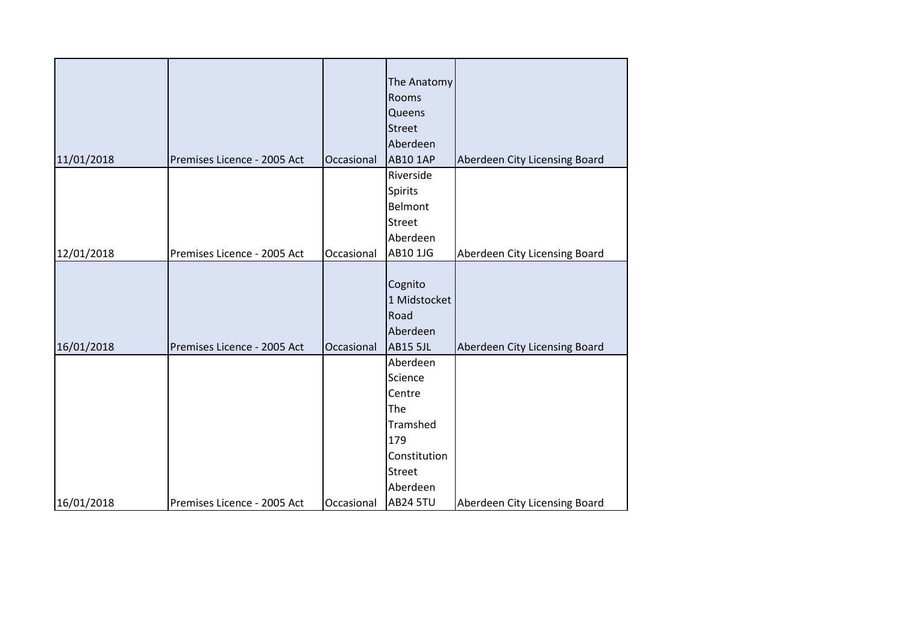|            |                             |            | The Anatomy     |                               |
|------------|-----------------------------|------------|-----------------|-------------------------------|
|            |                             |            | Rooms           |                               |
|            |                             |            | Queens          |                               |
|            |                             |            | <b>Street</b>   |                               |
|            |                             |            | Aberdeen        |                               |
| 11/01/2018 | Premises Licence - 2005 Act | Occasional | <b>AB10 1AP</b> | Aberdeen City Licensing Board |
|            |                             |            | Riverside       |                               |
|            |                             |            | <b>Spirits</b>  |                               |
|            |                             |            | Belmont         |                               |
|            |                             |            | <b>Street</b>   |                               |
|            |                             |            | Aberdeen        |                               |
| 12/01/2018 | Premises Licence - 2005 Act | Occasional | AB10 1JG        | Aberdeen City Licensing Board |
|            |                             |            |                 |                               |
|            |                             |            | Cognito         |                               |
|            |                             |            | 1 Midstocket    |                               |
|            |                             |            | Road            |                               |
|            |                             |            | Aberdeen        |                               |
| 16/01/2018 | Premises Licence - 2005 Act | Occasional | <b>AB15 5JL</b> | Aberdeen City Licensing Board |
|            |                             |            | Aberdeen        |                               |
|            |                             |            | Science         |                               |
|            |                             |            | Centre          |                               |
|            |                             |            | The             |                               |
|            |                             |            | Tramshed        |                               |
|            |                             |            | 179             |                               |
|            |                             |            | Constitution    |                               |
|            |                             |            | <b>Street</b>   |                               |
|            |                             |            | Aberdeen        |                               |
| 16/01/2018 | Premises Licence - 2005 Act | Occasional | <b>AB24 5TU</b> | Aberdeen City Licensing Board |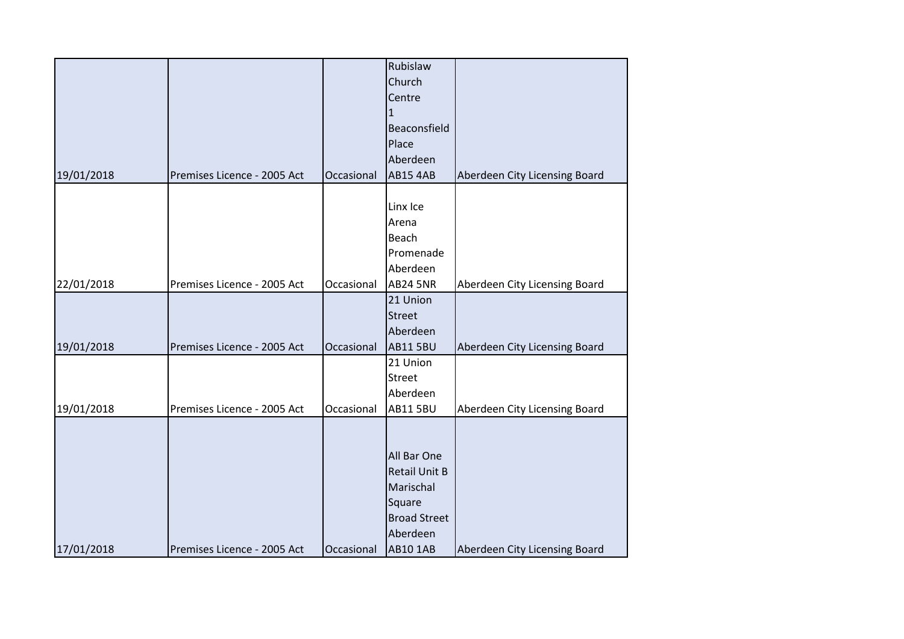|            |                             |            | Rubislaw             |                               |
|------------|-----------------------------|------------|----------------------|-------------------------------|
|            |                             |            | Church               |                               |
|            |                             |            | Centre               |                               |
|            |                             |            | $\mathbf{1}$         |                               |
|            |                             |            | Beaconsfield         |                               |
|            |                             |            | Place                |                               |
|            |                             |            | Aberdeen             |                               |
| 19/01/2018 | Premises Licence - 2005 Act | Occasional | <b>AB15 4AB</b>      | Aberdeen City Licensing Board |
|            |                             |            |                      |                               |
|            |                             |            | Linx Ice             |                               |
|            |                             |            | Arena                |                               |
|            |                             |            | Beach                |                               |
|            |                             |            | Promenade            |                               |
|            |                             |            | Aberdeen             |                               |
| 22/01/2018 | Premises Licence - 2005 Act | Occasional | <b>AB24 5NR</b>      | Aberdeen City Licensing Board |
|            |                             |            | 21 Union             |                               |
|            |                             |            | <b>Street</b>        |                               |
|            |                             |            | Aberdeen             |                               |
| 19/01/2018 | Premises Licence - 2005 Act | Occasional | <b>AB11 5BU</b>      | Aberdeen City Licensing Board |
|            |                             |            | 21 Union             |                               |
|            |                             |            | <b>Street</b>        |                               |
|            |                             |            | Aberdeen             |                               |
| 19/01/2018 | Premises Licence - 2005 Act | Occasional | <b>AB11 5BU</b>      | Aberdeen City Licensing Board |
|            |                             |            |                      |                               |
|            |                             |            |                      |                               |
|            |                             |            | All Bar One          |                               |
|            |                             |            | <b>Retail Unit B</b> |                               |
|            |                             |            | Marischal            |                               |
|            |                             |            | Square               |                               |
|            |                             |            | <b>Broad Street</b>  |                               |
|            |                             |            | Aberdeen             |                               |
| 17/01/2018 | Premises Licence - 2005 Act | Occasional | <b>AB10 1AB</b>      | Aberdeen City Licensing Board |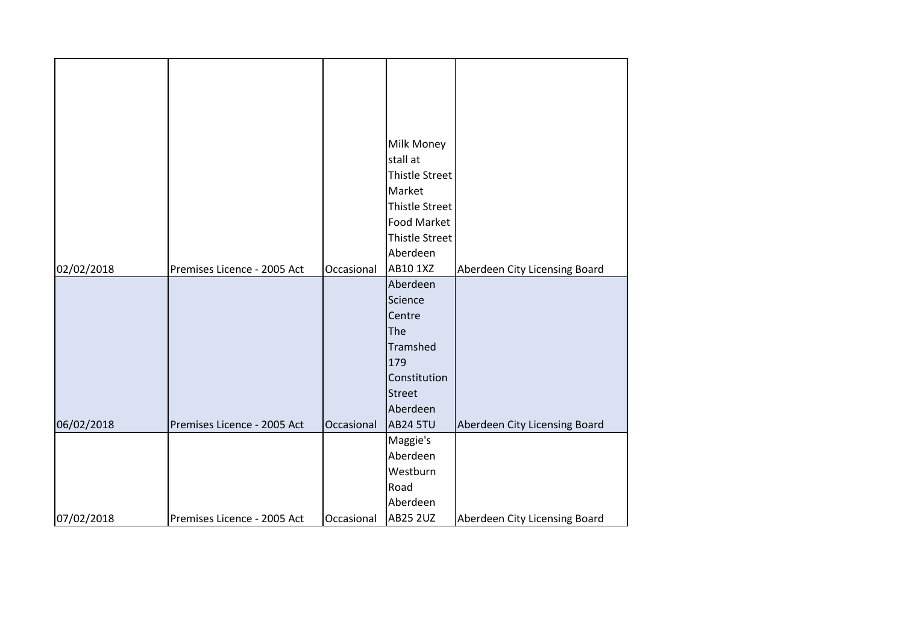|            |                             |            | Milk Money            |                               |
|------------|-----------------------------|------------|-----------------------|-------------------------------|
|            |                             |            | stall at              |                               |
|            |                             |            | Thistle Street        |                               |
|            |                             |            | Market                |                               |
|            |                             |            | <b>Thistle Street</b> |                               |
|            |                             |            | Food Market           |                               |
|            |                             |            | <b>Thistle Street</b> |                               |
|            |                             |            | Aberdeen              |                               |
| 02/02/2018 | Premises Licence - 2005 Act | Occasional | AB10 1XZ              | Aberdeen City Licensing Board |
|            |                             |            | Aberdeen              |                               |
|            |                             |            | Science               |                               |
|            |                             |            | Centre                |                               |
|            |                             |            | The                   |                               |
|            |                             |            | Tramshed              |                               |
|            |                             |            | 179                   |                               |
|            |                             |            | Constitution          |                               |
|            |                             |            | <b>Street</b>         |                               |
|            |                             |            | Aberdeen              |                               |
| 06/02/2018 | Premises Licence - 2005 Act | Occasional | <b>AB24 5TU</b>       | Aberdeen City Licensing Board |
|            |                             |            | Maggie's              |                               |
|            |                             |            | Aberdeen              |                               |
|            |                             |            | Westburn              |                               |
|            |                             |            | Road                  |                               |
|            |                             |            | Aberdeen              |                               |
| 07/02/2018 | Premises Licence - 2005 Act | Occasional | <b>AB25 2UZ</b>       | Aberdeen City Licensing Board |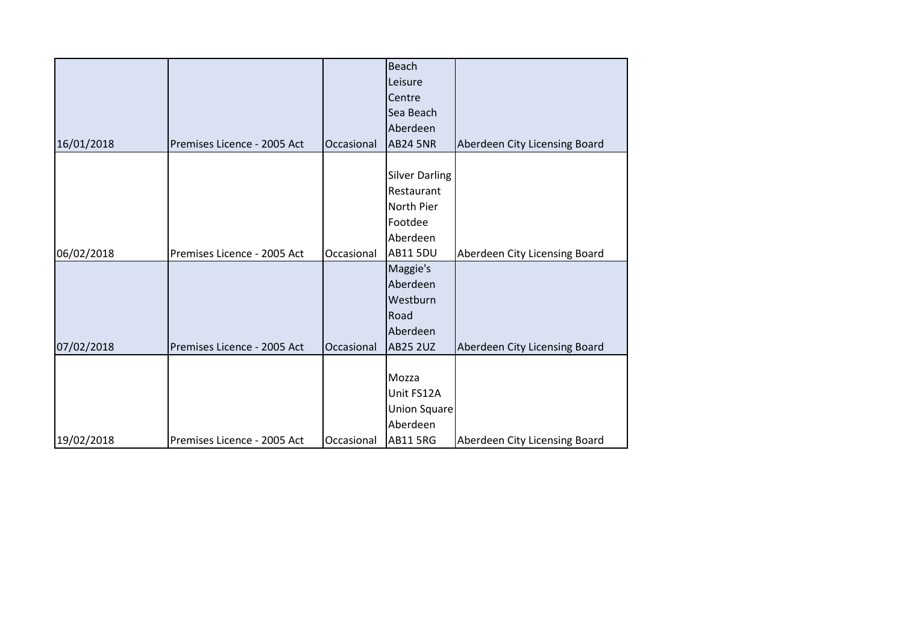|            |                             |            | <b>Beach</b>          |                               |
|------------|-----------------------------|------------|-----------------------|-------------------------------|
|            |                             |            | Leisure               |                               |
|            |                             |            | Centre                |                               |
|            |                             |            | Sea Beach             |                               |
|            |                             |            | Aberdeen              |                               |
| 16/01/2018 | Premises Licence - 2005 Act | Occasional | <b>AB24 5NR</b>       | Aberdeen City Licensing Board |
|            |                             |            |                       |                               |
|            |                             |            | <b>Silver Darling</b> |                               |
|            |                             |            | Restaurant            |                               |
|            |                             |            | North Pier            |                               |
|            |                             |            | Footdee               |                               |
|            |                             |            | Aberdeen              |                               |
| 06/02/2018 | Premises Licence - 2005 Act | Occasional | <b>AB11 5DU</b>       | Aberdeen City Licensing Board |
|            |                             |            | Maggie's              |                               |
|            |                             |            | Aberdeen              |                               |
|            |                             |            | Westburn              |                               |
|            |                             |            | Road                  |                               |
|            |                             |            | Aberdeen              |                               |
| 07/02/2018 | Premises Licence - 2005 Act | Occasional | <b>AB25 2UZ</b>       | Aberdeen City Licensing Board |
|            |                             |            |                       |                               |
|            |                             |            | Mozza                 |                               |
|            |                             |            | Unit FS12A            |                               |
|            |                             |            | <b>Union Square</b>   |                               |
|            |                             |            | Aberdeen              |                               |
| 19/02/2018 | Premises Licence - 2005 Act | Occasional | <b>AB11 5RG</b>       | Aberdeen City Licensing Board |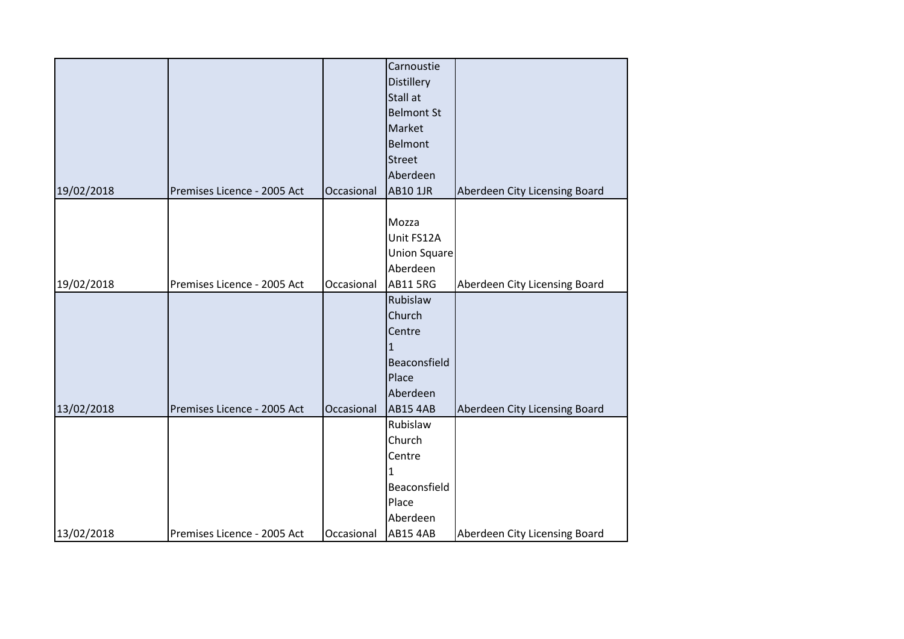|            |                             |            | Carnoustie<br><b>Distillery</b><br>Stall at<br><b>Belmont St</b><br>Market<br><b>Belmont</b> |                               |
|------------|-----------------------------|------------|----------------------------------------------------------------------------------------------|-------------------------------|
|            |                             |            | <b>Street</b>                                                                                |                               |
|            |                             |            | Aberdeen                                                                                     |                               |
| 19/02/2018 | Premises Licence - 2005 Act | Occasional | <b>AB10 1JR</b>                                                                              | Aberdeen City Licensing Board |
|            |                             |            |                                                                                              |                               |
|            |                             |            | Mozza                                                                                        |                               |
|            |                             |            | Unit FS12A                                                                                   |                               |
|            |                             |            | <b>Union Square</b>                                                                          |                               |
|            |                             |            | Aberdeen                                                                                     |                               |
| 19/02/2018 | Premises Licence - 2005 Act | Occasional | <b>AB11 5RG</b>                                                                              | Aberdeen City Licensing Board |
|            |                             |            | Rubislaw                                                                                     |                               |
|            |                             |            | Church                                                                                       |                               |
|            |                             |            | Centre                                                                                       |                               |
|            |                             |            | $\mathbf{1}$                                                                                 |                               |
|            |                             |            | Beaconsfield                                                                                 |                               |
|            |                             |            | Place                                                                                        |                               |
|            |                             |            | Aberdeen                                                                                     |                               |
| 13/02/2018 | Premises Licence - 2005 Act | Occasional | <b>AB15 4AB</b><br>Rubislaw                                                                  | Aberdeen City Licensing Board |
|            |                             |            |                                                                                              |                               |
|            |                             |            | Church                                                                                       |                               |
|            |                             |            | Centre                                                                                       |                               |
|            |                             |            | 1<br>Beaconsfield                                                                            |                               |
|            |                             |            | Place                                                                                        |                               |
|            |                             |            | Aberdeen                                                                                     |                               |
| 13/02/2018 | Premises Licence - 2005 Act | Occasional | <b>AB15 4AB</b>                                                                              | Aberdeen City Licensing Board |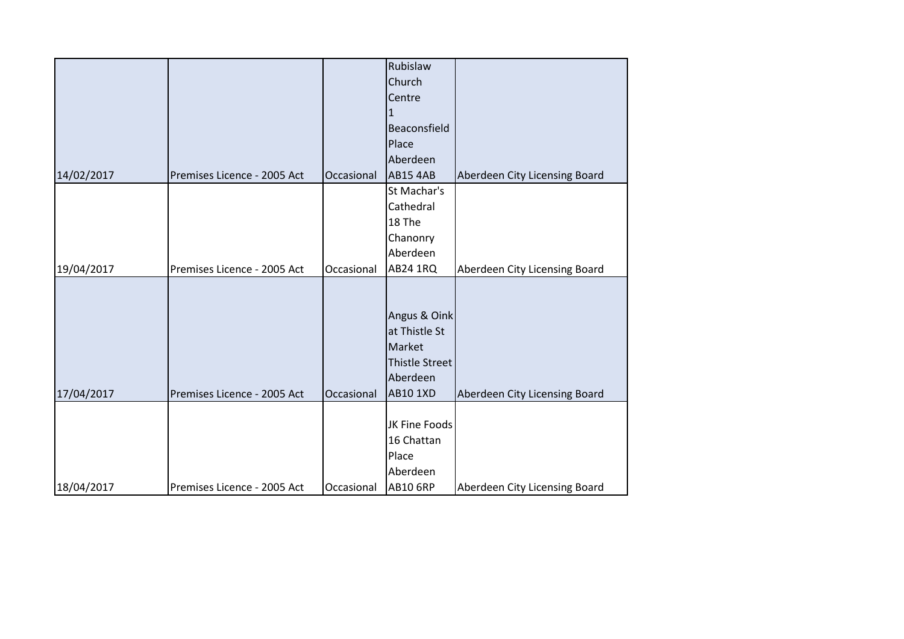|            |                             |            | Rubislaw        |                               |
|------------|-----------------------------|------------|-----------------|-------------------------------|
|            |                             |            | Church          |                               |
|            |                             |            | Centre          |                               |
|            |                             |            | $\mathbf{1}$    |                               |
|            |                             |            | Beaconsfield    |                               |
|            |                             |            | Place           |                               |
|            |                             |            | Aberdeen        |                               |
| 14/02/2017 | Premises Licence - 2005 Act | Occasional | <b>AB15 4AB</b> | Aberdeen City Licensing Board |
|            |                             |            | St Machar's     |                               |
|            |                             |            | Cathedral       |                               |
|            |                             |            | 18 The          |                               |
|            |                             |            | Chanonry        |                               |
|            |                             |            | Aberdeen        |                               |
| 19/04/2017 | Premises Licence - 2005 Act | Occasional | AB24 1RQ        | Aberdeen City Licensing Board |
|            |                             |            |                 |                               |
|            |                             |            |                 |                               |
|            |                             |            | Angus & Oink    |                               |
|            |                             |            | at Thistle St   |                               |
|            |                             |            | Market          |                               |
|            |                             |            | Thistle Street  |                               |
|            |                             |            | Aberdeen        |                               |
| 17/04/2017 | Premises Licence - 2005 Act | Occasional | <b>AB10 1XD</b> | Aberdeen City Licensing Board |
|            |                             |            |                 |                               |
|            |                             |            | JK Fine Foods   |                               |
|            |                             |            | 16 Chattan      |                               |
|            |                             |            | Place           |                               |
|            |                             |            | Aberdeen        |                               |
| 18/04/2017 | Premises Licence - 2005 Act | Occasional | <b>AB10 6RP</b> | Aberdeen City Licensing Board |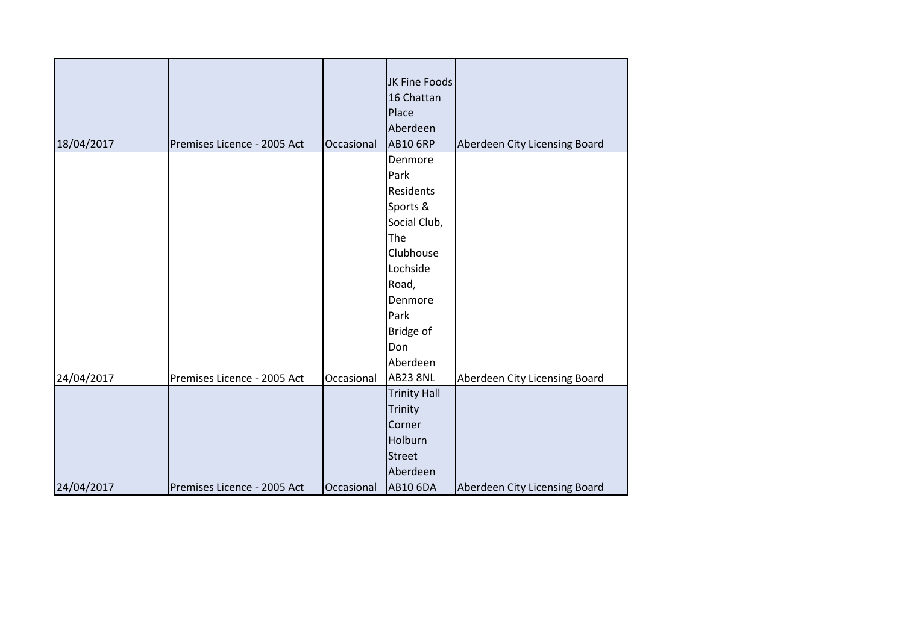|            |                             |            | JK Fine Foods       |                               |
|------------|-----------------------------|------------|---------------------|-------------------------------|
|            |                             |            | 16 Chattan          |                               |
|            |                             |            | Place               |                               |
|            |                             |            | Aberdeen            |                               |
| 18/04/2017 | Premises Licence - 2005 Act | Occasional | <b>AB10 6RP</b>     | Aberdeen City Licensing Board |
|            |                             |            | Denmore             |                               |
|            |                             |            | Park                |                               |
|            |                             |            | Residents           |                               |
|            |                             |            | Sports &            |                               |
|            |                             |            | Social Club,        |                               |
|            |                             |            | The                 |                               |
|            |                             |            | Clubhouse           |                               |
|            |                             |            | Lochside            |                               |
|            |                             |            | Road,               |                               |
|            |                             |            | Denmore             |                               |
|            |                             |            | Park                |                               |
|            |                             |            | Bridge of           |                               |
|            |                             |            | Don                 |                               |
|            |                             |            | Aberdeen            |                               |
| 24/04/2017 | Premises Licence - 2005 Act | Occasional | <b>AB23 8NL</b>     | Aberdeen City Licensing Board |
|            |                             |            | <b>Trinity Hall</b> |                               |
|            |                             |            | Trinity             |                               |
|            |                             |            | Corner              |                               |
|            |                             |            | Holburn             |                               |
|            |                             |            | <b>Street</b>       |                               |
|            |                             |            | Aberdeen            |                               |
| 24/04/2017 | Premises Licence - 2005 Act | Occasional | <b>AB10 6DA</b>     | Aberdeen City Licensing Board |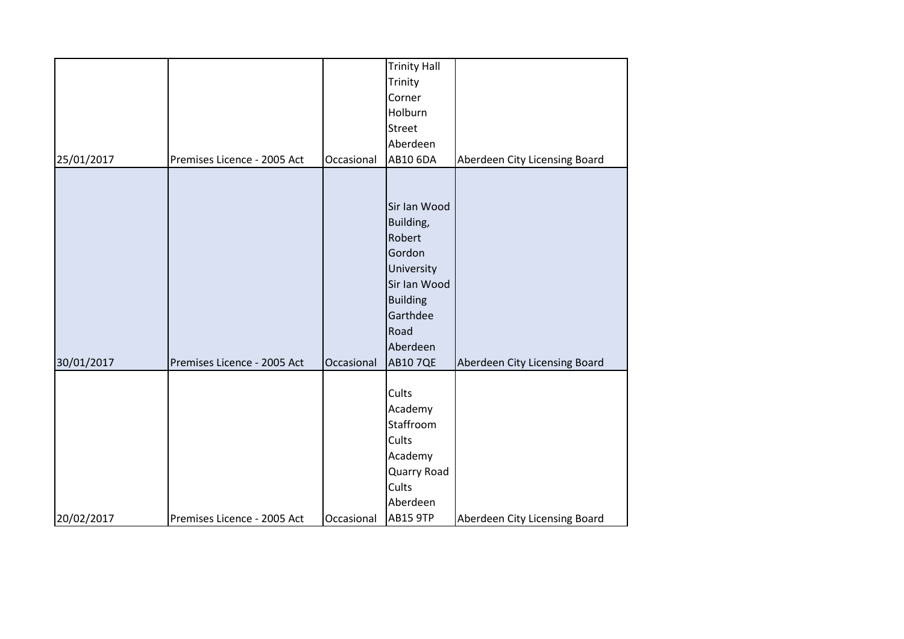|            |                             |            | <b>Trinity Hall</b> |                               |
|------------|-----------------------------|------------|---------------------|-------------------------------|
|            |                             |            | Trinity             |                               |
|            |                             |            | Corner              |                               |
|            |                             |            | Holburn             |                               |
|            |                             |            | <b>Street</b>       |                               |
|            |                             |            | Aberdeen            |                               |
| 25/01/2017 | Premises Licence - 2005 Act | Occasional | AB10 6DA            | Aberdeen City Licensing Board |
|            |                             |            |                     |                               |
|            |                             |            |                     |                               |
|            |                             |            | Sir Ian Wood        |                               |
|            |                             |            | Building,           |                               |
|            |                             |            | Robert              |                               |
|            |                             |            | Gordon              |                               |
|            |                             |            | University          |                               |
|            |                             |            | Sir Ian Wood        |                               |
|            |                             |            | <b>Building</b>     |                               |
|            |                             |            | Garthdee            |                               |
|            |                             |            | Road                |                               |
|            |                             |            | Aberdeen            |                               |
| 30/01/2017 | Premises Licence - 2005 Act | Occasional | <b>AB10 7QE</b>     | Aberdeen City Licensing Board |
|            |                             |            |                     |                               |
|            |                             |            | Cults               |                               |
|            |                             |            | Academy             |                               |
|            |                             |            | Staffroom           |                               |
|            |                             |            | Cults               |                               |
|            |                             |            | Academy             |                               |
|            |                             |            | Quarry Road         |                               |
|            |                             |            | Cults               |                               |
|            |                             |            | Aberdeen            |                               |
| 20/02/2017 | Premises Licence - 2005 Act | Occasional | <b>AB15 9TP</b>     | Aberdeen City Licensing Board |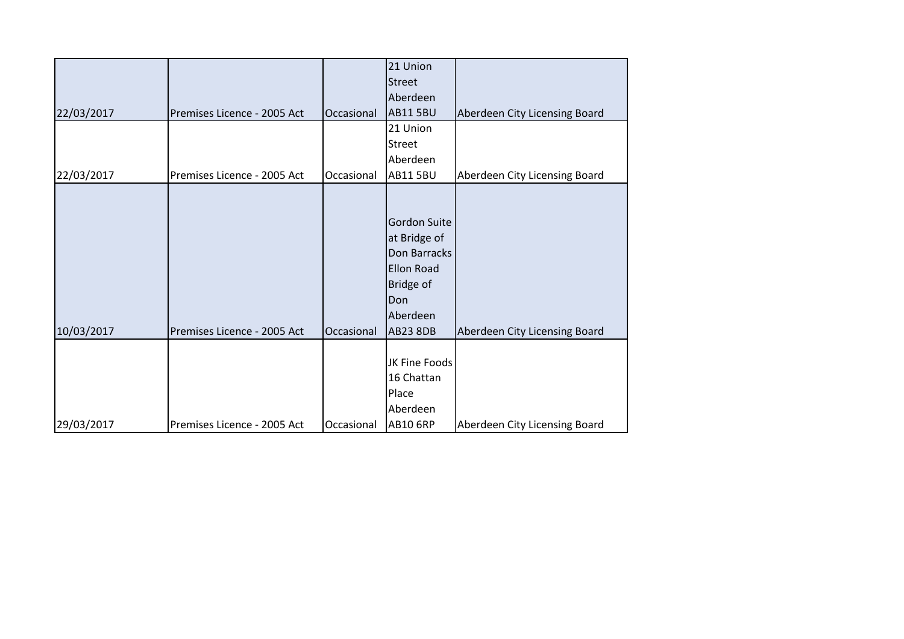|            |                             |            | 21 Union            |                               |
|------------|-----------------------------|------------|---------------------|-------------------------------|
|            |                             |            | <b>Street</b>       |                               |
|            |                             |            | Aberdeen            |                               |
| 22/03/2017 | Premises Licence - 2005 Act | Occasional | <b>AB11 5BU</b>     | Aberdeen City Licensing Board |
|            |                             |            | 21 Union            |                               |
|            |                             |            | <b>Street</b>       |                               |
|            |                             |            | Aberdeen            |                               |
| 22/03/2017 | Premises Licence - 2005 Act | Occasional | <b>AB11 5BU</b>     | Aberdeen City Licensing Board |
|            |                             |            |                     |                               |
|            |                             |            |                     |                               |
|            |                             |            | <b>Gordon Suite</b> |                               |
|            |                             |            | at Bridge of        |                               |
|            |                             |            | Don Barracks        |                               |
|            |                             |            | <b>Ellon Road</b>   |                               |
|            |                             |            | Bridge of           |                               |
|            |                             |            | Don                 |                               |
|            |                             |            | Aberdeen            |                               |
| 10/03/2017 | Premises Licence - 2005 Act | Occasional | <b>AB23 8DB</b>     | Aberdeen City Licensing Board |
|            |                             |            |                     |                               |
|            |                             |            | JK Fine Foods       |                               |
|            |                             |            | 16 Chattan          |                               |
|            |                             |            | Place               |                               |
|            |                             |            | Aberdeen            |                               |
| 29/03/2017 | Premises Licence - 2005 Act | Occasional | <b>AB10 6RP</b>     | Aberdeen City Licensing Board |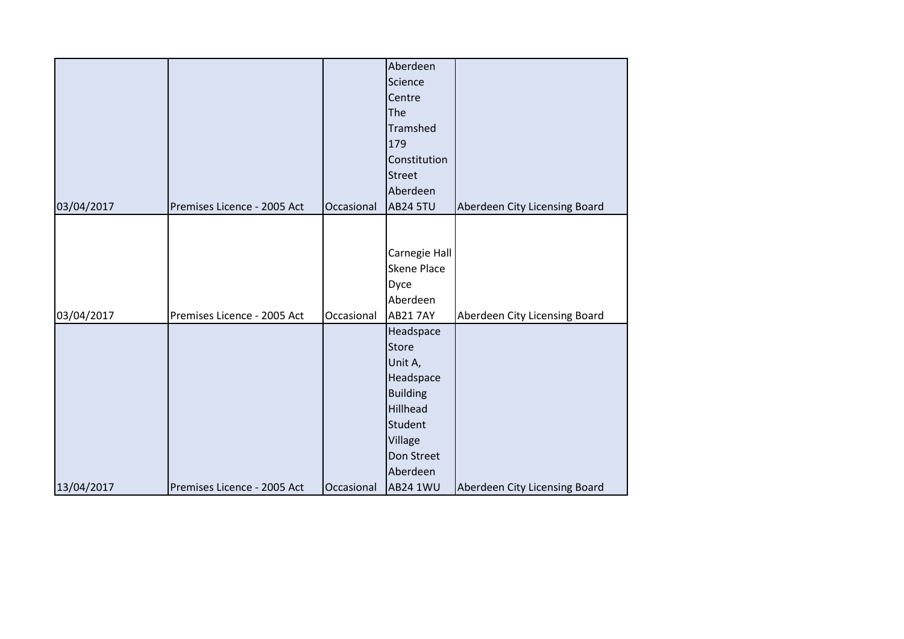| 03/04/2017 | Premises Licence - 2005 Act | Occasional | Aberdeen<br>Science<br>Centre<br>The<br>Tramshed<br>179<br>Constitution<br><b>Street</b><br>Aberdeen<br><b>AB24 5TU</b>                             | Aberdeen City Licensing Board |
|------------|-----------------------------|------------|-----------------------------------------------------------------------------------------------------------------------------------------------------|-------------------------------|
| 03/04/2017 | Premises Licence - 2005 Act | Occasional | Carnegie Hall<br><b>Skene Place</b><br>Dyce<br>Aberdeen<br><b>AB21 7AY</b>                                                                          | Aberdeen City Licensing Board |
| 13/04/2017 | Premises Licence - 2005 Act | Occasional | Headspace<br><b>Store</b><br>Unit A,<br>Headspace<br><b>Building</b><br>Hillhead<br>Student<br>Village<br>Don Street<br>Aberdeen<br><b>AB24 1WU</b> | Aberdeen City Licensing Board |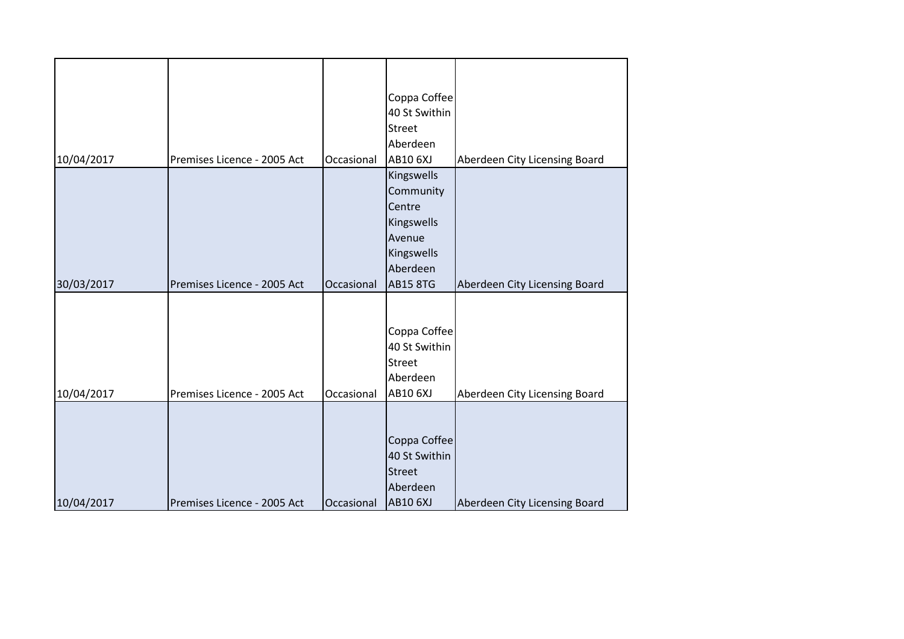|            |                             |            | Coppa Coffee    |                               |
|------------|-----------------------------|------------|-----------------|-------------------------------|
|            |                             |            | 40 St Swithin   |                               |
|            |                             |            | <b>Street</b>   |                               |
|            |                             |            | Aberdeen        |                               |
| 10/04/2017 | Premises Licence - 2005 Act | Occasional | <b>AB10 6XJ</b> | Aberdeen City Licensing Board |
|            |                             |            | Kingswells      |                               |
|            |                             |            | Community       |                               |
|            |                             |            | Centre          |                               |
|            |                             |            | Kingswells      |                               |
|            |                             |            | Avenue          |                               |
|            |                             |            | Kingswells      |                               |
|            |                             |            | Aberdeen        |                               |
| 30/03/2017 | Premises Licence - 2005 Act | Occasional | <b>AB15 8TG</b> | Aberdeen City Licensing Board |
|            |                             |            |                 |                               |
|            |                             |            |                 |                               |
|            |                             |            | Coppa Coffee    |                               |
|            |                             |            | 40 St Swithin   |                               |
|            |                             |            | Street          |                               |
|            |                             |            | Aberdeen        |                               |
| 10/04/2017 | Premises Licence - 2005 Act | Occasional | <b>AB10 6XJ</b> | Aberdeen City Licensing Board |
|            |                             |            |                 |                               |
|            |                             |            |                 |                               |
|            |                             |            | Coppa Coffee    |                               |
|            |                             |            | 40 St Swithin   |                               |
|            |                             |            | <b>Street</b>   |                               |
|            |                             |            | Aberdeen        |                               |
| 10/04/2017 | Premises Licence - 2005 Act | Occasional | <b>AB10 6XJ</b> | Aberdeen City Licensing Board |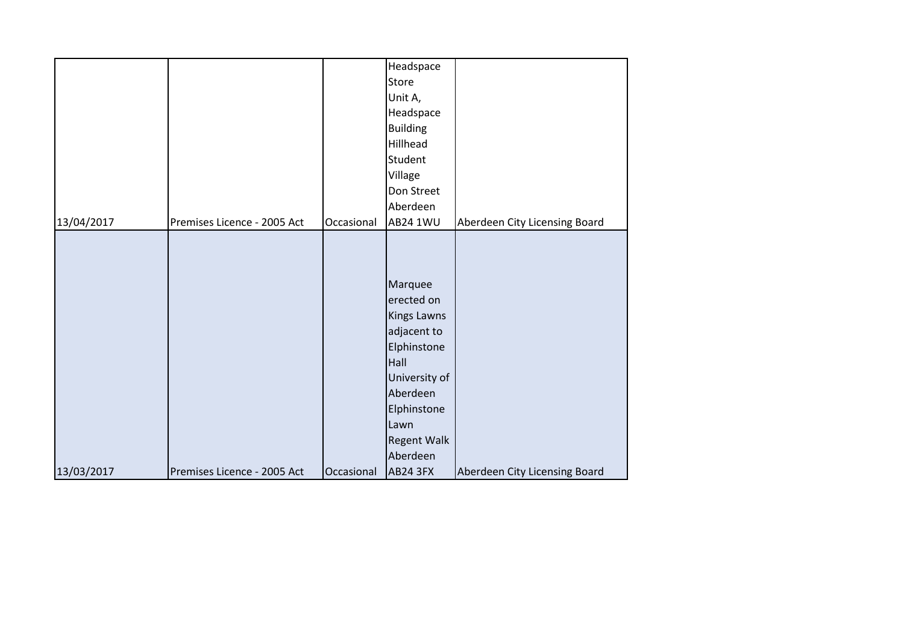|            |                             |            | Headspace          |                               |
|------------|-----------------------------|------------|--------------------|-------------------------------|
|            |                             |            | Store              |                               |
|            |                             |            | Unit A,            |                               |
|            |                             |            | Headspace          |                               |
|            |                             |            | <b>Building</b>    |                               |
|            |                             |            | Hillhead           |                               |
|            |                             |            | Student            |                               |
|            |                             |            | Village            |                               |
|            |                             |            | Don Street         |                               |
|            |                             |            | Aberdeen           |                               |
| 13/04/2017 | Premises Licence - 2005 Act | Occasional | <b>AB24 1WU</b>    | Aberdeen City Licensing Board |
|            |                             |            |                    |                               |
|            |                             |            |                    |                               |
|            |                             |            |                    |                               |
|            |                             |            | Marquee            |                               |
|            |                             |            | erected on         |                               |
|            |                             |            | <b>Kings Lawns</b> |                               |
|            |                             |            | adjacent to        |                               |
|            |                             |            | Elphinstone        |                               |
|            |                             |            | Hall               |                               |
|            |                             |            | University of      |                               |
|            |                             |            | Aberdeen           |                               |
|            |                             |            | Elphinstone        |                               |
|            |                             |            | Lawn               |                               |
|            |                             |            | <b>Regent Walk</b> |                               |
|            |                             |            | Aberdeen           |                               |
| 13/03/2017 | Premises Licence - 2005 Act | Occasional | <b>AB24 3FX</b>    | Aberdeen City Licensing Board |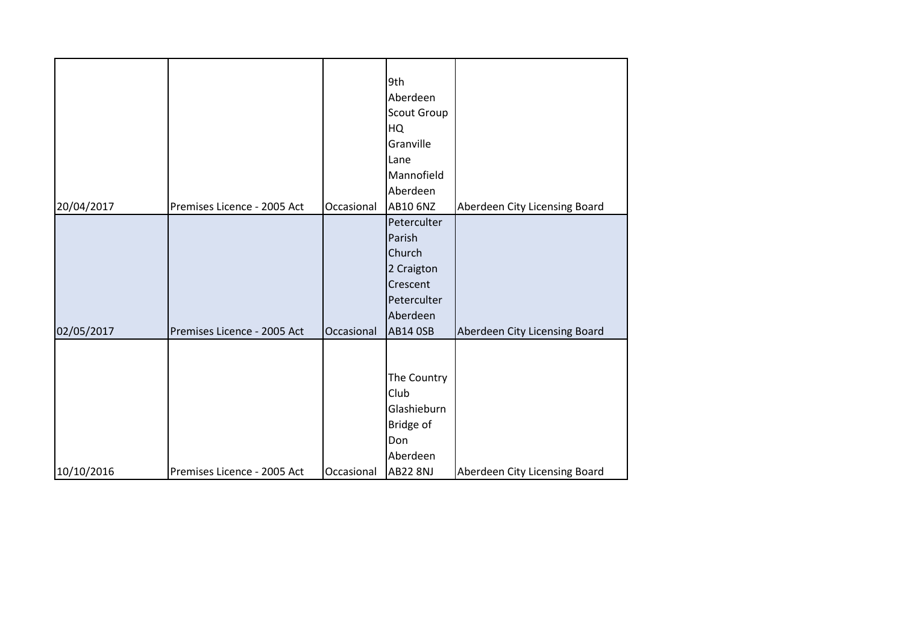|            |                             |            | 9th<br>Aberdeen<br><b>Scout Group</b><br><b>HQ</b><br>Granville<br>Lane<br>Mannofield<br>Aberdeen       |                               |
|------------|-----------------------------|------------|---------------------------------------------------------------------------------------------------------|-------------------------------|
| 20/04/2017 | Premises Licence - 2005 Act | Occasional | AB10 6NZ                                                                                                | Aberdeen City Licensing Board |
| 02/05/2017 | Premises Licence - 2005 Act | Occasional | Peterculter<br>Parish<br>Church<br>2 Craigton<br>Crescent<br>Peterculter<br>Aberdeen<br><b>AB14 OSB</b> | Aberdeen City Licensing Board |
| 10/10/2016 | Premises Licence - 2005 Act | Occasional | The Country<br>Club<br>Glashieburn<br>Bridge of<br>Don<br>Aberdeen<br><b>AB22 8NJ</b>                   | Aberdeen City Licensing Board |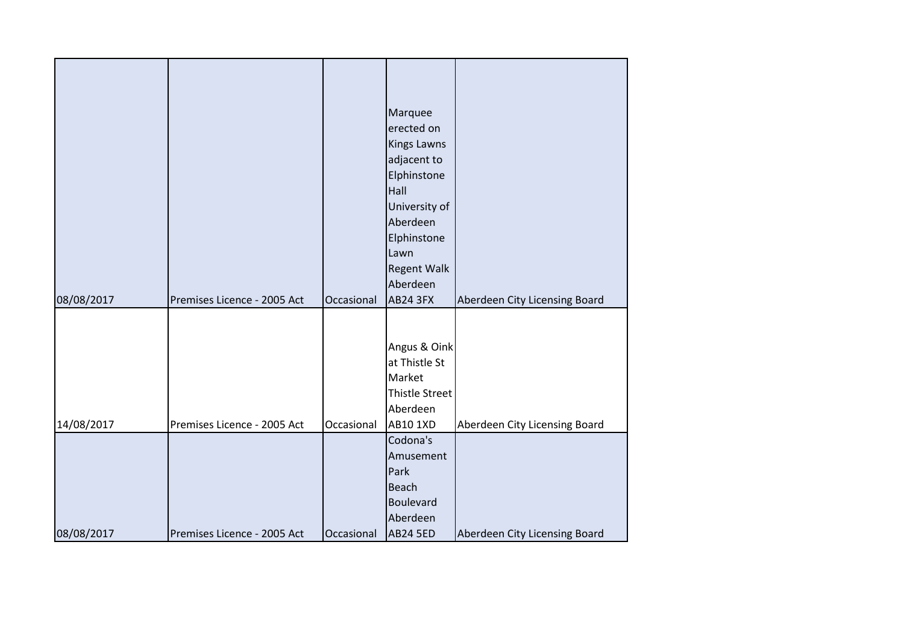| 08/08/2017 | Premises Licence - 2005 Act | Occasional | Marquee<br>erected on<br><b>Kings Lawns</b><br>adjacent to<br>Elphinstone<br>Hall<br>University of<br>Aberdeen<br>Elphinstone<br>Lawn<br><b>Regent Walk</b><br>Aberdeen<br><b>AB24 3FX</b> | Aberdeen City Licensing Board |
|------------|-----------------------------|------------|--------------------------------------------------------------------------------------------------------------------------------------------------------------------------------------------|-------------------------------|
| 14/08/2017 | Premises Licence - 2005 Act | Occasional | Angus & Oink<br>at Thistle St<br>Market<br><b>Thistle Street</b><br>Aberdeen<br><b>AB10 1XD</b>                                                                                            | Aberdeen City Licensing Board |
| 08/08/2017 | Premises Licence - 2005 Act | Occasional | Codona's<br>Amusement<br>Park<br><b>Beach</b><br>Boulevard<br>Aberdeen<br><b>AB24 5ED</b>                                                                                                  | Aberdeen City Licensing Board |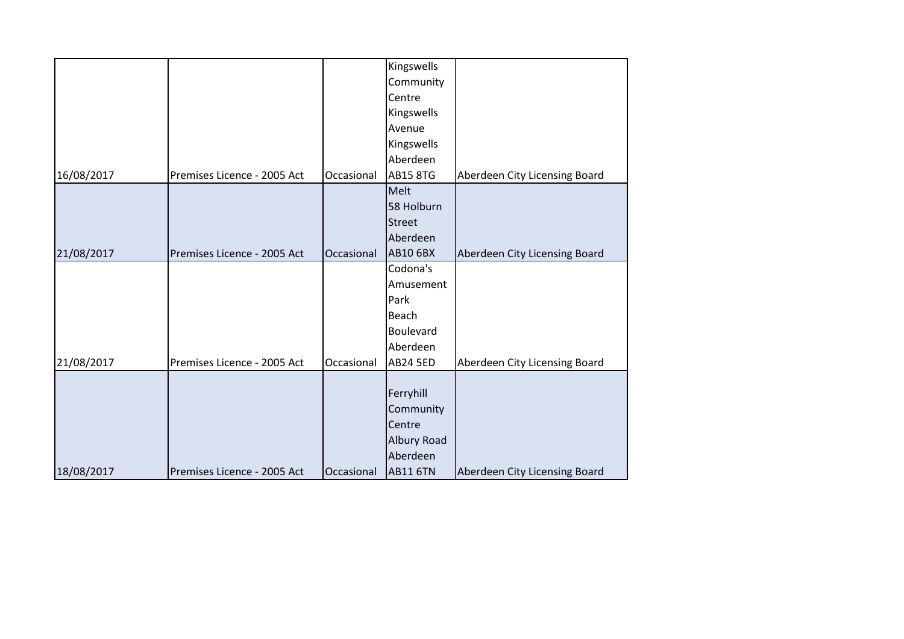|            |                             |            | Kingswells         |                               |
|------------|-----------------------------|------------|--------------------|-------------------------------|
|            |                             |            | Community          |                               |
|            |                             |            | Centre             |                               |
|            |                             |            | Kingswells         |                               |
|            |                             |            | Avenue             |                               |
|            |                             |            | Kingswells         |                               |
|            |                             |            | Aberdeen           |                               |
| 16/08/2017 | Premises Licence - 2005 Act | Occasional | <b>AB15 8TG</b>    | Aberdeen City Licensing Board |
|            |                             |            | Melt               |                               |
|            |                             |            | 58 Holburn         |                               |
|            |                             |            | <b>Street</b>      |                               |
|            |                             |            | Aberdeen           |                               |
| 21/08/2017 | Premises Licence - 2005 Act | Occasional | <b>AB10 6BX</b>    | Aberdeen City Licensing Board |
|            |                             |            | Codona's           |                               |
|            |                             |            | Amusement          |                               |
|            |                             |            | Park               |                               |
|            |                             |            | <b>Beach</b>       |                               |
|            |                             |            | Boulevard          |                               |
|            |                             |            | Aberdeen           |                               |
| 21/08/2017 | Premises Licence - 2005 Act | Occasional | <b>AB24 5ED</b>    | Aberdeen City Licensing Board |
|            |                             |            |                    |                               |
|            |                             |            | Ferryhill          |                               |
|            |                             |            | Community          |                               |
|            |                             |            | Centre             |                               |
|            |                             |            | <b>Albury Road</b> |                               |
|            |                             |            | Aberdeen           |                               |
| 18/08/2017 | Premises Licence - 2005 Act | Occasional | <b>AB11 6TN</b>    | Aberdeen City Licensing Board |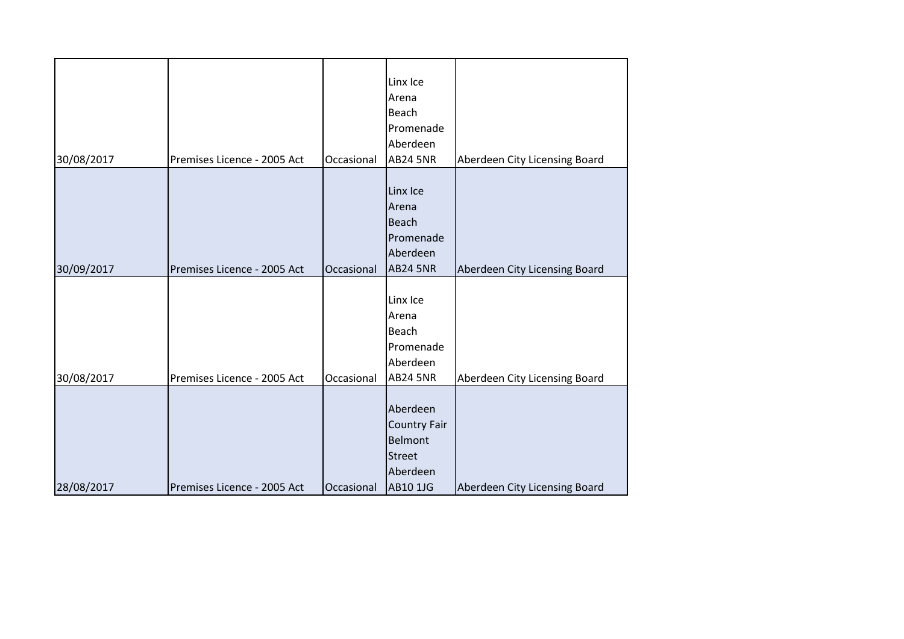| 30/08/2017 | Premises Licence - 2005 Act | Occasional | Linx Ice<br>Arena<br>Beach<br>Promenade<br>Aberdeen<br><b>AB24 5NR</b>                     | Aberdeen City Licensing Board |
|------------|-----------------------------|------------|--------------------------------------------------------------------------------------------|-------------------------------|
| 30/09/2017 | Premises Licence - 2005 Act | Occasional | Linx Ice<br>Arena<br><b>Beach</b><br>Promenade<br>Aberdeen<br><b>AB24 5NR</b>              | Aberdeen City Licensing Board |
| 30/08/2017 | Premises Licence - 2005 Act | Occasional | Linx Ice<br>Arena<br><b>Beach</b><br>Promenade<br>Aberdeen<br><b>AB24 5NR</b>              | Aberdeen City Licensing Board |
| 28/08/2017 | Premises Licence - 2005 Act | Occasional | Aberdeen<br><b>Country Fair</b><br>Belmont<br><b>Street</b><br>Aberdeen<br><b>AB10 1JG</b> | Aberdeen City Licensing Board |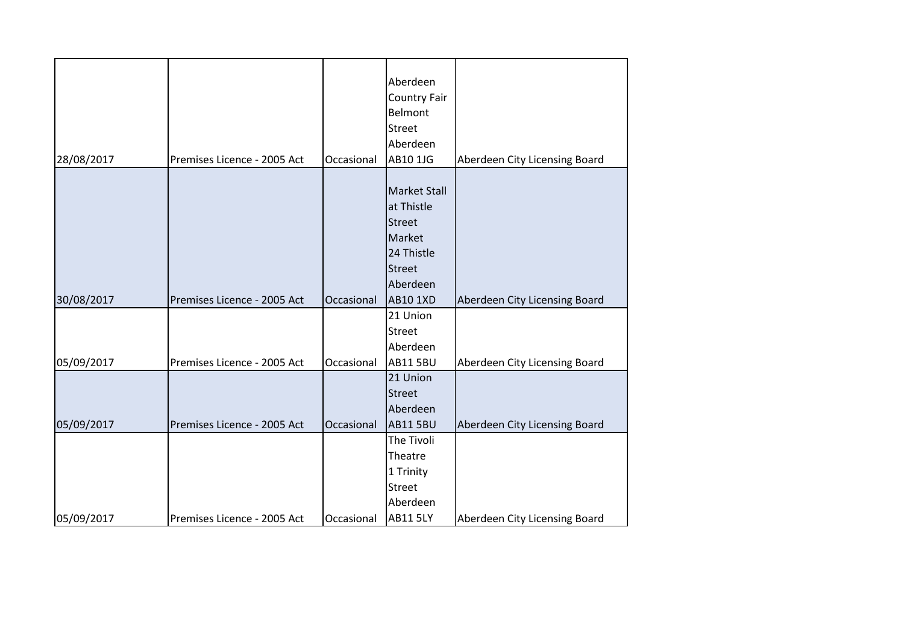|            |                             |            | Aberdeen<br><b>Country Fair</b> |                               |
|------------|-----------------------------|------------|---------------------------------|-------------------------------|
|            |                             |            | Belmont                         |                               |
|            |                             |            | <b>Street</b>                   |                               |
|            |                             |            | Aberdeen                        |                               |
| 28/08/2017 | Premises Licence - 2005 Act | Occasional | AB10 1JG                        | Aberdeen City Licensing Board |
|            |                             |            |                                 |                               |
|            |                             |            | <b>Market Stall</b>             |                               |
|            |                             |            | at Thistle                      |                               |
|            |                             |            | <b>Street</b>                   |                               |
|            |                             |            | Market                          |                               |
|            |                             |            | 24 Thistle                      |                               |
|            |                             |            | <b>Street</b>                   |                               |
|            |                             |            | Aberdeen                        |                               |
| 30/08/2017 | Premises Licence - 2005 Act | Occasional | <b>AB10 1XD</b>                 | Aberdeen City Licensing Board |
|            |                             |            | 21 Union                        |                               |
|            |                             |            | <b>Street</b>                   |                               |
|            |                             |            | Aberdeen                        |                               |
| 05/09/2017 | Premises Licence - 2005 Act | Occasional | <b>AB11 5BU</b>                 | Aberdeen City Licensing Board |
|            |                             |            | 21 Union                        |                               |
|            |                             |            | <b>Street</b>                   |                               |
|            |                             |            | Aberdeen                        |                               |
| 05/09/2017 | Premises Licence - 2005 Act | Occasional | <b>AB11 5BU</b>                 | Aberdeen City Licensing Board |
|            |                             |            | The Tivoli                      |                               |
|            |                             |            | Theatre                         |                               |
|            |                             |            | 1 Trinity                       |                               |
|            |                             |            | <b>Street</b>                   |                               |
|            |                             |            | Aberdeen                        |                               |
| 05/09/2017 | Premises Licence - 2005 Act | Occasional | <b>AB11 5LY</b>                 | Aberdeen City Licensing Board |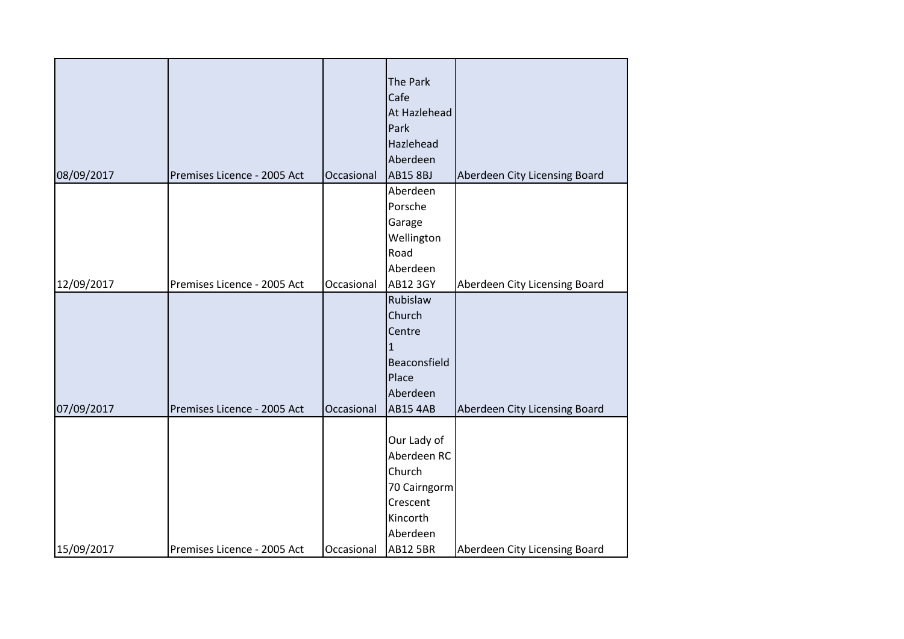|            |                             |            | The Park        |                               |
|------------|-----------------------------|------------|-----------------|-------------------------------|
|            |                             |            | Cafe            |                               |
|            |                             |            | At Hazlehead    |                               |
|            |                             |            | Park            |                               |
|            |                             |            | Hazlehead       |                               |
|            |                             |            | Aberdeen        |                               |
| 08/09/2017 | Premises Licence - 2005 Act | Occasional | <b>AB15 8BJ</b> | Aberdeen City Licensing Board |
|            |                             |            | Aberdeen        |                               |
|            |                             |            | Porsche         |                               |
|            |                             |            | Garage          |                               |
|            |                             |            | Wellington      |                               |
|            |                             |            | Road            |                               |
|            |                             |            | Aberdeen        |                               |
| 12/09/2017 | Premises Licence - 2005 Act | Occasional | <b>AB12 3GY</b> | Aberdeen City Licensing Board |
|            |                             |            | Rubislaw        |                               |
|            |                             |            | Church          |                               |
|            |                             |            | Centre          |                               |
|            |                             |            | $\mathbf{1}$    |                               |
|            |                             |            | Beaconsfield    |                               |
|            |                             |            | Place           |                               |
|            |                             |            | Aberdeen        |                               |
| 07/09/2017 | Premises Licence - 2005 Act | Occasional | <b>AB15 4AB</b> | Aberdeen City Licensing Board |
|            |                             |            |                 |                               |
|            |                             |            | Our Lady of     |                               |
|            |                             |            | Aberdeen RC     |                               |
|            |                             |            | Church          |                               |
|            |                             |            | 70 Cairngorm    |                               |
|            |                             |            | Crescent        |                               |
|            |                             |            | Kincorth        |                               |
|            |                             |            | Aberdeen        |                               |
| 15/09/2017 | Premises Licence - 2005 Act | Occasional | <b>AB12 5BR</b> | Aberdeen City Licensing Board |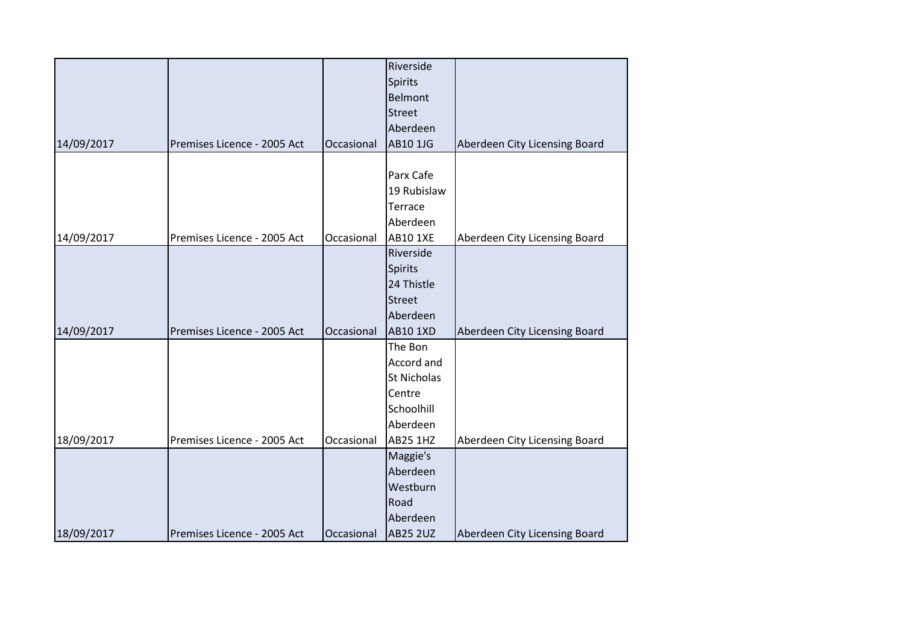|            |                             |            | Riverside       |                               |
|------------|-----------------------------|------------|-----------------|-------------------------------|
|            |                             |            | Spirits         |                               |
|            |                             |            | Belmont         |                               |
|            |                             |            | <b>Street</b>   |                               |
|            |                             |            | Aberdeen        |                               |
| 14/09/2017 | Premises Licence - 2005 Act | Occasional | AB10 1JG        | Aberdeen City Licensing Board |
|            |                             |            |                 |                               |
|            |                             |            | Parx Cafe       |                               |
|            |                             |            | 19 Rubislaw     |                               |
|            |                             |            | Terrace         |                               |
|            |                             |            | Aberdeen        |                               |
| 14/09/2017 | Premises Licence - 2005 Act | Occasional | <b>AB10 1XE</b> | Aberdeen City Licensing Board |
|            |                             |            | Riverside       |                               |
|            |                             |            | <b>Spirits</b>  |                               |
|            |                             |            | 24 Thistle      |                               |
|            |                             |            | <b>Street</b>   |                               |
|            |                             |            | Aberdeen        |                               |
| 14/09/2017 | Premises Licence - 2005 Act | Occasional | <b>AB10 1XD</b> | Aberdeen City Licensing Board |
|            |                             |            | The Bon         |                               |
|            |                             |            | Accord and      |                               |
|            |                             |            | St Nicholas     |                               |
|            |                             |            | Centre          |                               |
|            |                             |            | Schoolhill      |                               |
|            |                             |            | Aberdeen        |                               |
| 18/09/2017 | Premises Licence - 2005 Act | Occasional | <b>AB25 1HZ</b> | Aberdeen City Licensing Board |
|            |                             |            | Maggie's        |                               |
|            |                             |            | Aberdeen        |                               |
|            |                             |            | Westburn        |                               |
|            |                             |            | Road            |                               |
|            |                             |            | Aberdeen        |                               |
| 18/09/2017 | Premises Licence - 2005 Act | Occasional | <b>AB25 2UZ</b> | Aberdeen City Licensing Board |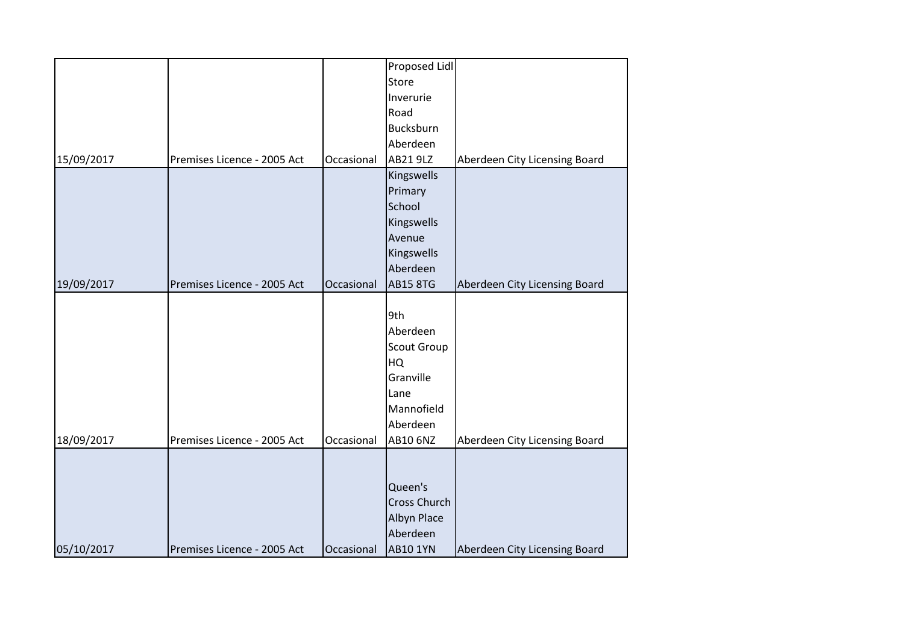|            |                             |            | Proposed Lidl   |                               |
|------------|-----------------------------|------------|-----------------|-------------------------------|
|            |                             |            | Store           |                               |
|            |                             |            | Inverurie       |                               |
|            |                             |            | Road            |                               |
|            |                             |            | Bucksburn       |                               |
|            |                             |            | Aberdeen        |                               |
| 15/09/2017 | Premises Licence - 2005 Act | Occasional | AB21 9LZ        | Aberdeen City Licensing Board |
|            |                             |            | Kingswells      |                               |
|            |                             |            | Primary         |                               |
|            |                             |            | School          |                               |
|            |                             |            | Kingswells      |                               |
|            |                             |            | Avenue          |                               |
|            |                             |            | Kingswells      |                               |
|            |                             |            | Aberdeen        |                               |
| 19/09/2017 | Premises Licence - 2005 Act | Occasional | <b>AB15 8TG</b> | Aberdeen City Licensing Board |
|            |                             |            |                 |                               |
|            |                             |            | 9th             |                               |
|            |                             |            | Aberdeen        |                               |
|            |                             |            | Scout Group     |                               |
|            |                             |            | HQ              |                               |
|            |                             |            | Granville       |                               |
|            |                             |            | Lane            |                               |
|            |                             |            | Mannofield      |                               |
|            |                             |            | Aberdeen        |                               |
| 18/09/2017 | Premises Licence - 2005 Act | Occasional | AB10 6NZ        | Aberdeen City Licensing Board |
|            |                             |            |                 |                               |
|            |                             |            |                 |                               |
|            |                             |            | Queen's         |                               |
|            |                             |            | Cross Church    |                               |
|            |                             |            | Albyn Place     |                               |
|            |                             |            | Aberdeen        |                               |
| 05/10/2017 | Premises Licence - 2005 Act | Occasional | <b>AB10 1YN</b> | Aberdeen City Licensing Board |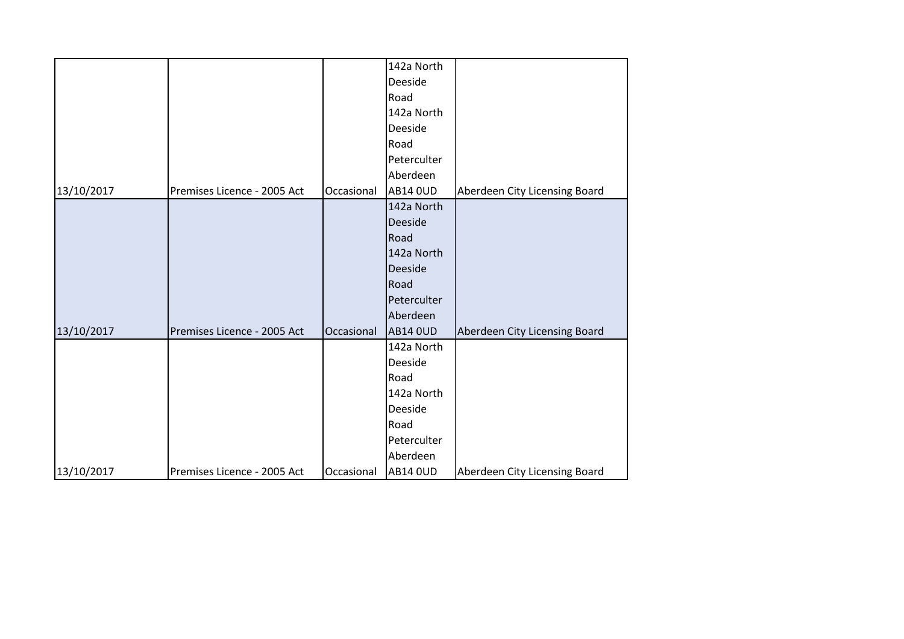|            |                             |            | 142a North      |                               |
|------------|-----------------------------|------------|-----------------|-------------------------------|
|            |                             |            | Deeside         |                               |
|            |                             |            | Road            |                               |
|            |                             |            | 142a North      |                               |
|            |                             |            | Deeside         |                               |
|            |                             |            | Road            |                               |
|            |                             |            | Peterculter     |                               |
|            |                             |            | Aberdeen        |                               |
| 13/10/2017 | Premises Licence - 2005 Act | Occasional | <b>AB14 OUD</b> | Aberdeen City Licensing Board |
|            |                             |            | 142a North      |                               |
|            |                             |            | Deeside         |                               |
|            |                             |            | Road            |                               |
|            |                             |            | 142a North      |                               |
|            |                             |            | Deeside         |                               |
|            |                             |            | Road            |                               |
|            |                             |            | Peterculter     |                               |
|            |                             |            | Aberdeen        |                               |
| 13/10/2017 | Premises Licence - 2005 Act | Occasional | <b>AB14 OUD</b> | Aberdeen City Licensing Board |
|            |                             |            | 142a North      |                               |
|            |                             |            | Deeside         |                               |
|            |                             |            | Road            |                               |
|            |                             |            | 142a North      |                               |
|            |                             |            | Deeside         |                               |
|            |                             |            | Road            |                               |
|            |                             |            | Peterculter     |                               |
|            |                             |            | Aberdeen        |                               |
| 13/10/2017 | Premises Licence - 2005 Act | Occasional | <b>AB14 OUD</b> | Aberdeen City Licensing Board |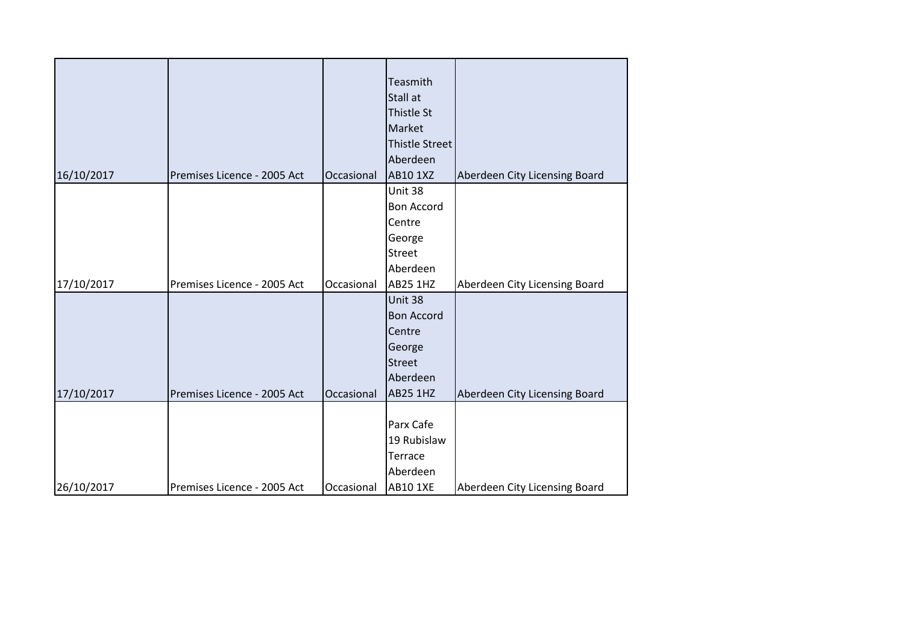| Teasmith<br>Stall at<br>Thistle St<br>Market<br><b>Thistle Street</b><br>Aberdeen<br><b>AB10 1XZ</b><br>16/10/2017<br>Premises Licence - 2005 Act<br>Occasional<br>Aberdeen City Licensing Board<br>Unit 38<br><b>Bon Accord</b><br>Centre<br>George<br><b>Street</b><br>Aberdeen<br>17/10/2017<br>Premises Licence - 2005 Act<br><b>AB25 1HZ</b><br>Aberdeen City Licensing Board<br>Occasional<br>Unit 38<br><b>Bon Accord</b><br>Centre<br>George<br><b>Street</b><br>Aberdeen<br>17/10/2017<br>Premises Licence - 2005 Act<br>Occasional<br><b>AB25 1HZ</b><br>Aberdeen City Licensing Board<br>Parx Cafe<br>19 Rubislaw<br>Terrace<br>Aberdeen<br><b>AB10 1XE</b><br>26/10/2017<br>Premises Licence - 2005 Act<br>Aberdeen City Licensing Board<br>Occasional |  |  |  |
|--------------------------------------------------------------------------------------------------------------------------------------------------------------------------------------------------------------------------------------------------------------------------------------------------------------------------------------------------------------------------------------------------------------------------------------------------------------------------------------------------------------------------------------------------------------------------------------------------------------------------------------------------------------------------------------------------------------------------------------------------------------------|--|--|--|
|                                                                                                                                                                                                                                                                                                                                                                                                                                                                                                                                                                                                                                                                                                                                                                    |  |  |  |
|                                                                                                                                                                                                                                                                                                                                                                                                                                                                                                                                                                                                                                                                                                                                                                    |  |  |  |
|                                                                                                                                                                                                                                                                                                                                                                                                                                                                                                                                                                                                                                                                                                                                                                    |  |  |  |
|                                                                                                                                                                                                                                                                                                                                                                                                                                                                                                                                                                                                                                                                                                                                                                    |  |  |  |
|                                                                                                                                                                                                                                                                                                                                                                                                                                                                                                                                                                                                                                                                                                                                                                    |  |  |  |
|                                                                                                                                                                                                                                                                                                                                                                                                                                                                                                                                                                                                                                                                                                                                                                    |  |  |  |
|                                                                                                                                                                                                                                                                                                                                                                                                                                                                                                                                                                                                                                                                                                                                                                    |  |  |  |
|                                                                                                                                                                                                                                                                                                                                                                                                                                                                                                                                                                                                                                                                                                                                                                    |  |  |  |
|                                                                                                                                                                                                                                                                                                                                                                                                                                                                                                                                                                                                                                                                                                                                                                    |  |  |  |
|                                                                                                                                                                                                                                                                                                                                                                                                                                                                                                                                                                                                                                                                                                                                                                    |  |  |  |
|                                                                                                                                                                                                                                                                                                                                                                                                                                                                                                                                                                                                                                                                                                                                                                    |  |  |  |
|                                                                                                                                                                                                                                                                                                                                                                                                                                                                                                                                                                                                                                                                                                                                                                    |  |  |  |
|                                                                                                                                                                                                                                                                                                                                                                                                                                                                                                                                                                                                                                                                                                                                                                    |  |  |  |
|                                                                                                                                                                                                                                                                                                                                                                                                                                                                                                                                                                                                                                                                                                                                                                    |  |  |  |
|                                                                                                                                                                                                                                                                                                                                                                                                                                                                                                                                                                                                                                                                                                                                                                    |  |  |  |
|                                                                                                                                                                                                                                                                                                                                                                                                                                                                                                                                                                                                                                                                                                                                                                    |  |  |  |
|                                                                                                                                                                                                                                                                                                                                                                                                                                                                                                                                                                                                                                                                                                                                                                    |  |  |  |
|                                                                                                                                                                                                                                                                                                                                                                                                                                                                                                                                                                                                                                                                                                                                                                    |  |  |  |
|                                                                                                                                                                                                                                                                                                                                                                                                                                                                                                                                                                                                                                                                                                                                                                    |  |  |  |
|                                                                                                                                                                                                                                                                                                                                                                                                                                                                                                                                                                                                                                                                                                                                                                    |  |  |  |
|                                                                                                                                                                                                                                                                                                                                                                                                                                                                                                                                                                                                                                                                                                                                                                    |  |  |  |
|                                                                                                                                                                                                                                                                                                                                                                                                                                                                                                                                                                                                                                                                                                                                                                    |  |  |  |
|                                                                                                                                                                                                                                                                                                                                                                                                                                                                                                                                                                                                                                                                                                                                                                    |  |  |  |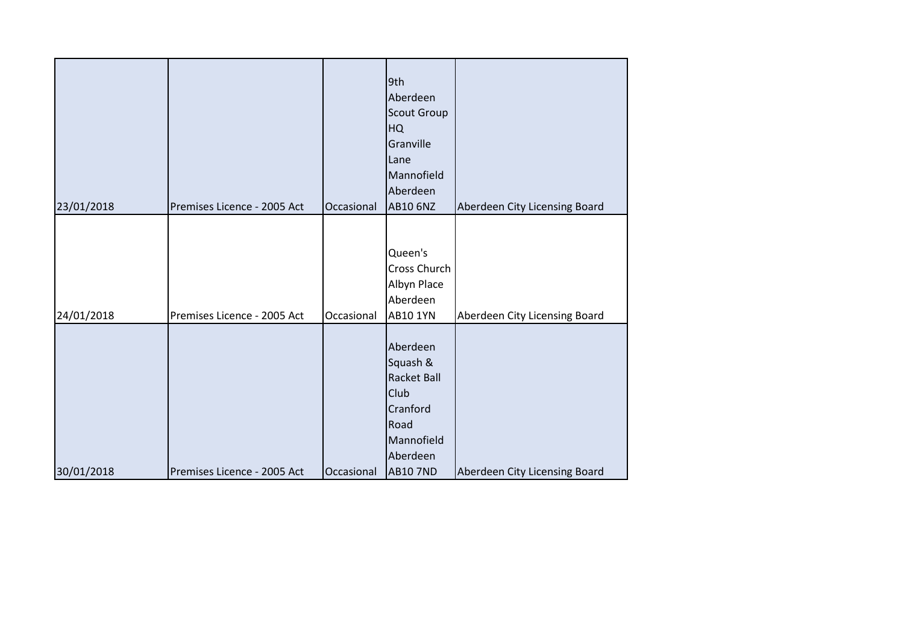| 23/01/2018 | Premises Licence - 2005 Act | Occasional | 9th<br>Aberdeen<br><b>Scout Group</b><br>HQ<br>Granville<br>Lane<br>Mannofield<br>Aberdeen<br><b>AB10 6NZ</b>       | Aberdeen City Licensing Board |
|------------|-----------------------------|------------|---------------------------------------------------------------------------------------------------------------------|-------------------------------|
| 24/01/2018 | Premises Licence - 2005 Act | Occasional | Queen's<br>Cross Church<br>Albyn Place<br>Aberdeen<br><b>AB10 1YN</b>                                               | Aberdeen City Licensing Board |
| 30/01/2018 | Premises Licence - 2005 Act | Occasional | Aberdeen<br>Squash &<br><b>Racket Ball</b><br>Club<br>Cranford<br>Road<br>Mannofield<br>Aberdeen<br><b>AB10 7ND</b> | Aberdeen City Licensing Board |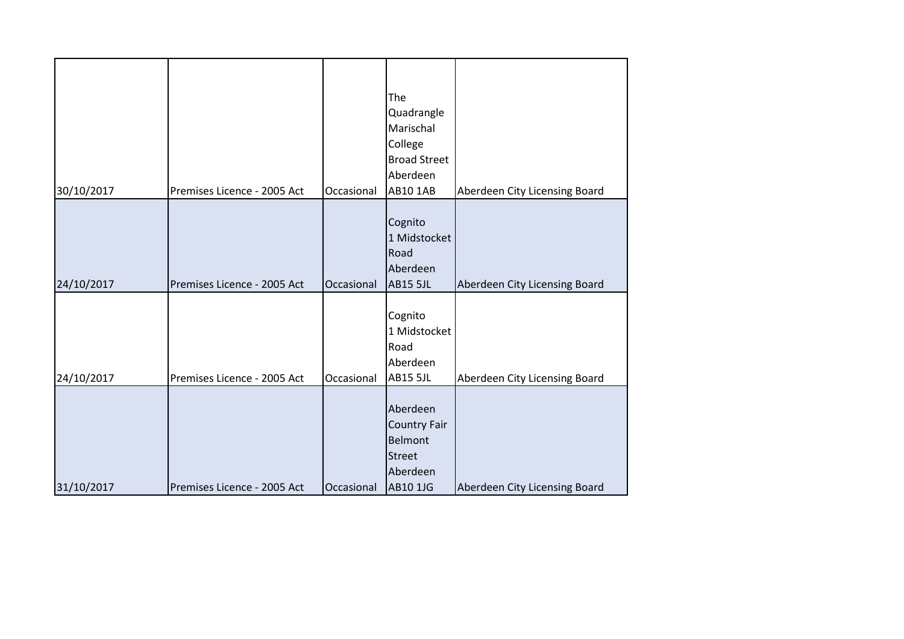| 30/10/2017 | Premises Licence - 2005 Act | Occasional | The<br>Quadrangle<br>Marischal<br>College<br><b>Broad Street</b><br>Aberdeen<br><b>AB10 1AB</b> | Aberdeen City Licensing Board |
|------------|-----------------------------|------------|-------------------------------------------------------------------------------------------------|-------------------------------|
| 24/10/2017 | Premises Licence - 2005 Act | Occasional | Cognito<br>1 Midstocket<br>Road<br>Aberdeen<br><b>AB15 5JL</b>                                  | Aberdeen City Licensing Board |
| 24/10/2017 | Premises Licence - 2005 Act | Occasional | Cognito<br>1 Midstocket<br>Road<br>Aberdeen<br><b>AB15 5JL</b>                                  | Aberdeen City Licensing Board |
| 31/10/2017 | Premises Licence - 2005 Act | Occasional | Aberdeen<br>Country Fair<br>Belmont<br><b>Street</b><br>Aberdeen<br><b>AB10 1JG</b>             | Aberdeen City Licensing Board |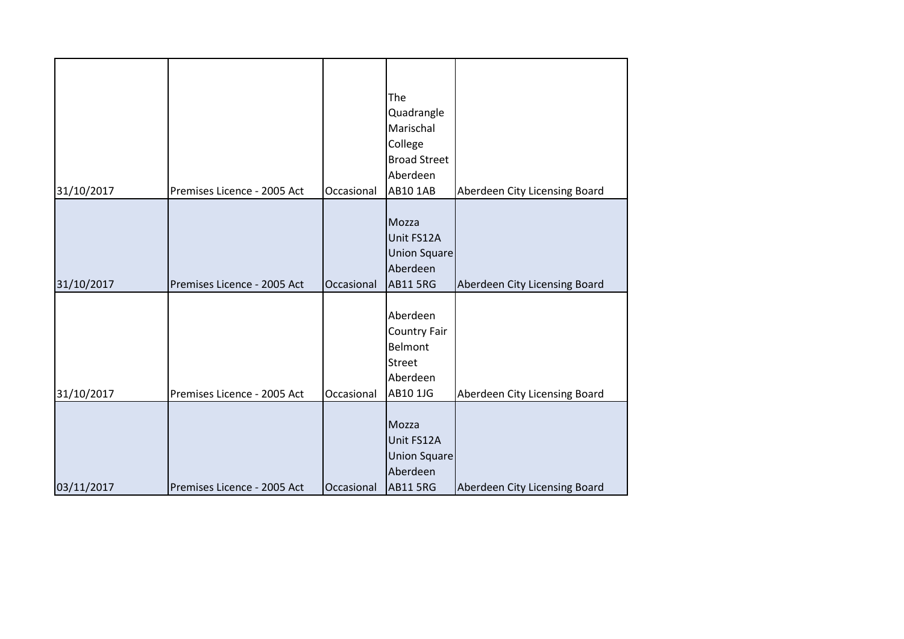|            |                             |            | The<br>Quadrangle<br>Marischal<br>College<br><b>Broad Street</b>                    |                               |
|------------|-----------------------------|------------|-------------------------------------------------------------------------------------|-------------------------------|
| 31/10/2017 | Premises Licence - 2005 Act | Occasional | Aberdeen<br><b>AB10 1AB</b>                                                         | Aberdeen City Licensing Board |
| 31/10/2017 | Premises Licence - 2005 Act | Occasional | Mozza<br>Unit FS12A<br><b>Union Square</b><br>Aberdeen<br><b>AB11 5RG</b>           | Aberdeen City Licensing Board |
| 31/10/2017 | Premises Licence - 2005 Act | Occasional | Aberdeen<br><b>Country Fair</b><br>Belmont<br><b>Street</b><br>Aberdeen<br>AB10 1JG | Aberdeen City Licensing Board |
| 03/11/2017 | Premises Licence - 2005 Act | Occasional | Mozza<br>Unit FS12A<br><b>Union Square</b><br>Aberdeen<br><b>AB11 5RG</b>           | Aberdeen City Licensing Board |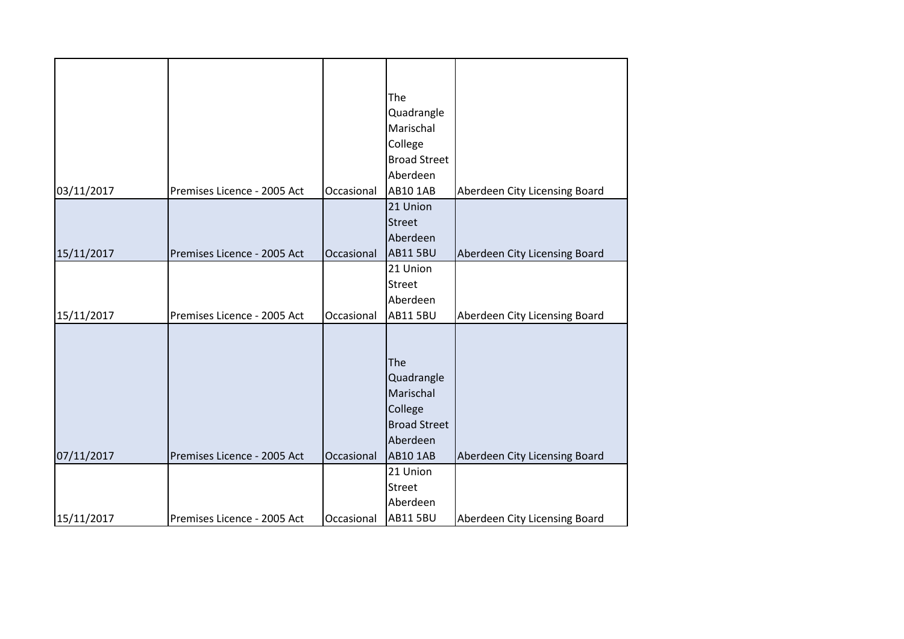|            |                             |            | The<br>Quadrangle<br>Marischal<br>College                                                       |                               |
|------------|-----------------------------|------------|-------------------------------------------------------------------------------------------------|-------------------------------|
|            |                             |            | <b>Broad Street</b><br>Aberdeen                                                                 |                               |
| 03/11/2017 | Premises Licence - 2005 Act | Occasional | AB10 1AB                                                                                        | Aberdeen City Licensing Board |
| 15/11/2017 | Premises Licence - 2005 Act | Occasional | 21 Union<br><b>Street</b><br>Aberdeen<br><b>AB11 5BU</b>                                        | Aberdeen City Licensing Board |
| 15/11/2017 | Premises Licence - 2005 Act | Occasional | 21 Union<br><b>Street</b><br>Aberdeen<br><b>AB11 5BU</b>                                        | Aberdeen City Licensing Board |
| 07/11/2017 | Premises Licence - 2005 Act | Occasional | The<br>Quadrangle<br>Marischal<br>College<br><b>Broad Street</b><br>Aberdeen<br><b>AB10 1AB</b> | Aberdeen City Licensing Board |
|            |                             |            | 21 Union<br><b>Street</b><br>Aberdeen                                                           |                               |
| 15/11/2017 | Premises Licence - 2005 Act | Occasional | <b>AB11 5BU</b>                                                                                 | Aberdeen City Licensing Board |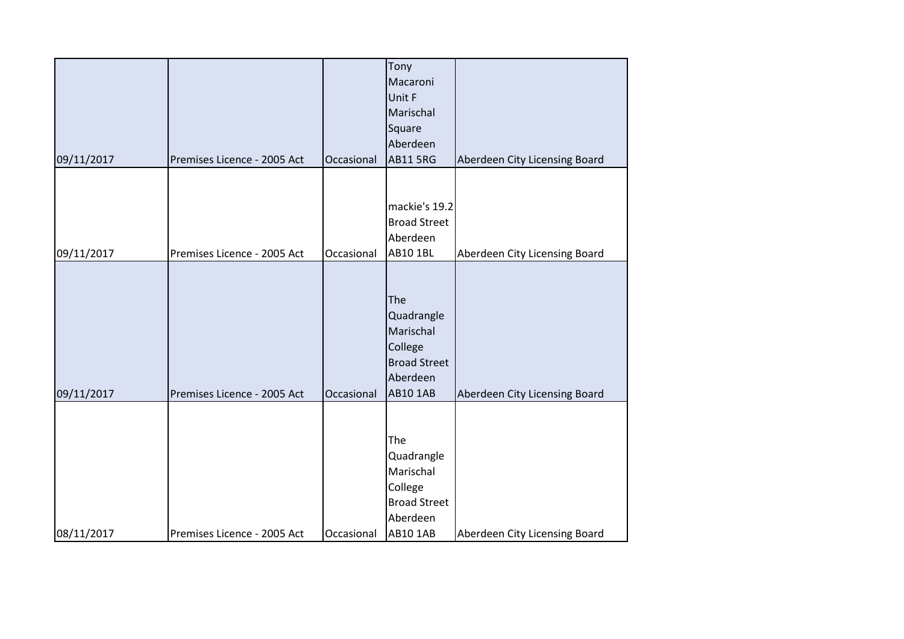|            |                             |            | Tony                |                               |
|------------|-----------------------------|------------|---------------------|-------------------------------|
|            |                             |            | Macaroni            |                               |
|            |                             |            | Unit F              |                               |
|            |                             |            | Marischal           |                               |
|            |                             |            | Square              |                               |
|            |                             |            | Aberdeen            |                               |
| 09/11/2017 | Premises Licence - 2005 Act | Occasional | <b>AB11 5RG</b>     | Aberdeen City Licensing Board |
|            |                             |            |                     |                               |
|            |                             |            |                     |                               |
|            |                             |            | mackie's 19.2       |                               |
|            |                             |            | <b>Broad Street</b> |                               |
|            |                             |            | Aberdeen            |                               |
| 09/11/2017 | Premises Licence - 2005 Act | Occasional | <b>AB10 1BL</b>     | Aberdeen City Licensing Board |
|            |                             |            |                     |                               |
|            |                             |            |                     |                               |
|            |                             |            | The                 |                               |
|            |                             |            |                     |                               |
|            |                             |            | Quadrangle          |                               |
|            |                             |            | Marischal           |                               |
|            |                             |            | College             |                               |
|            |                             |            | <b>Broad Street</b> |                               |
|            |                             |            | Aberdeen            |                               |
| 09/11/2017 | Premises Licence - 2005 Act | Occasional | <b>AB10 1AB</b>     | Aberdeen City Licensing Board |
|            |                             |            |                     |                               |
|            |                             |            |                     |                               |
|            |                             |            | The                 |                               |
|            |                             |            | Quadrangle          |                               |
|            |                             |            | Marischal           |                               |
|            |                             |            | College             |                               |
|            |                             |            | <b>Broad Street</b> |                               |
|            |                             |            | Aberdeen            |                               |
| 08/11/2017 | Premises Licence - 2005 Act | Occasional | <b>AB10 1AB</b>     | Aberdeen City Licensing Board |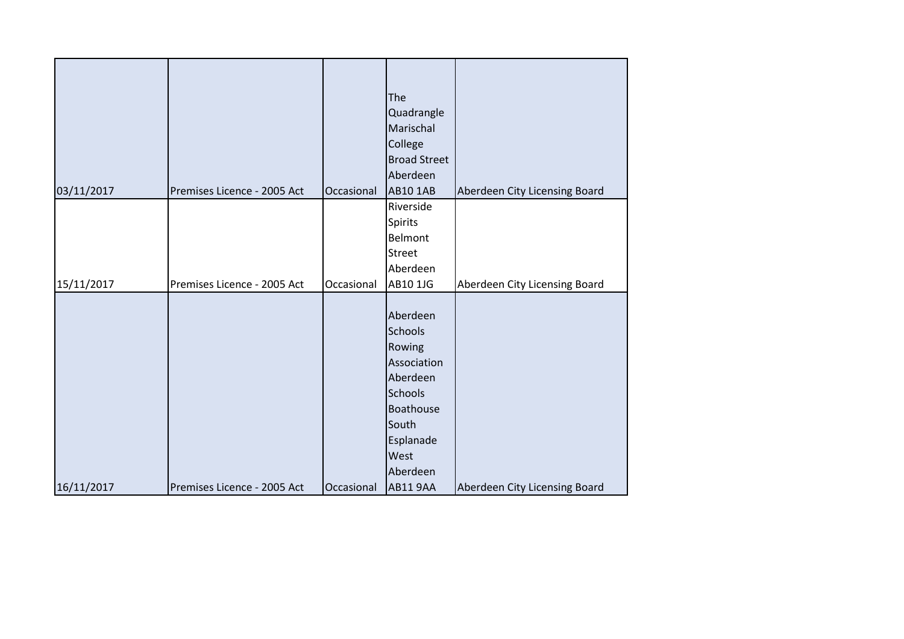| 03/11/2017 | Premises Licence - 2005 Act | Occasional | The<br>Quadrangle<br>Marischal<br>College<br><b>Broad Street</b><br>Aberdeen<br><b>AB10 1AB</b>                                          | Aberdeen City Licensing Board |
|------------|-----------------------------|------------|------------------------------------------------------------------------------------------------------------------------------------------|-------------------------------|
|            |                             |            | Riverside                                                                                                                                |                               |
|            |                             |            | Spirits                                                                                                                                  |                               |
|            |                             |            | Belmont                                                                                                                                  |                               |
|            |                             |            |                                                                                                                                          |                               |
|            |                             |            | <b>Street</b>                                                                                                                            |                               |
|            |                             |            | Aberdeen                                                                                                                                 |                               |
|            |                             |            |                                                                                                                                          |                               |
| 15/11/2017 | Premises Licence - 2005 Act | Occasional | AB10 1JG                                                                                                                                 | Aberdeen City Licensing Board |
|            |                             |            | Aberdeen<br><b>Schools</b><br>Rowing<br>Association<br>Aberdeen<br><b>Schools</b><br>Boathouse<br>South<br>Esplanade<br>West<br>Aberdeen |                               |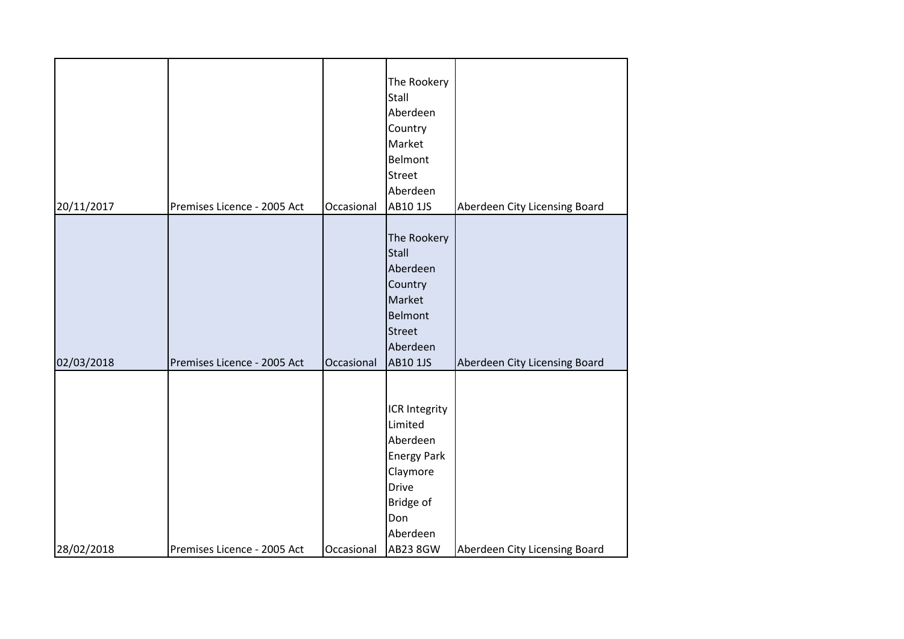| 20/11/2017 | Premises Licence - 2005 Act | Occasional | The Rookery<br>Stall<br>Aberdeen<br>Country<br>Market<br>Belmont<br><b>Street</b><br>Aberdeen<br>AB10 1JS                          | Aberdeen City Licensing Board |
|------------|-----------------------------|------------|------------------------------------------------------------------------------------------------------------------------------------|-------------------------------|
| 02/03/2018 | Premises Licence - 2005 Act | Occasional | The Rookery<br>Stall<br>Aberdeen<br>Country<br>Market<br><b>Belmont</b><br><b>Street</b><br>Aberdeen<br>AB10 1JS                   | Aberdeen City Licensing Board |
| 28/02/2018 | Premises Licence - 2005 Act | Occasional | ICR Integrity<br>Limited<br>Aberdeen<br><b>Energy Park</b><br>Claymore<br><b>Drive</b><br>Bridge of<br>Don<br>Aberdeen<br>AB23 8GW | Aberdeen City Licensing Board |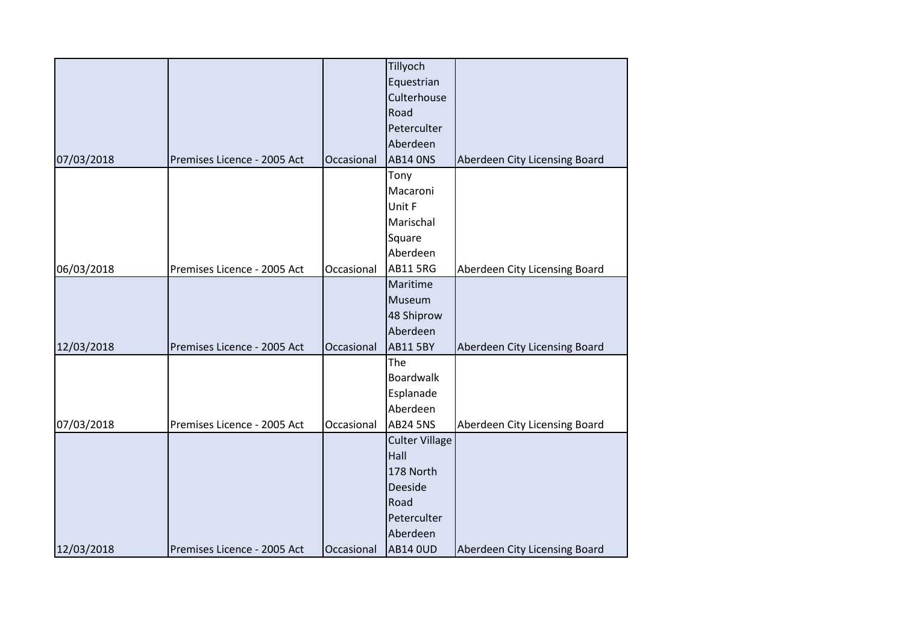|            |                             |            | Tillyoch              |                               |
|------------|-----------------------------|------------|-----------------------|-------------------------------|
|            |                             |            | Equestrian            |                               |
|            |                             |            | Culterhouse           |                               |
|            |                             |            | Road                  |                               |
|            |                             |            | Peterculter           |                               |
|            |                             |            | Aberdeen              |                               |
| 07/03/2018 | Premises Licence - 2005 Act | Occasional | <b>AB14 ONS</b>       | Aberdeen City Licensing Board |
|            |                             |            | Tony                  |                               |
|            |                             |            | Macaroni              |                               |
|            |                             |            |                       |                               |
|            |                             |            | Unit F                |                               |
|            |                             |            | Marischal             |                               |
|            |                             |            | Square                |                               |
|            |                             |            | Aberdeen              |                               |
| 06/03/2018 | Premises Licence - 2005 Act | Occasional | <b>AB11 5RG</b>       | Aberdeen City Licensing Board |
|            |                             |            | Maritime              |                               |
|            |                             |            | Museum                |                               |
|            |                             |            | 48 Shiprow            |                               |
|            |                             |            | Aberdeen              |                               |
| 12/03/2018 | Premises Licence - 2005 Act | Occasional | <b>AB11 5BY</b>       | Aberdeen City Licensing Board |
|            |                             |            | The                   |                               |
|            |                             |            | Boardwalk             |                               |
|            |                             |            | Esplanade             |                               |
|            |                             |            | Aberdeen              |                               |
| 07/03/2018 | Premises Licence - 2005 Act | Occasional | <b>AB24 5NS</b>       | Aberdeen City Licensing Board |
|            |                             |            | <b>Culter Village</b> |                               |
|            |                             |            | Hall                  |                               |
|            |                             |            | 178 North             |                               |
|            |                             |            | <b>Deeside</b>        |                               |
|            |                             |            | Road                  |                               |
|            |                             |            | Peterculter           |                               |
|            |                             |            | Aberdeen              |                               |
| 12/03/2018 | Premises Licence - 2005 Act | Occasional | <b>AB14 OUD</b>       | Aberdeen City Licensing Board |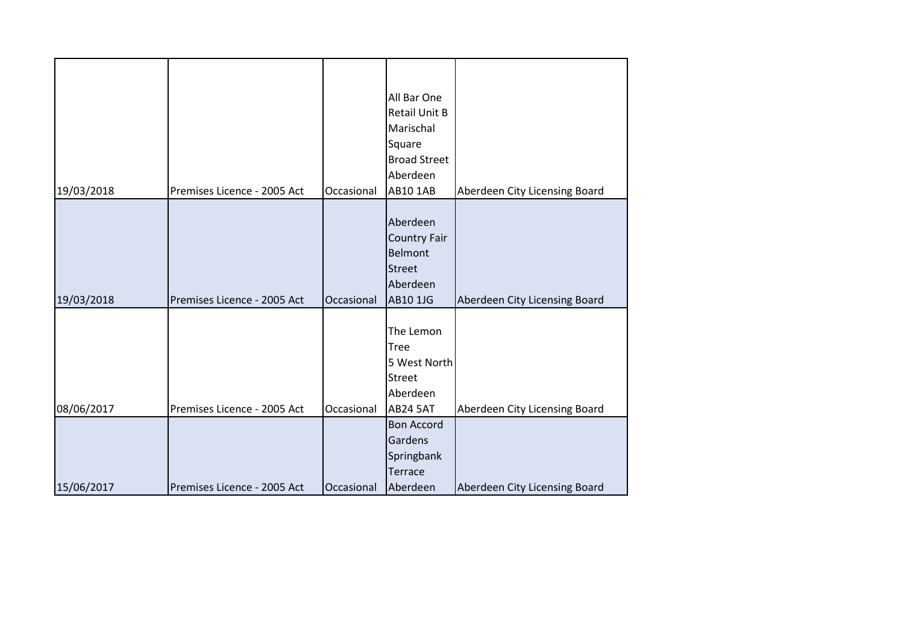| 19/03/2018 | Premises Licence - 2005 Act | Occasional | All Bar One<br><b>Retail Unit B</b><br>Marischal<br>Square<br><b>Broad Street</b><br>Aberdeen<br><b>AB10 1AB</b> | Aberdeen City Licensing Board |
|------------|-----------------------------|------------|------------------------------------------------------------------------------------------------------------------|-------------------------------|
| 19/03/2018 | Premises Licence - 2005 Act | Occasional | Aberdeen<br><b>Country Fair</b><br>Belmont<br><b>Street</b><br>Aberdeen<br>AB10 1JG                              | Aberdeen City Licensing Board |
| 08/06/2017 | Premises Licence - 2005 Act | Occasional | The Lemon<br><b>Tree</b><br>5 West North<br><b>Street</b><br>Aberdeen<br><b>AB24 5AT</b>                         | Aberdeen City Licensing Board |
| 15/06/2017 | Premises Licence - 2005 Act | Occasional | <b>Bon Accord</b><br>Gardens<br>Springbank<br><b>Terrace</b><br>Aberdeen                                         | Aberdeen City Licensing Board |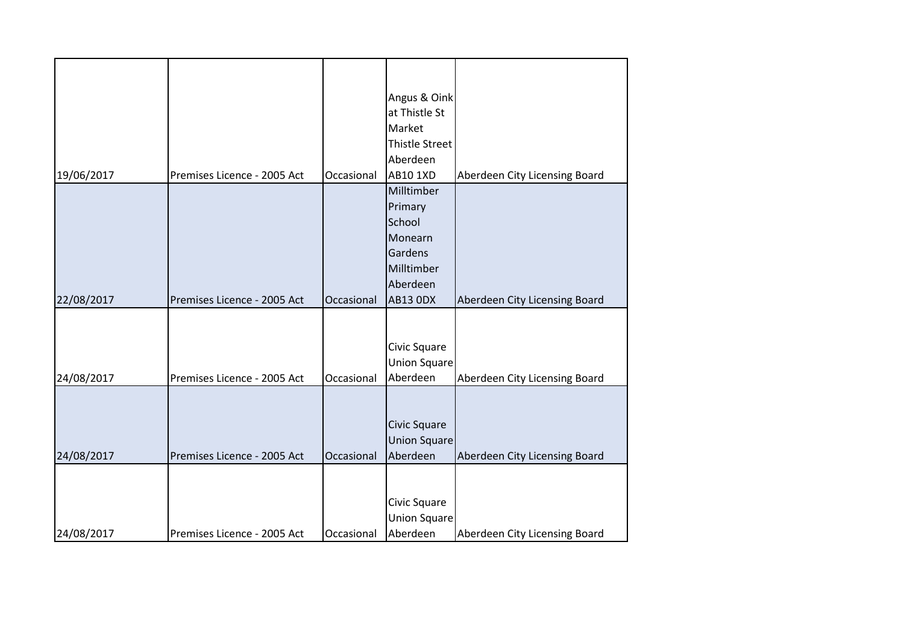|            |                             |            | Angus & Oink                        |                               |
|------------|-----------------------------|------------|-------------------------------------|-------------------------------|
|            |                             |            | at Thistle St                       |                               |
|            |                             |            | Market                              |                               |
|            |                             |            | Thistle Street                      |                               |
|            |                             |            | Aberdeen                            |                               |
| 19/06/2017 | Premises Licence - 2005 Act | Occasional | AB10 1XD                            |                               |
|            |                             |            | Milltimber                          | Aberdeen City Licensing Board |
|            |                             |            | Primary                             |                               |
|            |                             |            | School                              |                               |
|            |                             |            | Monearn                             |                               |
|            |                             |            | Gardens                             |                               |
|            |                             |            | Milltimber                          |                               |
|            |                             |            | Aberdeen                            |                               |
| 22/08/2017 | Premises Licence - 2005 Act | Occasional | <b>AB13 ODX</b>                     |                               |
|            |                             |            |                                     | Aberdeen City Licensing Board |
|            |                             |            |                                     |                               |
|            |                             |            |                                     |                               |
|            |                             |            | Civic Square<br><b>Union Square</b> |                               |
| 24/08/2017 | Premises Licence - 2005 Act | Occasional | Aberdeen                            | Aberdeen City Licensing Board |
|            |                             |            |                                     |                               |
|            |                             |            |                                     |                               |
|            |                             |            |                                     |                               |
|            |                             |            | Civic Square                        |                               |
|            |                             |            | <b>Union Square</b>                 |                               |
| 24/08/2017 | Premises Licence - 2005 Act | Occasional | Aberdeen                            | Aberdeen City Licensing Board |
|            |                             |            |                                     |                               |
|            |                             |            |                                     |                               |
|            |                             |            | Civic Square                        |                               |
|            |                             |            | <b>Union Square</b>                 |                               |
| 24/08/2017 | Premises Licence - 2005 Act | Occasional | Aberdeen                            | Aberdeen City Licensing Board |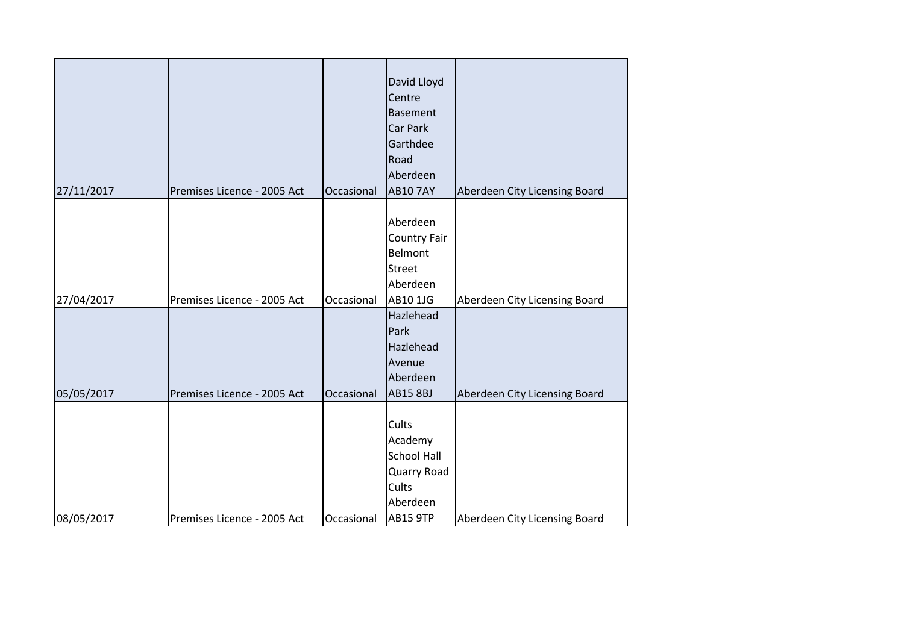| 27/11/2017 | Premises Licence - 2005 Act | Occasional | David Lloyd<br>Centre<br><b>Basement</b><br>Car Park<br>Garthdee<br>Road<br>Aberdeen<br><b>AB10 7AY</b> | Aberdeen City Licensing Board |
|------------|-----------------------------|------------|---------------------------------------------------------------------------------------------------------|-------------------------------|
| 27/04/2017 | Premises Licence - 2005 Act | Occasional | Aberdeen<br><b>Country Fair</b><br>Belmont<br>Street<br>Aberdeen<br>AB10 1JG                            | Aberdeen City Licensing Board |
| 05/05/2017 | Premises Licence - 2005 Act | Occasional | Hazlehead<br>Park<br>Hazlehead<br>Avenue<br>Aberdeen<br><b>AB15 8BJ</b>                                 | Aberdeen City Licensing Board |
| 08/05/2017 | Premises Licence - 2005 Act | Occasional | Cults<br>Academy<br><b>School Hall</b><br>Quarry Road<br>Cults<br>Aberdeen<br><b>AB15 9TP</b>           | Aberdeen City Licensing Board |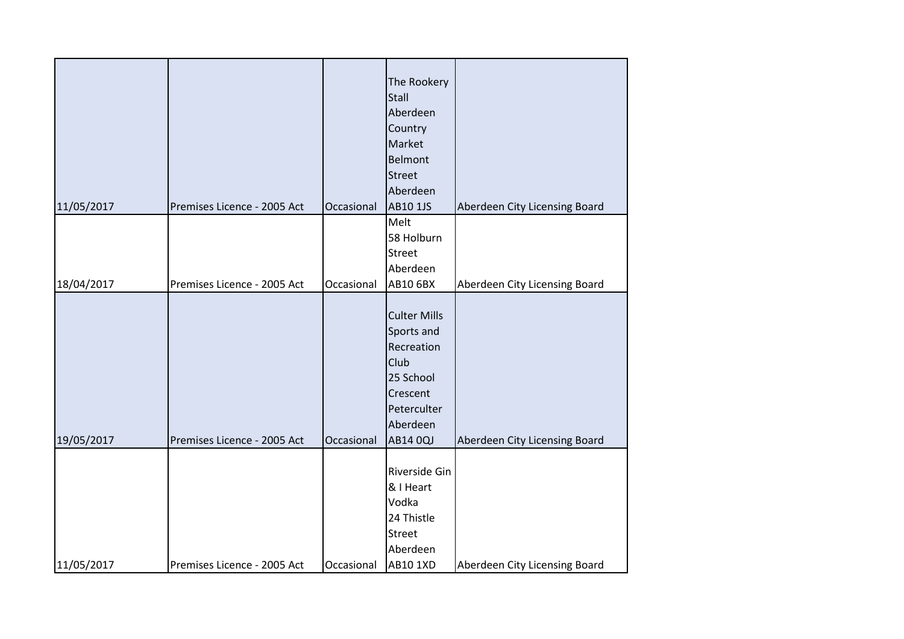| 11/05/2017 | Premises Licence - 2005 Act | Occasional | The Rookery<br><b>Stall</b><br>Aberdeen<br>Country<br>Market<br><b>Belmont</b><br><b>Street</b><br>Aberdeen<br>AB10 1JS | Aberdeen City Licensing Board |
|------------|-----------------------------|------------|-------------------------------------------------------------------------------------------------------------------------|-------------------------------|
|            |                             |            | Melt                                                                                                                    |                               |
|            |                             |            | 58 Holburn                                                                                                              |                               |
|            |                             |            | <b>Street</b>                                                                                                           |                               |
|            |                             |            | Aberdeen                                                                                                                |                               |
| 18/04/2017 | Premises Licence - 2005 Act | Occasional | AB10 6BX                                                                                                                | Aberdeen City Licensing Board |
| 19/05/2017 | Premises Licence - 2005 Act | Occasional | <b>Culter Mills</b><br>Sports and<br>Recreation<br>Club<br>25 School<br>Crescent<br>Peterculter<br>Aberdeen<br>AB14 0QJ | Aberdeen City Licensing Board |
| 11/05/2017 | Premises Licence - 2005 Act | Occasional | Riverside Gin<br>& I Heart<br>Vodka<br>24 Thistle<br><b>Street</b><br>Aberdeen<br><b>AB10 1XD</b>                       | Aberdeen City Licensing Board |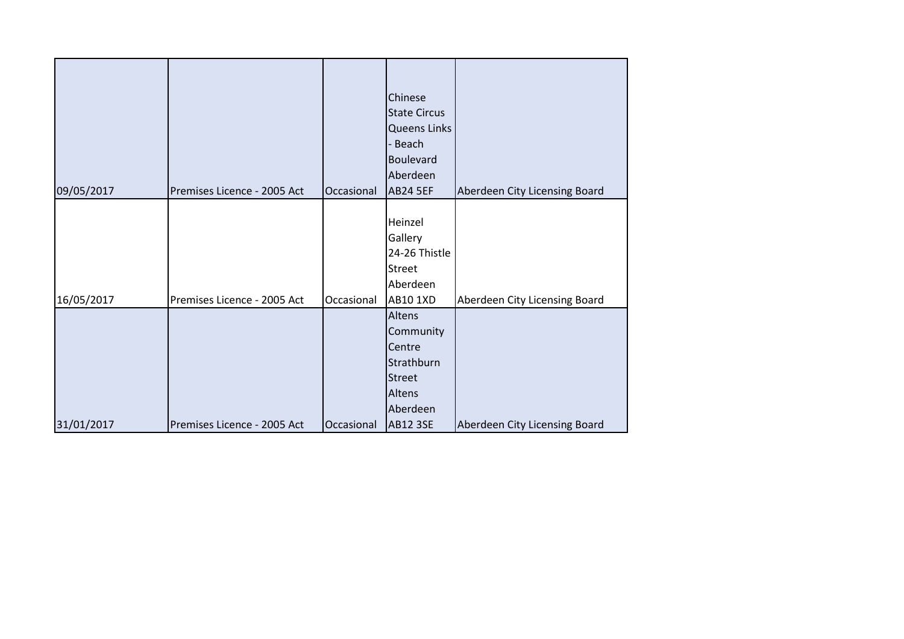| 09/05/2017 | Premises Licence - 2005 Act | Occasional | Chinese<br><b>State Circus</b><br><b>Queens Links</b><br>- Beach<br><b>Boulevard</b><br>Aberdeen<br><b>AB24 5EF</b> | Aberdeen City Licensing Board |
|------------|-----------------------------|------------|---------------------------------------------------------------------------------------------------------------------|-------------------------------|
|            |                             |            |                                                                                                                     |                               |
| 16/05/2017 | Premises Licence - 2005 Act | Occasional | Heinzel<br>Gallery<br>24-26 Thistle<br><b>Street</b><br>Aberdeen<br><b>AB10 1XD</b>                                 | Aberdeen City Licensing Board |
| 31/01/2017 | Premises Licence - 2005 Act | Occasional | Altens<br>Community<br>Centre<br>Strathburn<br><b>Street</b><br>Altens<br>Aberdeen<br><b>AB12 3SE</b>               | Aberdeen City Licensing Board |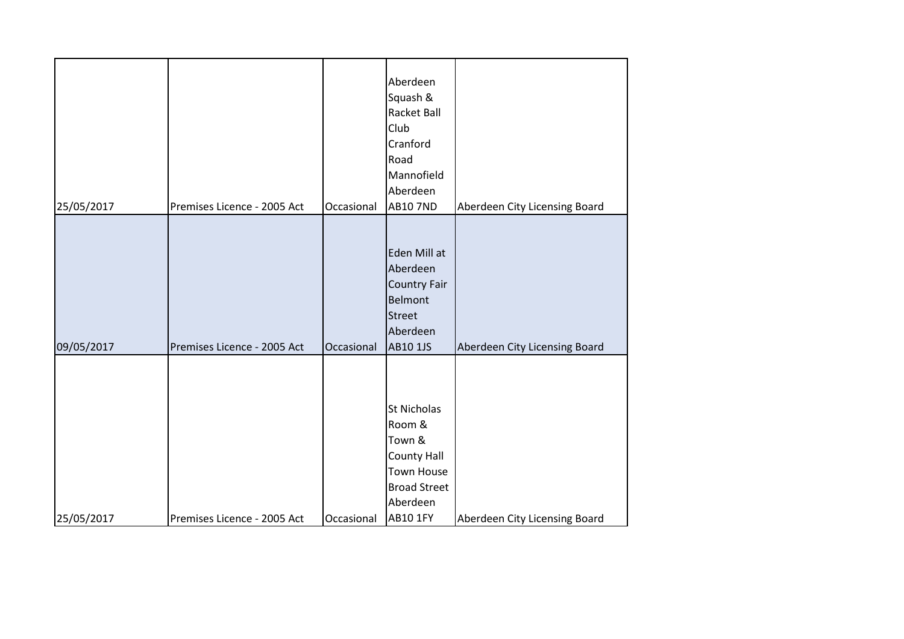| 25/05/2017 | Premises Licence - 2005 Act | Occasional | Aberdeen<br>Squash &<br>Racket Ball<br>Club<br>Cranford<br>Road<br>Mannofield<br>Aberdeen<br><b>AB10 7ND</b>                     | Aberdeen City Licensing Board |
|------------|-----------------------------|------------|----------------------------------------------------------------------------------------------------------------------------------|-------------------------------|
|            |                             |            |                                                                                                                                  |                               |
| 09/05/2017 | Premises Licence - 2005 Act | Occasional | Eden Mill at<br>Aberdeen<br><b>Country Fair</b><br><b>Belmont</b><br><b>Street</b><br>Aberdeen<br>AB10 1JS                       | Aberdeen City Licensing Board |
| 25/05/2017 | Premises Licence - 2005 Act | Occasional | St Nicholas<br>Room &<br>Town &<br><b>County Hall</b><br><b>Town House</b><br><b>Broad Street</b><br>Aberdeen<br><b>AB10 1FY</b> | Aberdeen City Licensing Board |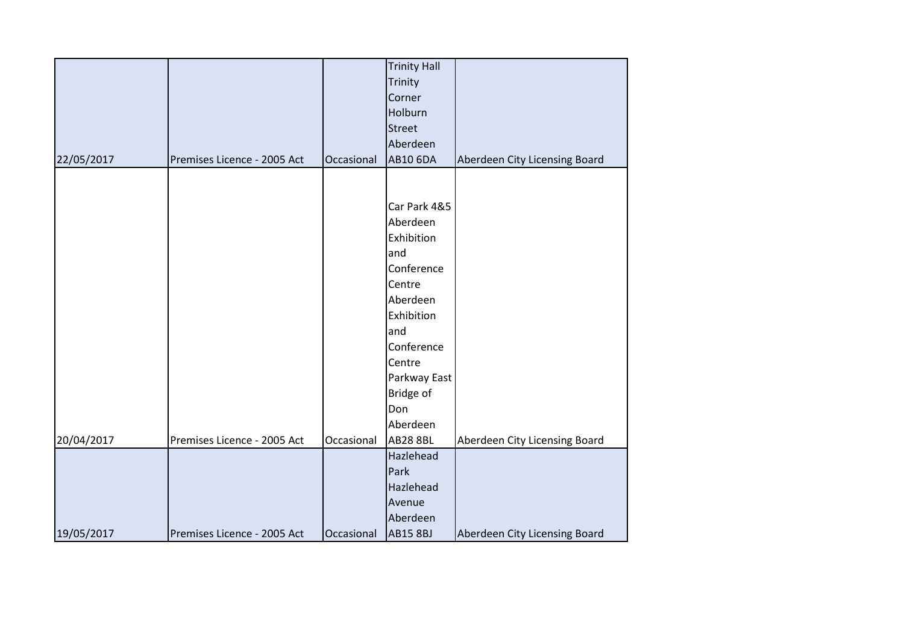|            |                             |            | <b>Trinity Hall</b> |                               |
|------------|-----------------------------|------------|---------------------|-------------------------------|
|            |                             |            | Trinity             |                               |
|            |                             |            | Corner              |                               |
|            |                             |            | Holburn             |                               |
|            |                             |            | <b>Street</b>       |                               |
|            |                             |            | Aberdeen            |                               |
| 22/05/2017 | Premises Licence - 2005 Act | Occasional | <b>AB10 6DA</b>     | Aberdeen City Licensing Board |
|            |                             |            |                     |                               |
|            |                             |            |                     |                               |
|            |                             |            | Car Park 4&5        |                               |
|            |                             |            | Aberdeen            |                               |
|            |                             |            | Exhibition          |                               |
|            |                             |            | and                 |                               |
|            |                             |            | Conference          |                               |
|            |                             |            | Centre              |                               |
|            |                             |            | Aberdeen            |                               |
|            |                             |            | Exhibition          |                               |
|            |                             |            | and                 |                               |
|            |                             |            | Conference          |                               |
|            |                             |            | Centre              |                               |
|            |                             |            | Parkway East        |                               |
|            |                             |            | Bridge of           |                               |
|            |                             |            | Don                 |                               |
|            |                             |            | Aberdeen            |                               |
| 20/04/2017 | Premises Licence - 2005 Act | Occasional | <b>AB28 8BL</b>     | Aberdeen City Licensing Board |
|            |                             |            | Hazlehead           |                               |
|            |                             |            | Park                |                               |
|            |                             |            | Hazlehead           |                               |
|            |                             |            | Avenue              |                               |
|            |                             |            | Aberdeen            |                               |
| 19/05/2017 | Premises Licence - 2005 Act | Occasional | <b>AB15 8BJ</b>     | Aberdeen City Licensing Board |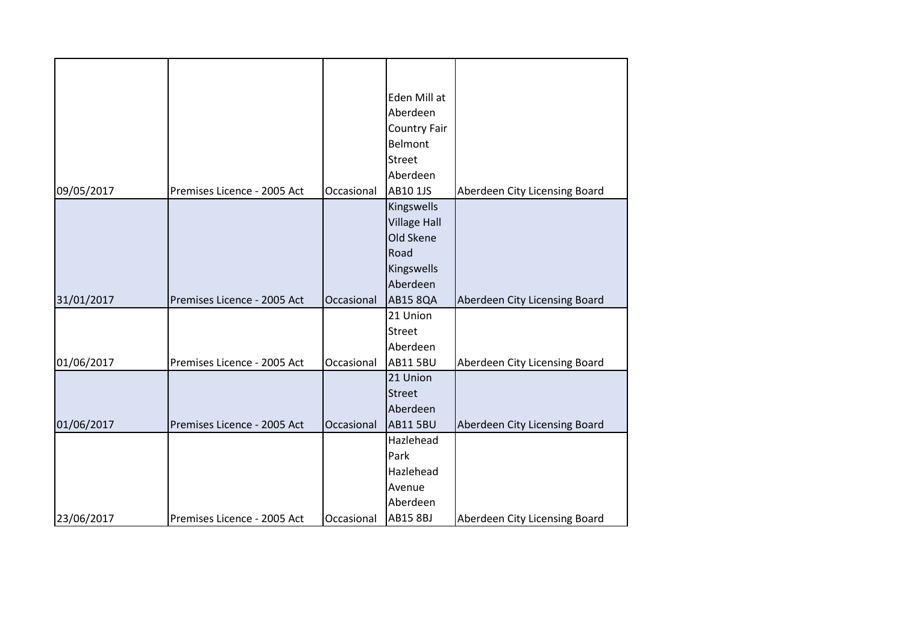|            |                             |            | Eden Mill at<br>Aberdeen |                               |
|------------|-----------------------------|------------|--------------------------|-------------------------------|
|            |                             |            | <b>Country Fair</b>      |                               |
|            |                             |            | Belmont                  |                               |
|            |                             |            | <b>Street</b>            |                               |
|            |                             |            | Aberdeen                 |                               |
| 09/05/2017 | Premises Licence - 2005 Act | Occasional | AB10 1JS                 | Aberdeen City Licensing Board |
|            |                             |            | Kingswells               |                               |
|            |                             |            | <b>Village Hall</b>      |                               |
|            |                             |            | Old Skene                |                               |
|            |                             |            | Road                     |                               |
|            |                             |            | Kingswells               |                               |
|            |                             |            | Aberdeen                 |                               |
| 31/01/2017 | Premises Licence - 2005 Act | Occasional | <b>AB15 8QA</b>          | Aberdeen City Licensing Board |
|            |                             |            | 21 Union                 |                               |
|            |                             |            | <b>Street</b>            |                               |
|            |                             |            | Aberdeen                 |                               |
| 01/06/2017 | Premises Licence - 2005 Act | Occasional | <b>AB11 5BU</b>          | Aberdeen City Licensing Board |
|            |                             |            | 21 Union                 |                               |
|            |                             |            | <b>Street</b>            |                               |
|            |                             |            | Aberdeen                 |                               |
| 01/06/2017 | Premises Licence - 2005 Act | Occasional | <b>AB11 5BU</b>          | Aberdeen City Licensing Board |
|            |                             |            | Hazlehead                |                               |
|            |                             |            | Park                     |                               |
|            |                             |            | Hazlehead                |                               |
|            |                             |            | Avenue                   |                               |
|            |                             |            | Aberdeen                 |                               |
| 23/06/2017 | Premises Licence - 2005 Act | Occasional | <b>AB15 8BJ</b>          | Aberdeen City Licensing Board |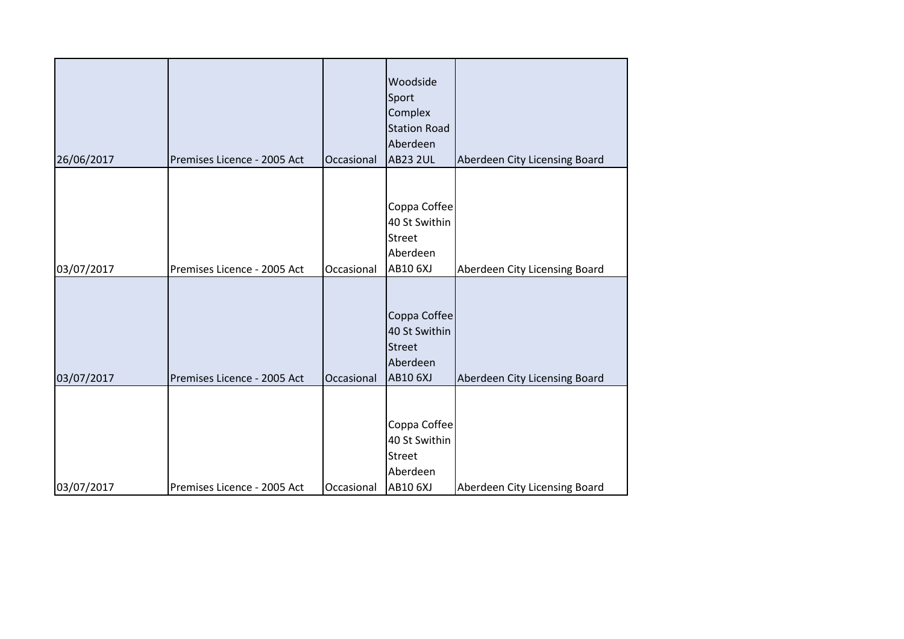| 26/06/2017 | Premises Licence - 2005 Act | Occasional | Woodside<br>Sport<br>Complex<br><b>Station Road</b><br>Aberdeen<br><b>AB23 2UL</b> | Aberdeen City Licensing Board |
|------------|-----------------------------|------------|------------------------------------------------------------------------------------|-------------------------------|
| 03/07/2017 | Premises Licence - 2005 Act | Occasional | Coppa Coffee<br>40 St Swithin<br><b>Street</b><br>Aberdeen<br><b>AB10 6XJ</b>      | Aberdeen City Licensing Board |
| 03/07/2017 | Premises Licence - 2005 Act | Occasional | Coppa Coffee<br>40 St Swithin<br><b>Street</b><br>Aberdeen<br><b>AB10 6XJ</b>      | Aberdeen City Licensing Board |
| 03/07/2017 | Premises Licence - 2005 Act | Occasional | Coppa Coffee<br>40 St Swithin<br><b>Street</b><br>Aberdeen<br><b>AB10 6XJ</b>      | Aberdeen City Licensing Board |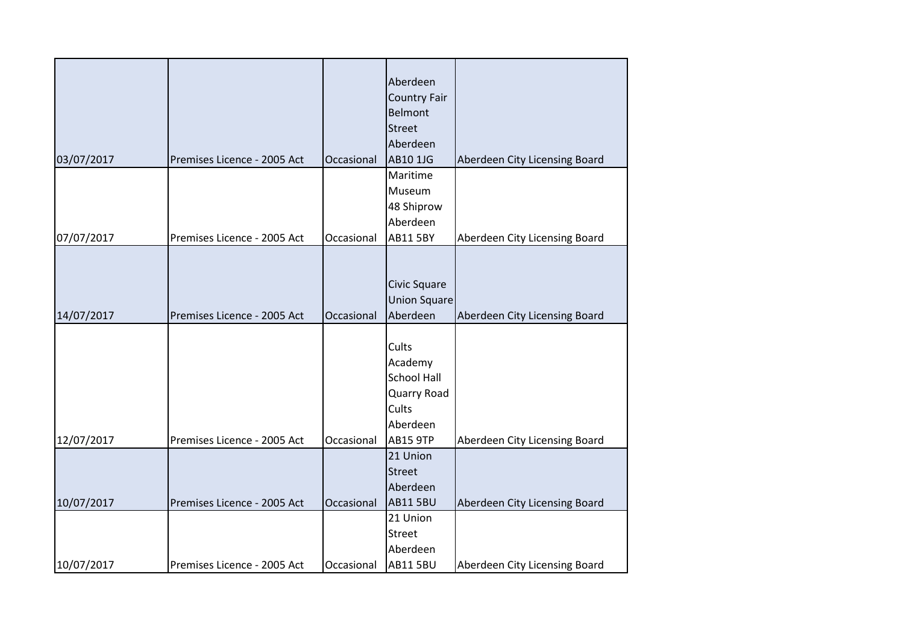|            |                             |            | Aberdeen            |                               |
|------------|-----------------------------|------------|---------------------|-------------------------------|
|            |                             |            | <b>Country Fair</b> |                               |
|            |                             |            | <b>Belmont</b>      |                               |
|            |                             |            | <b>Street</b>       |                               |
|            |                             |            | Aberdeen            |                               |
| 03/07/2017 | Premises Licence - 2005 Act | Occasional | AB10 1JG            | Aberdeen City Licensing Board |
|            |                             |            | Maritime            |                               |
|            |                             |            | Museum              |                               |
|            |                             |            | 48 Shiprow          |                               |
|            |                             |            | Aberdeen            |                               |
| 07/07/2017 | Premises Licence - 2005 Act | Occasional | <b>AB11 5BY</b>     | Aberdeen City Licensing Board |
|            |                             |            |                     |                               |
|            |                             |            |                     |                               |
|            |                             |            | Civic Square        |                               |
|            |                             |            | <b>Union Square</b> |                               |
| 14/07/2017 | Premises Licence - 2005 Act | Occasional | Aberdeen            | Aberdeen City Licensing Board |
|            |                             |            |                     |                               |
|            |                             |            | Cults               |                               |
|            |                             |            | Academy             |                               |
|            |                             |            | <b>School Hall</b>  |                               |
|            |                             |            | Quarry Road         |                               |
|            |                             |            | Cults               |                               |
|            |                             |            | Aberdeen            |                               |
| 12/07/2017 | Premises Licence - 2005 Act | Occasional | <b>AB15 9TP</b>     | Aberdeen City Licensing Board |
|            |                             |            | 21 Union            |                               |
|            |                             |            | <b>Street</b>       |                               |
|            |                             |            | Aberdeen            |                               |
| 10/07/2017 | Premises Licence - 2005 Act | Occasional | <b>AB11 5BU</b>     | Aberdeen City Licensing Board |
|            |                             |            | 21 Union            |                               |
|            |                             |            | <b>Street</b>       |                               |
|            |                             |            | Aberdeen            |                               |
| 10/07/2017 | Premises Licence - 2005 Act | Occasional | <b>AB11 5BU</b>     | Aberdeen City Licensing Board |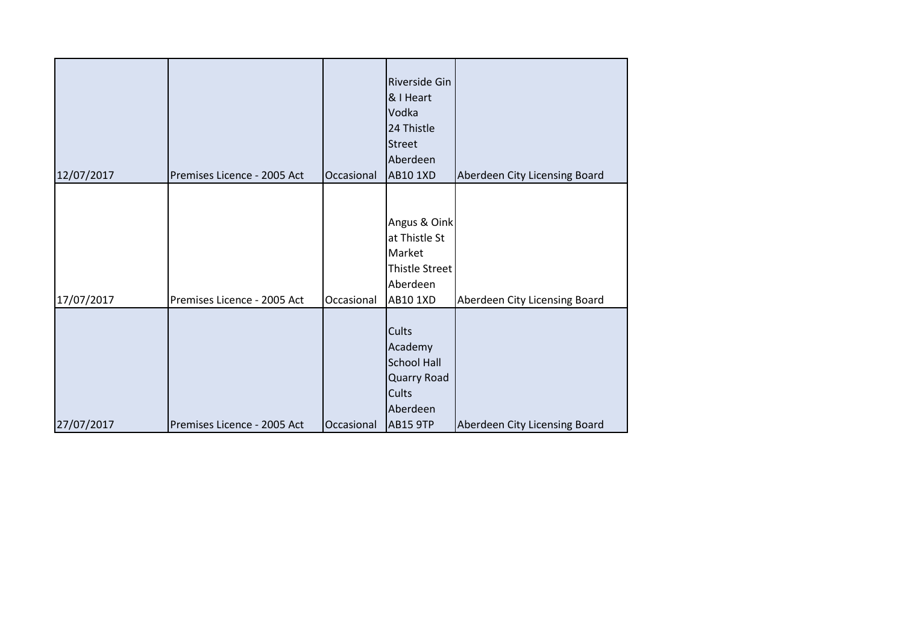| 12/07/2017 | Premises Licence - 2005 Act | Occasional | Riverside Gin<br>& I Heart<br>Vodka<br>24 Thistle<br><b>Street</b><br>Aberdeen<br><b>AB10 1XD</b> | Aberdeen City Licensing Board |
|------------|-----------------------------|------------|---------------------------------------------------------------------------------------------------|-------------------------------|
| 17/07/2017 | Premises Licence - 2005 Act | Occasional | Angus & Oink<br>at Thistle St<br>Market<br>Thistle Street<br>Aberdeen<br>AB10 1XD                 | Aberdeen City Licensing Board |
| 27/07/2017 | Premises Licence - 2005 Act | Occasional | Cults<br>Academy<br><b>School Hall</b><br>Quarry Road<br>Cults<br>Aberdeen<br><b>AB15 9TP</b>     | Aberdeen City Licensing Board |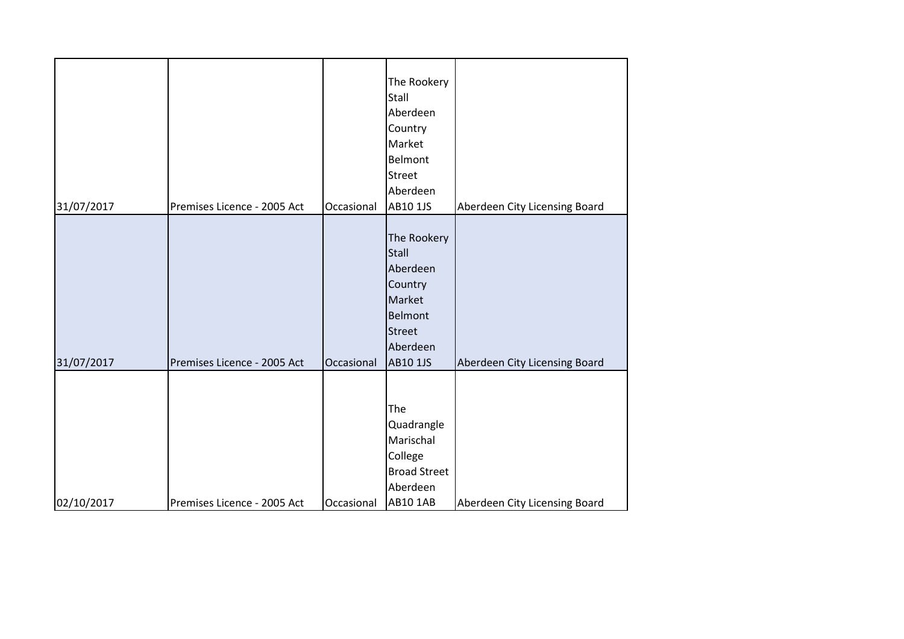| 31/07/2017 | Premises Licence - 2005 Act | Occasional | The Rookery<br>Stall<br>Aberdeen<br>Country<br>Market<br>Belmont<br><b>Street</b><br>Aberdeen<br>AB10 1JS | Aberdeen City Licensing Board |
|------------|-----------------------------|------------|-----------------------------------------------------------------------------------------------------------|-------------------------------|
|            |                             |            | The Rookery<br><b>Stall</b>                                                                               |                               |
|            |                             |            | Aberdeen<br>Country<br>Market<br><b>Belmont</b>                                                           |                               |
| 31/07/2017 | Premises Licence - 2005 Act | Occasional | <b>Street</b><br>Aberdeen<br>AB10 1JS                                                                     | Aberdeen City Licensing Board |
| 02/10/2017 | Premises Licence - 2005 Act | Occasional | The<br>Quadrangle<br>Marischal<br>College<br><b>Broad Street</b><br>Aberdeen<br><b>AB10 1AB</b>           | Aberdeen City Licensing Board |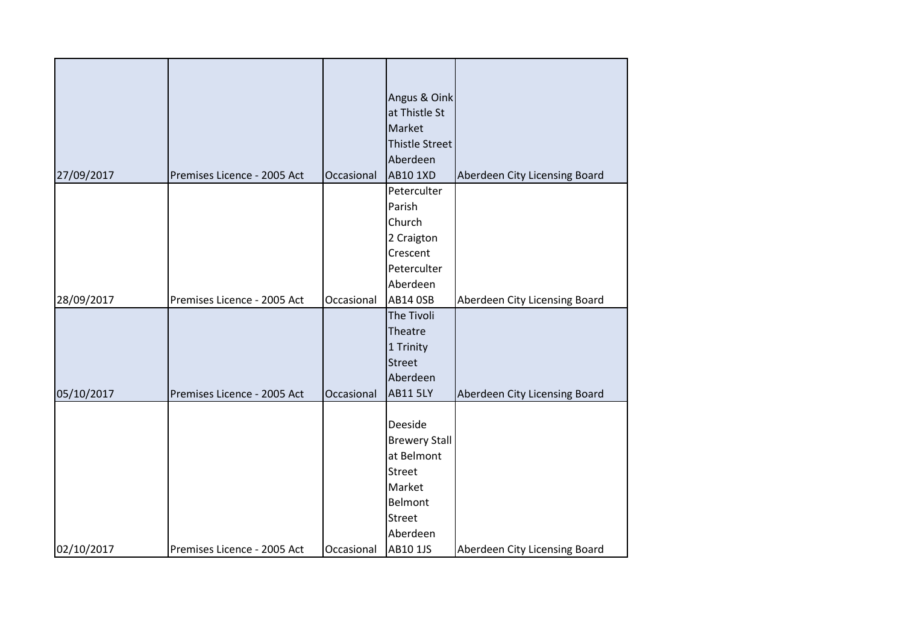|            |                             |            | Angus & Oink           |                               |
|------------|-----------------------------|------------|------------------------|-------------------------------|
|            |                             |            | at Thistle St          |                               |
|            |                             |            | Market                 |                               |
|            |                             |            | <b>Thistle Street</b>  |                               |
|            |                             |            | Aberdeen               |                               |
| 27/09/2017 | Premises Licence - 2005 Act | Occasional | <b>AB10 1XD</b>        | Aberdeen City Licensing Board |
|            |                             |            | Peterculter            |                               |
|            |                             |            | Parish                 |                               |
|            |                             |            | Church                 |                               |
|            |                             |            |                        |                               |
|            |                             |            | 2 Craigton<br>Crescent |                               |
|            |                             |            | Peterculter            |                               |
|            |                             |            |                        |                               |
|            |                             |            | Aberdeen               |                               |
| 28/09/2017 | Premises Licence - 2005 Act | Occasional | <b>AB14 OSB</b>        | Aberdeen City Licensing Board |
|            |                             |            | The Tivoli             |                               |
|            |                             |            | Theatre                |                               |
|            |                             |            | 1 Trinity              |                               |
|            |                             |            | <b>Street</b>          |                               |
|            |                             |            | Aberdeen               |                               |
| 05/10/2017 | Premises Licence - 2005 Act | Occasional | <b>AB11 5LY</b>        | Aberdeen City Licensing Board |
|            |                             |            |                        |                               |
|            |                             |            | Deeside                |                               |
|            |                             |            | <b>Brewery Stall</b>   |                               |
|            |                             |            | at Belmont             |                               |
|            |                             |            | <b>Street</b>          |                               |
|            |                             |            | Market                 |                               |
|            |                             |            | Belmont                |                               |
|            |                             |            | <b>Street</b>          |                               |
|            |                             |            | Aberdeen               |                               |
| 02/10/2017 | Premises Licence - 2005 Act | Occasional | AB10 1JS               | Aberdeen City Licensing Board |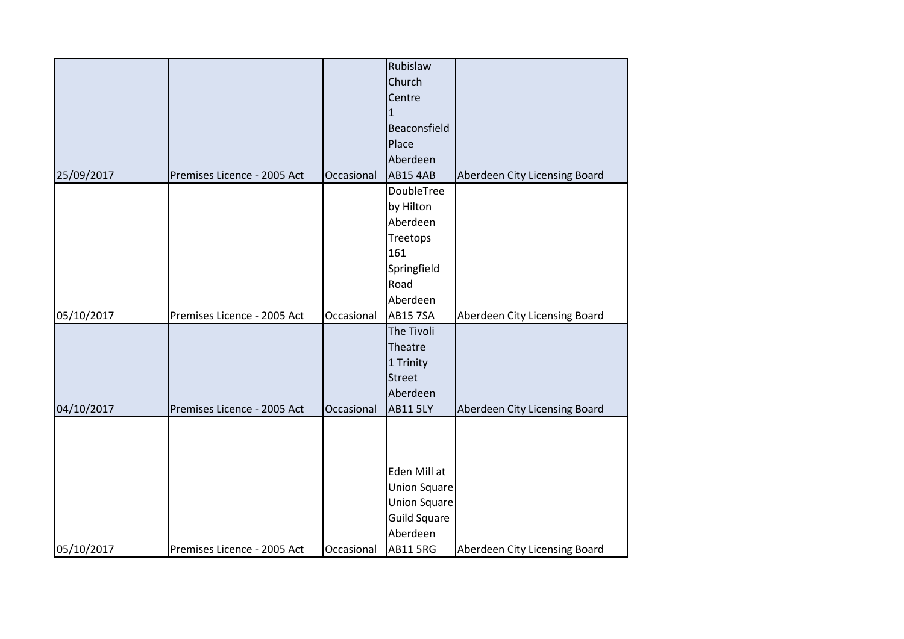|            |                             |            | Rubislaw            |                               |
|------------|-----------------------------|------------|---------------------|-------------------------------|
|            |                             |            | Church              |                               |
|            |                             |            | Centre              |                               |
|            |                             |            | $\mathbf 1$         |                               |
|            |                             |            | Beaconsfield        |                               |
|            |                             |            | Place               |                               |
|            |                             |            | Aberdeen            |                               |
| 25/09/2017 | Premises Licence - 2005 Act | Occasional | <b>AB15 4AB</b>     | Aberdeen City Licensing Board |
|            |                             |            | DoubleTree          |                               |
|            |                             |            | by Hilton           |                               |
|            |                             |            | Aberdeen            |                               |
|            |                             |            | Treetops            |                               |
|            |                             |            | 161                 |                               |
|            |                             |            | Springfield         |                               |
|            |                             |            | Road                |                               |
|            |                             |            | Aberdeen            |                               |
| 05/10/2017 | Premises Licence - 2005 Act | Occasional | <b>AB15 7SA</b>     | Aberdeen City Licensing Board |
|            |                             |            |                     |                               |
|            |                             |            | The Tivoli          |                               |
|            |                             |            | Theatre             |                               |
|            |                             |            | 1 Trinity           |                               |
|            |                             |            | <b>Street</b>       |                               |
|            |                             |            | Aberdeen            |                               |
| 04/10/2017 | Premises Licence - 2005 Act | Occasional | <b>AB11 5LY</b>     | Aberdeen City Licensing Board |
|            |                             |            |                     |                               |
|            |                             |            |                     |                               |
|            |                             |            |                     |                               |
|            |                             |            | Eden Mill at        |                               |
|            |                             |            | <b>Union Square</b> |                               |
|            |                             |            | <b>Union Square</b> |                               |
|            |                             |            | <b>Guild Square</b> |                               |
|            |                             |            | Aberdeen            |                               |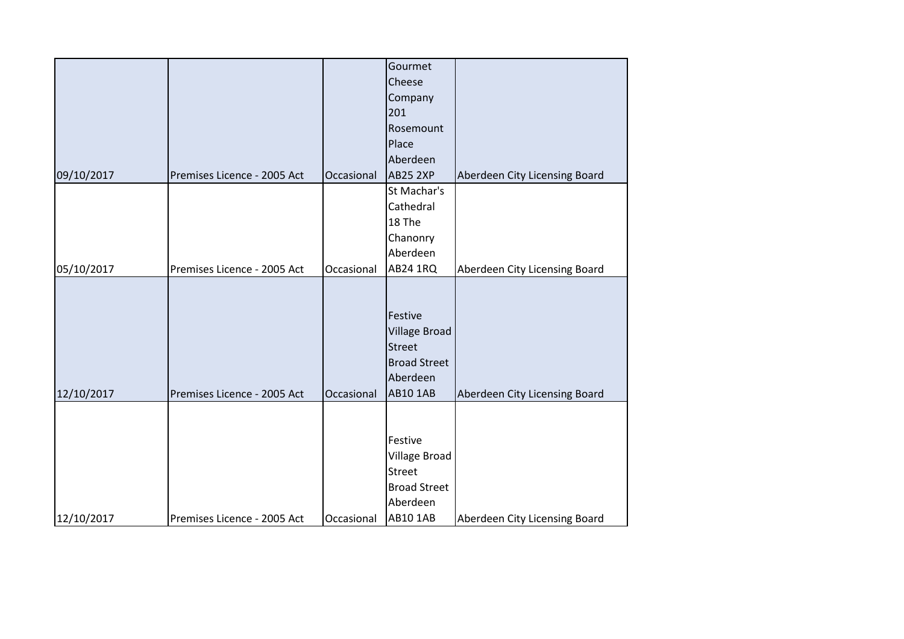|            |                             |            | Gourmet              |                               |
|------------|-----------------------------|------------|----------------------|-------------------------------|
|            |                             |            | Cheese               |                               |
|            |                             |            | Company              |                               |
|            |                             |            | 201                  |                               |
|            |                             |            | Rosemount            |                               |
|            |                             |            | Place                |                               |
|            |                             |            | Aberdeen             |                               |
| 09/10/2017 | Premises Licence - 2005 Act | Occasional | <b>AB25 2XP</b>      | Aberdeen City Licensing Board |
|            |                             |            | St Machar's          |                               |
|            |                             |            | Cathedral            |                               |
|            |                             |            | 18 The               |                               |
|            |                             |            | Chanonry             |                               |
|            |                             |            | Aberdeen             |                               |
| 05/10/2017 | Premises Licence - 2005 Act | Occasional | <b>AB24 1RQ</b>      | Aberdeen City Licensing Board |
|            |                             |            |                      |                               |
|            |                             |            |                      |                               |
|            |                             |            | Festive              |                               |
|            |                             |            | <b>Village Broad</b> |                               |
|            |                             |            | <b>Street</b>        |                               |
|            |                             |            | <b>Broad Street</b>  |                               |
|            |                             |            | Aberdeen             |                               |
| 12/10/2017 | Premises Licence - 2005 Act | Occasional | <b>AB10 1AB</b>      | Aberdeen City Licensing Board |
|            |                             |            |                      |                               |
|            |                             |            |                      |                               |
|            |                             |            | Festive              |                               |
|            |                             |            | Village Broad        |                               |
|            |                             |            | <b>Street</b>        |                               |
|            |                             |            | <b>Broad Street</b>  |                               |
|            |                             |            | Aberdeen             |                               |
| 12/10/2017 | Premises Licence - 2005 Act | Occasional | <b>AB10 1AB</b>      | Aberdeen City Licensing Board |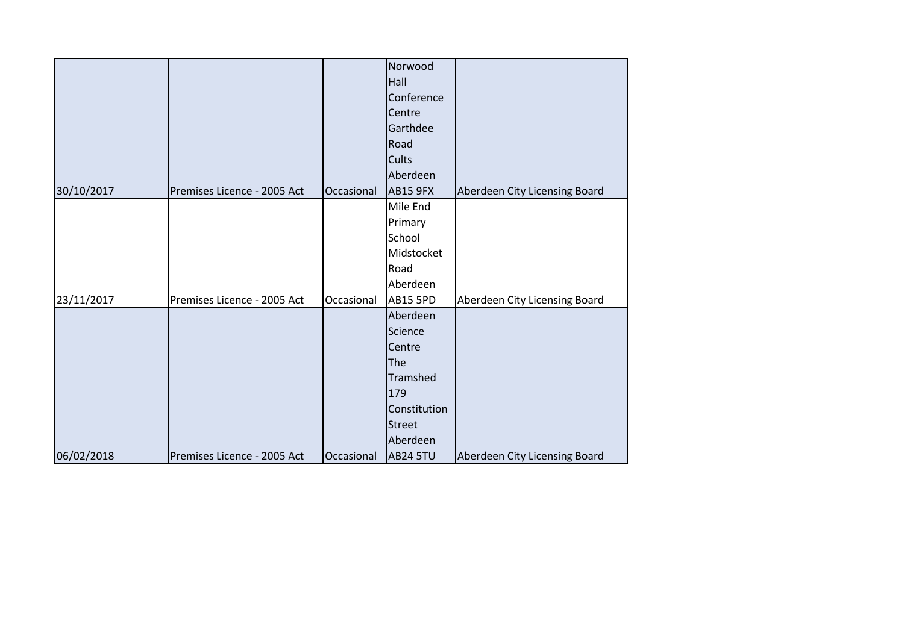|            |                             |            | Norwood         |                               |
|------------|-----------------------------|------------|-----------------|-------------------------------|
|            |                             |            | Hall            |                               |
|            |                             |            | Conference      |                               |
|            |                             |            | Centre          |                               |
|            |                             |            | Garthdee        |                               |
|            |                             |            | Road            |                               |
|            |                             |            | Cults           |                               |
|            |                             |            | Aberdeen        |                               |
| 30/10/2017 | Premises Licence - 2005 Act | Occasional | <b>AB15 9FX</b> | Aberdeen City Licensing Board |
|            |                             |            | Mile End        |                               |
|            |                             |            | Primary         |                               |
|            |                             |            | School          |                               |
|            |                             |            | Midstocket      |                               |
|            |                             |            | Road            |                               |
|            |                             |            | Aberdeen        |                               |
| 23/11/2017 | Premises Licence - 2005 Act | Occasional | <b>AB15 5PD</b> | Aberdeen City Licensing Board |
|            |                             |            | Aberdeen        |                               |
|            |                             |            | Science         |                               |
|            |                             |            | Centre          |                               |
|            |                             |            | The             |                               |
|            |                             |            | Tramshed        |                               |
|            |                             |            | 179             |                               |
|            |                             |            | Constitution    |                               |
|            |                             |            | <b>Street</b>   |                               |
|            |                             |            | Aberdeen        |                               |
| 06/02/2018 | Premises Licence - 2005 Act | Occasional | <b>AB24 5TU</b> | Aberdeen City Licensing Board |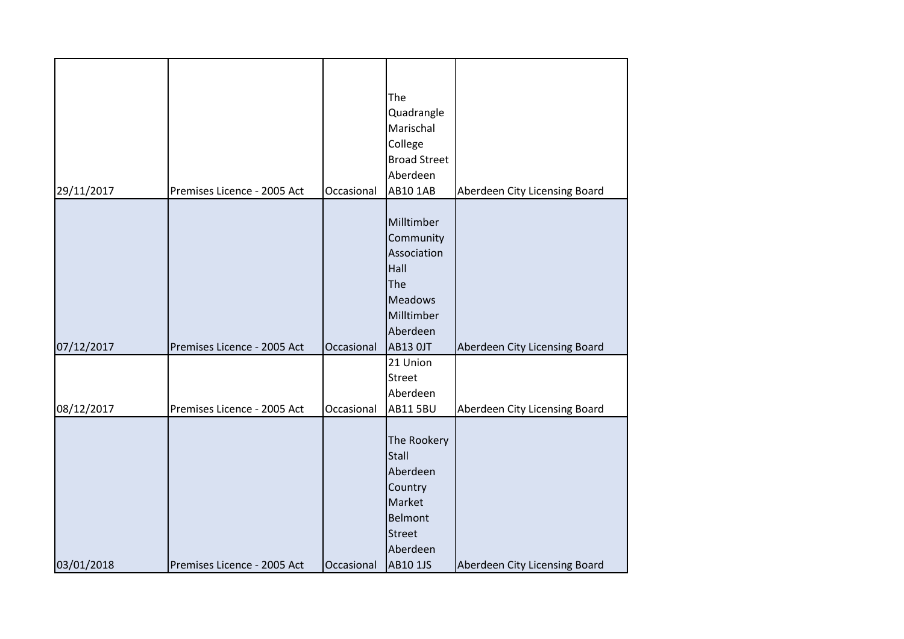| 29/11/2017 | Premises Licence - 2005 Act | Occasional | The<br>Quadrangle<br>Marischal<br>College<br><b>Broad Street</b><br>Aberdeen<br>AB10 1AB                                       | Aberdeen City Licensing Board |
|------------|-----------------------------|------------|--------------------------------------------------------------------------------------------------------------------------------|-------------------------------|
| 07/12/2017 | Premises Licence - 2005 Act | Occasional | Milltimber<br>Community<br>Association<br>Hall<br>The<br><b>Meadows</b><br>Milltimber<br>Aberdeen<br><b>AB13 OJT</b>           | Aberdeen City Licensing Board |
| 08/12/2017 | Premises Licence - 2005 Act | Occasional | 21 Union<br>Street<br>Aberdeen<br><b>AB11 5BU</b>                                                                              | Aberdeen City Licensing Board |
| 03/01/2018 | Premises Licence - 2005 Act | Occasional | The Rookery<br><b>Stall</b><br>Aberdeen<br>Country<br>Market<br><b>Belmont</b><br><b>Street</b><br>Aberdeen<br><b>AB10 1JS</b> | Aberdeen City Licensing Board |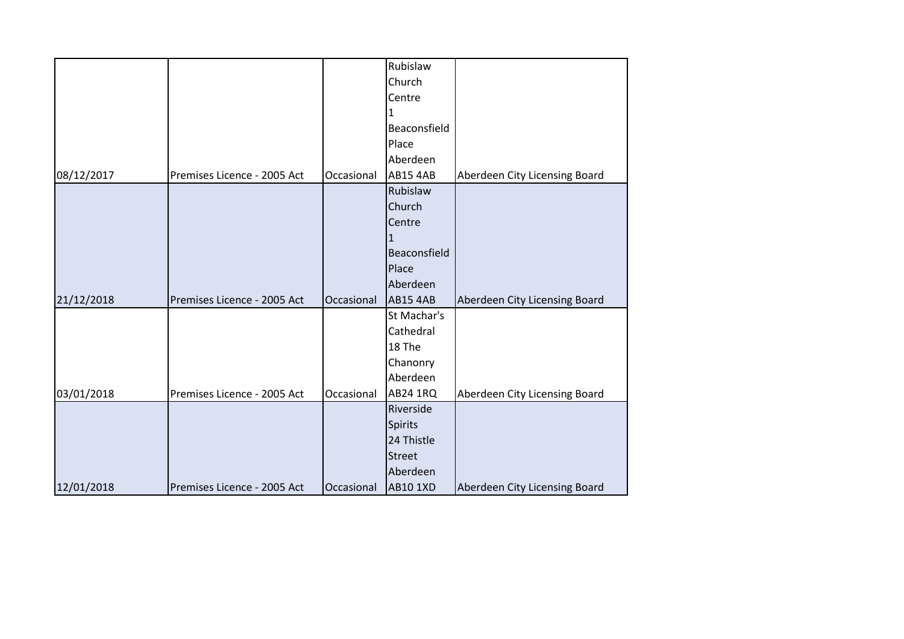|            |                             |            | Rubislaw        |                               |
|------------|-----------------------------|------------|-----------------|-------------------------------|
|            |                             |            | Church          |                               |
|            |                             |            | Centre          |                               |
|            |                             |            | 1               |                               |
|            |                             |            | Beaconsfield    |                               |
|            |                             |            | Place           |                               |
|            |                             |            | Aberdeen        |                               |
| 08/12/2017 | Premises Licence - 2005 Act | Occasional | <b>AB15 4AB</b> | Aberdeen City Licensing Board |
|            |                             |            | Rubislaw        |                               |
|            |                             |            | Church          |                               |
|            |                             |            | Centre          |                               |
|            |                             |            | $\mathbf{1}$    |                               |
|            |                             |            | Beaconsfield    |                               |
|            |                             |            | Place           |                               |
|            |                             |            | Aberdeen        |                               |
| 21/12/2018 | Premises Licence - 2005 Act | Occasional | <b>AB15 4AB</b> | Aberdeen City Licensing Board |
|            |                             |            | St Machar's     |                               |
|            |                             |            | Cathedral       |                               |
|            |                             |            | 18 The          |                               |
|            |                             |            | Chanonry        |                               |
|            |                             |            | Aberdeen        |                               |
| 03/01/2018 | Premises Licence - 2005 Act | Occasional | <b>AB24 1RQ</b> | Aberdeen City Licensing Board |
|            |                             |            | Riverside       |                               |
|            |                             |            | Spirits         |                               |
|            |                             |            | 24 Thistle      |                               |
|            |                             |            | <b>Street</b>   |                               |
|            |                             |            | Aberdeen        |                               |
| 12/01/2018 | Premises Licence - 2005 Act | Occasional | <b>AB10 1XD</b> | Aberdeen City Licensing Board |
|            |                             |            |                 |                               |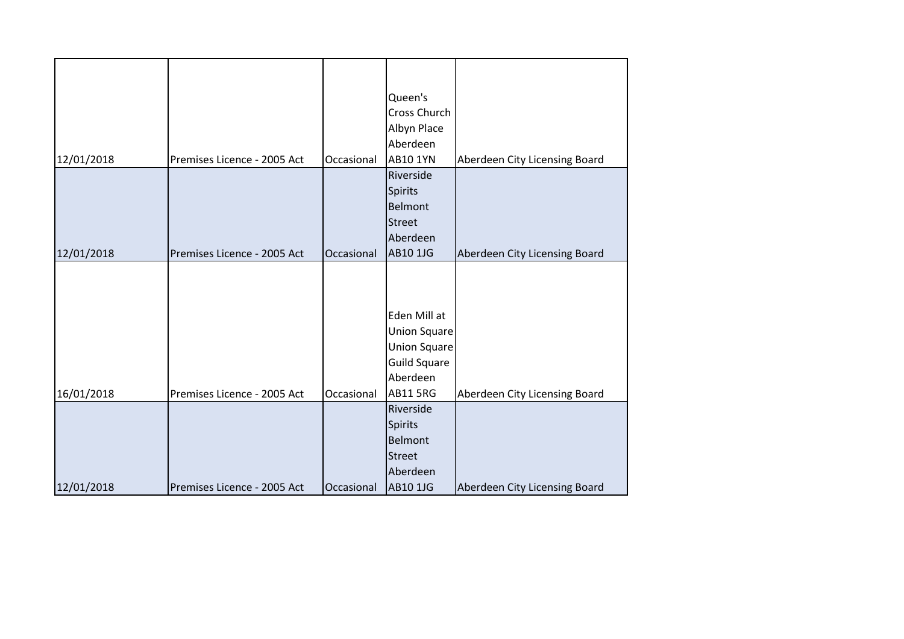|            |                             |            | Queen's             |                               |
|------------|-----------------------------|------------|---------------------|-------------------------------|
|            |                             |            | Cross Church        |                               |
|            |                             |            |                     |                               |
|            |                             |            | Albyn Place         |                               |
|            |                             |            | Aberdeen            |                               |
| 12/01/2018 | Premises Licence - 2005 Act | Occasional | <b>AB10 1YN</b>     | Aberdeen City Licensing Board |
|            |                             |            | Riverside           |                               |
|            |                             |            | <b>Spirits</b>      |                               |
|            |                             |            | Belmont             |                               |
|            |                             |            | <b>Street</b>       |                               |
|            |                             |            | Aberdeen            |                               |
| 12/01/2018 | Premises Licence - 2005 Act | Occasional | AB10 1JG            | Aberdeen City Licensing Board |
|            |                             |            |                     |                               |
|            |                             |            |                     |                               |
|            |                             |            |                     |                               |
|            |                             |            | Eden Mill at        |                               |
|            |                             |            | <b>Union Square</b> |                               |
|            |                             |            | Union Square        |                               |
|            |                             |            | <b>Guild Square</b> |                               |
|            |                             |            | Aberdeen            |                               |
| 16/01/2018 | Premises Licence - 2005 Act | Occasional | <b>AB11 5RG</b>     | Aberdeen City Licensing Board |
|            |                             |            | Riverside           |                               |
|            |                             |            | <b>Spirits</b>      |                               |
|            |                             |            | Belmont             |                               |
|            |                             |            | <b>Street</b>       |                               |
|            |                             |            | Aberdeen            |                               |
| 12/01/2018 | Premises Licence - 2005 Act | Occasional | <b>AB10 1JG</b>     | Aberdeen City Licensing Board |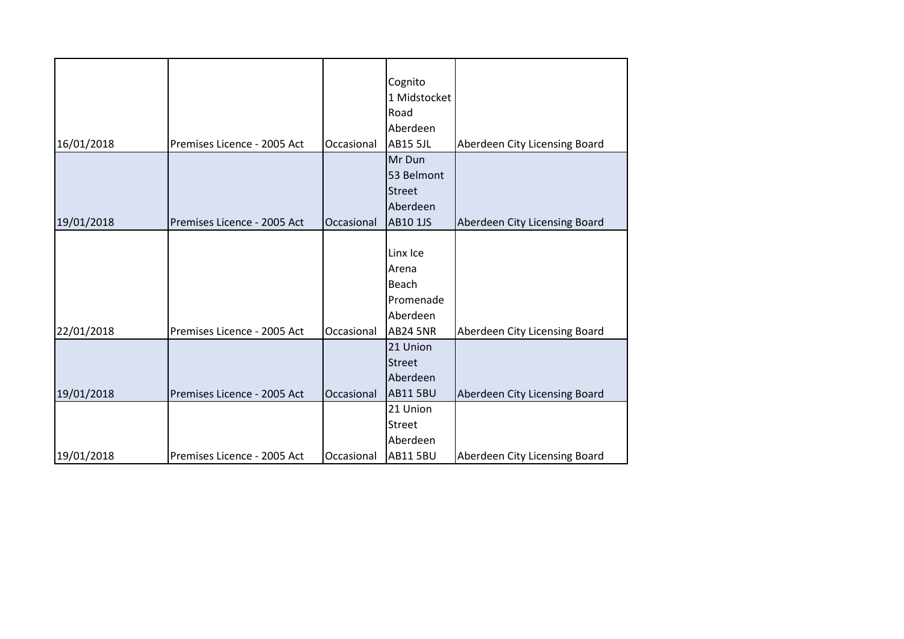| 16/01/2018 | Premises Licence - 2005 Act | Occasional | Cognito<br>1 Midstocket<br>Road<br>Aberdeen<br><b>AB15 5JL</b>         | Aberdeen City Licensing Board |
|------------|-----------------------------|------------|------------------------------------------------------------------------|-------------------------------|
| 19/01/2018 | Premises Licence - 2005 Act | Occasional | Mr Dun<br>53 Belmont<br><b>Street</b><br>Aberdeen<br><b>AB10 1JS</b>   | Aberdeen City Licensing Board |
| 22/01/2018 | Premises Licence - 2005 Act | Occasional | Linx Ice<br>Arena<br>Beach<br>Promenade<br>Aberdeen<br><b>AB24 5NR</b> | Aberdeen City Licensing Board |
| 19/01/2018 | Premises Licence - 2005 Act | Occasional | 21 Union<br><b>Street</b><br>Aberdeen<br><b>AB11 5BU</b>               | Aberdeen City Licensing Board |
| 19/01/2018 | Premises Licence - 2005 Act | Occasional | 21 Union<br><b>Street</b><br>Aberdeen<br><b>AB115BU</b>                | Aberdeen City Licensing Board |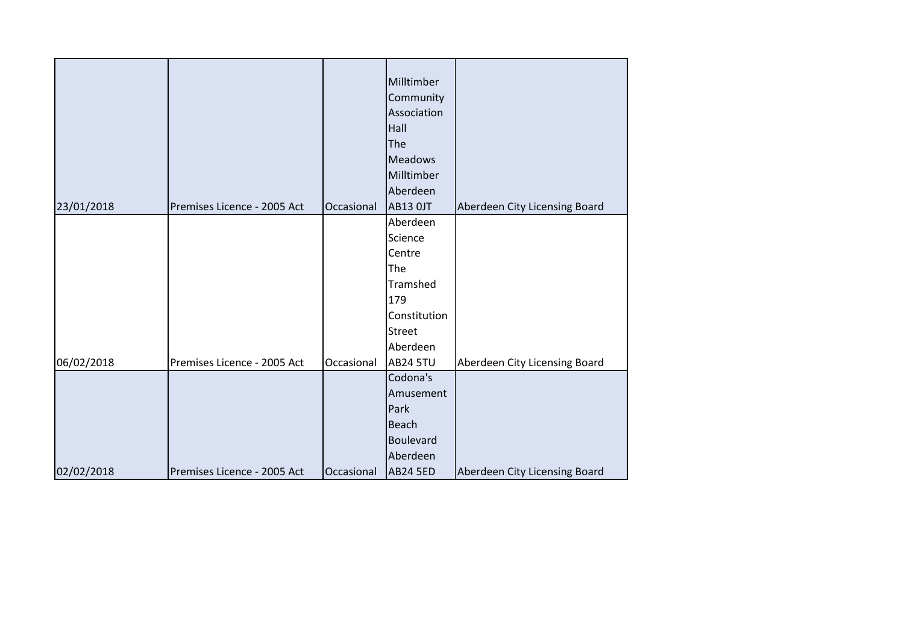| 23/01/2018 | Premises Licence - 2005 Act | Occasional | Milltimber<br>Community<br>Association<br>Hall<br>The<br><b>Meadows</b><br>Milltimber<br>Aberdeen<br><b>AB13 OJT</b> | Aberdeen City Licensing Board |
|------------|-----------------------------|------------|----------------------------------------------------------------------------------------------------------------------|-------------------------------|
|            |                             |            | Aberdeen                                                                                                             |                               |
|            |                             |            | Science                                                                                                              |                               |
|            |                             |            | Centre                                                                                                               |                               |
|            |                             |            | The                                                                                                                  |                               |
|            |                             |            | Tramshed                                                                                                             |                               |
|            |                             |            | 179                                                                                                                  |                               |
|            |                             |            | Constitution                                                                                                         |                               |
|            |                             |            | <b>Street</b>                                                                                                        |                               |
|            |                             |            | Aberdeen                                                                                                             |                               |
| 06/02/2018 | Premises Licence - 2005 Act | Occasional | <b>AB24 5TU</b>                                                                                                      | Aberdeen City Licensing Board |
|            |                             |            | Codona's                                                                                                             |                               |
|            |                             |            | Amusement                                                                                                            |                               |
|            |                             |            | Park                                                                                                                 |                               |
|            |                             |            | <b>Beach</b>                                                                                                         |                               |
|            |                             |            | Boulevard                                                                                                            |                               |
|            |                             |            | Aberdeen                                                                                                             |                               |
| 02/02/2018 | Premises Licence - 2005 Act | Occasional | <b>AB24 5ED</b>                                                                                                      | Aberdeen City Licensing Board |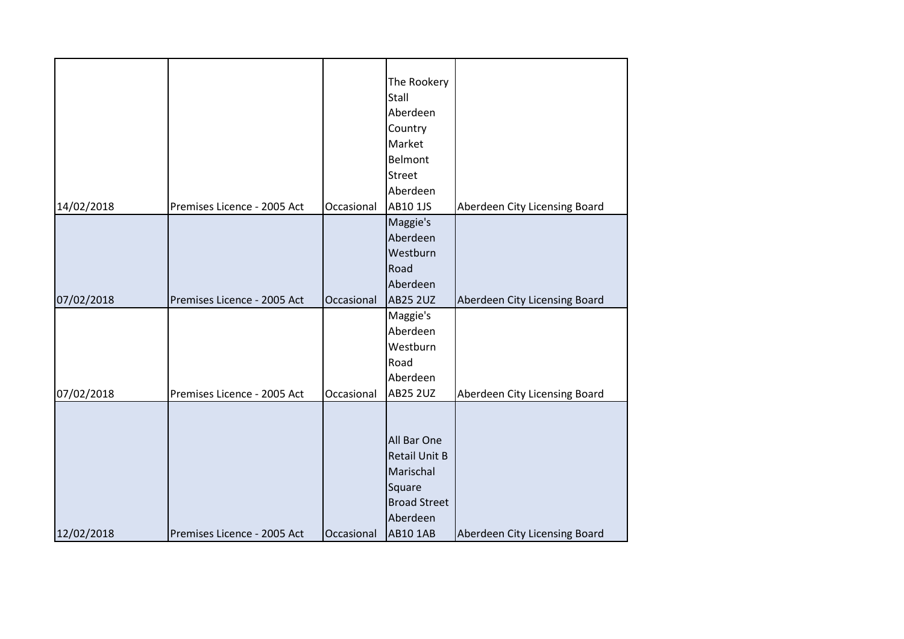|            |                             |            | The Rookery<br>Stall<br>Aberdeen<br>Country<br>Market<br>Belmont<br><b>Street</b>                                |                               |
|------------|-----------------------------|------------|------------------------------------------------------------------------------------------------------------------|-------------------------------|
|            |                             |            | Aberdeen                                                                                                         |                               |
| 14/02/2018 | Premises Licence - 2005 Act | Occasional | AB10 1JS                                                                                                         | Aberdeen City Licensing Board |
| 07/02/2018 | Premises Licence - 2005 Act | Occasional | Maggie's<br>Aberdeen<br>Westburn<br>Road<br>Aberdeen<br><b>AB25 2UZ</b>                                          | Aberdeen City Licensing Board |
| 07/02/2018 | Premises Licence - 2005 Act | Occasional | Maggie's<br>Aberdeen<br>Westburn<br>Road<br>Aberdeen<br><b>AB25 2UZ</b>                                          | Aberdeen City Licensing Board |
| 12/02/2018 | Premises Licence - 2005 Act | Occasional | All Bar One<br><b>Retail Unit B</b><br>Marischal<br>Square<br><b>Broad Street</b><br>Aberdeen<br><b>AB10 1AB</b> | Aberdeen City Licensing Board |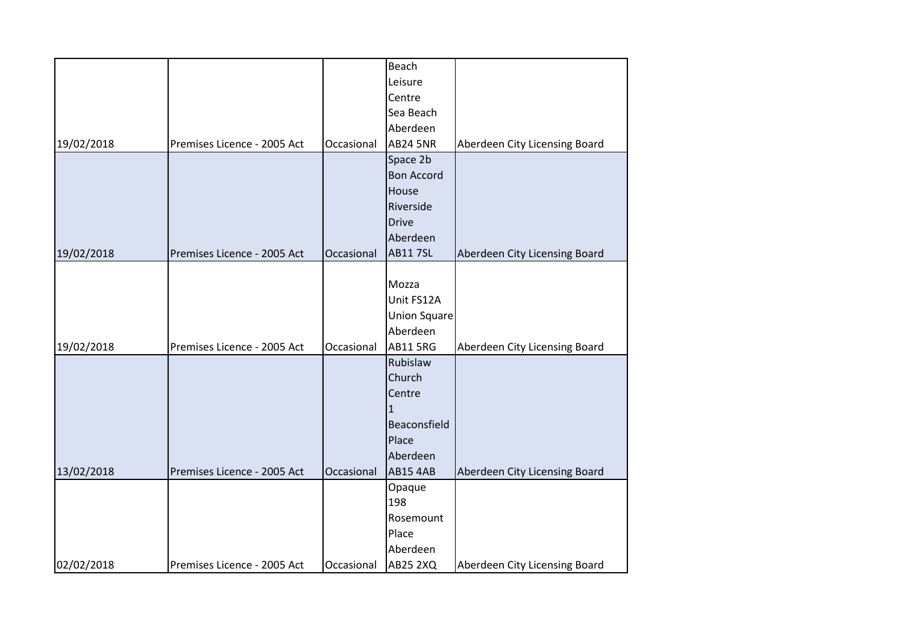|            |                             |            | Beach               |                               |
|------------|-----------------------------|------------|---------------------|-------------------------------|
|            |                             |            | Leisure             |                               |
|            |                             |            | Centre              |                               |
|            |                             |            | Sea Beach           |                               |
|            |                             |            | Aberdeen            |                               |
| 19/02/2018 | Premises Licence - 2005 Act | Occasional | <b>AB24 5NR</b>     | Aberdeen City Licensing Board |
|            |                             |            | Space 2b            |                               |
|            |                             |            | <b>Bon Accord</b>   |                               |
|            |                             |            | House               |                               |
|            |                             |            | Riverside           |                               |
|            |                             |            | <b>Drive</b>        |                               |
|            |                             |            | Aberdeen            |                               |
| 19/02/2018 | Premises Licence - 2005 Act | Occasional | <b>AB117SL</b>      | Aberdeen City Licensing Board |
|            |                             |            |                     |                               |
|            |                             |            | Mozza               |                               |
|            |                             |            | Unit FS12A          |                               |
|            |                             |            | <b>Union Square</b> |                               |
|            |                             |            | Aberdeen            |                               |
| 19/02/2018 | Premises Licence - 2005 Act | Occasional | <b>AB11 5RG</b>     | Aberdeen City Licensing Board |
|            |                             |            | Rubislaw            |                               |
|            |                             |            | Church              |                               |
|            |                             |            | Centre              |                               |
|            |                             |            | 1                   |                               |
|            |                             |            | Beaconsfield        |                               |
|            |                             |            | Place               |                               |
|            |                             |            | Aberdeen            |                               |
| 13/02/2018 | Premises Licence - 2005 Act | Occasional | <b>AB15 4AB</b>     | Aberdeen City Licensing Board |
|            |                             |            | Opaque              |                               |
|            |                             |            | 198                 |                               |
|            |                             |            | Rosemount           |                               |
|            |                             |            | Place               |                               |
|            |                             |            | Aberdeen            |                               |
| 02/02/2018 | Premises Licence - 2005 Act | Occasional | <b>AB25 2XQ</b>     | Aberdeen City Licensing Board |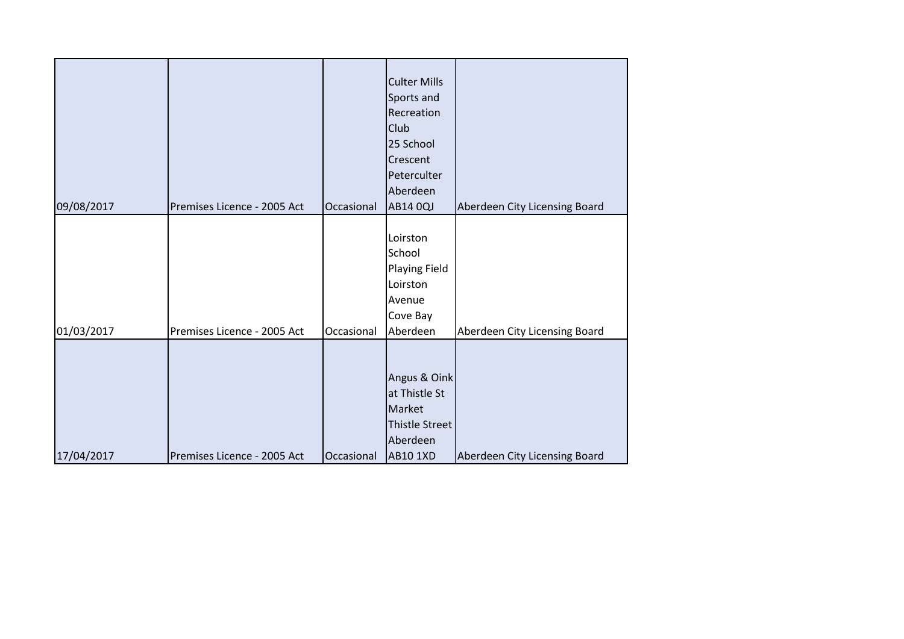| 09/08/2017 | Premises Licence - 2005 Act | Occasional | <b>Club</b><br>25 School<br>Crescent<br>Peterculter<br>Aberdeen<br>AB14 0QJ                     | Aberdeen City Licensing Board |
|------------|-----------------------------|------------|-------------------------------------------------------------------------------------------------|-------------------------------|
| 01/03/2017 | Premises Licence - 2005 Act | Occasional | Loirston<br>School<br>Playing Field<br>Loirston<br>Avenue<br>Cove Bay<br>Aberdeen               | Aberdeen City Licensing Board |
| 17/04/2017 | Premises Licence - 2005 Act | Occasional | Angus & Oink<br>at Thistle St<br>Market<br><b>Thistle Street</b><br>Aberdeen<br><b>AB10 1XD</b> | Aberdeen City Licensing Board |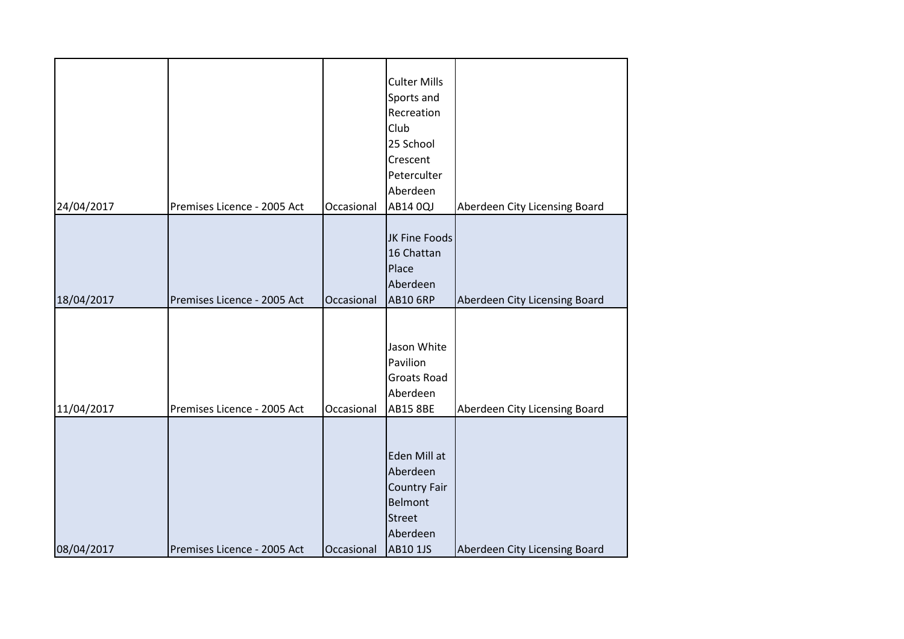| 24/04/2017 | Premises Licence - 2005 Act | Occasional | <b>Culter Mills</b><br>Sports and<br>Recreation<br>Club<br>25 School<br>Crescent<br>Peterculter<br>Aberdeen<br>AB14 0QJ | Aberdeen City Licensing Board |
|------------|-----------------------------|------------|-------------------------------------------------------------------------------------------------------------------------|-------------------------------|
| 18/04/2017 | Premises Licence - 2005 Act | Occasional | JK Fine Foods<br>16 Chattan<br>Place<br>Aberdeen<br><b>AB10 6RP</b>                                                     | Aberdeen City Licensing Board |
| 11/04/2017 | Premises Licence - 2005 Act | Occasional | Jason White<br>Pavilion<br>Groats Road<br>Aberdeen<br><b>AB15 8BE</b>                                                   | Aberdeen City Licensing Board |
| 08/04/2017 | Premises Licence - 2005 Act | Occasional | Eden Mill at<br>Aberdeen<br><b>Country Fair</b><br><b>Belmont</b><br><b>Street</b><br>Aberdeen<br><b>AB10 1JS</b>       | Aberdeen City Licensing Board |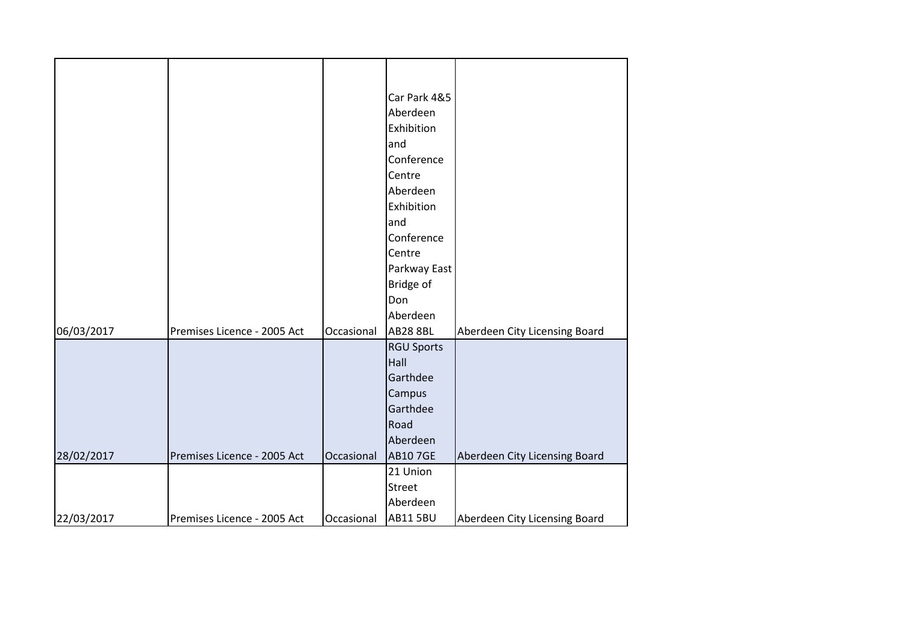|            |                             |            | Car Park 4&5      |                               |
|------------|-----------------------------|------------|-------------------|-------------------------------|
|            |                             |            | Aberdeen          |                               |
|            |                             |            | Exhibition        |                               |
|            |                             |            | and               |                               |
|            |                             |            | Conference        |                               |
|            |                             |            | Centre            |                               |
|            |                             |            | Aberdeen          |                               |
|            |                             |            | Exhibition        |                               |
|            |                             |            | and               |                               |
|            |                             |            | Conference        |                               |
|            |                             |            | Centre            |                               |
|            |                             |            | Parkway East      |                               |
|            |                             |            | Bridge of         |                               |
|            |                             |            | Don               |                               |
|            |                             |            | Aberdeen          |                               |
| 06/03/2017 | Premises Licence - 2005 Act | Occasional | <b>AB28 8BL</b>   | Aberdeen City Licensing Board |
|            |                             |            | <b>RGU Sports</b> |                               |
|            |                             |            | Hall              |                               |
|            |                             |            | Garthdee          |                               |
|            |                             |            | Campus            |                               |
|            |                             |            | Garthdee          |                               |
|            |                             |            | Road              |                               |
|            |                             |            | Aberdeen          |                               |
| 28/02/2017 | Premises Licence - 2005 Act | Occasional | <b>AB107GE</b>    | Aberdeen City Licensing Board |
|            |                             |            | 21 Union          |                               |
|            |                             |            | Street            |                               |
|            |                             |            | Aberdeen          |                               |
| 22/03/2017 | Premises Licence - 2005 Act | Occasional | <b>AB11 5BU</b>   | Aberdeen City Licensing Board |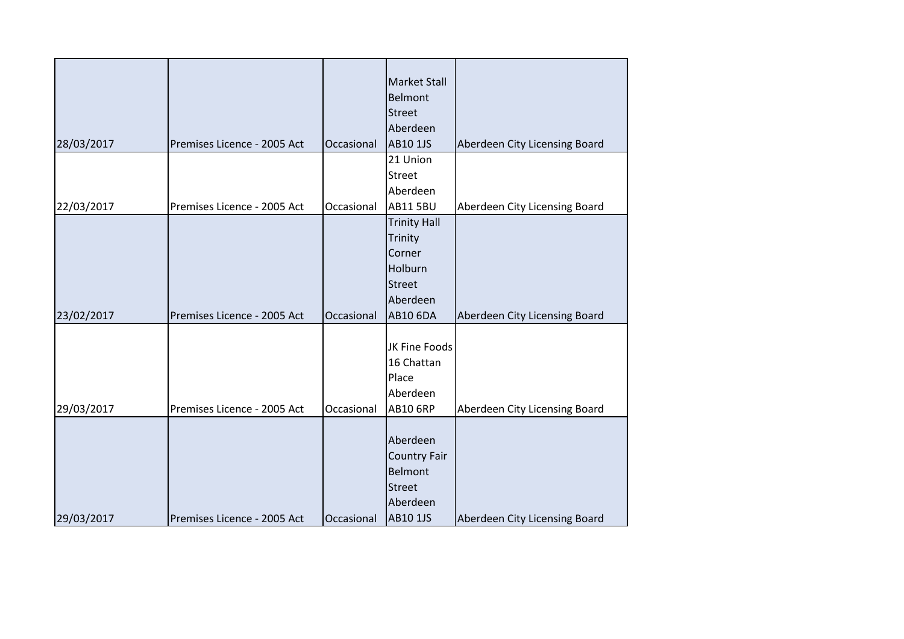|            |                             |            | <b>Market Stall</b> |                               |
|------------|-----------------------------|------------|---------------------|-------------------------------|
|            |                             |            | Belmont             |                               |
|            |                             |            | <b>Street</b>       |                               |
|            |                             |            | Aberdeen            |                               |
| 28/03/2017 | Premises Licence - 2005 Act | Occasional | AB10 1JS            | Aberdeen City Licensing Board |
|            |                             |            | 21 Union            |                               |
|            |                             |            | Street              |                               |
|            |                             |            | Aberdeen            |                               |
| 22/03/2017 | Premises Licence - 2005 Act | Occasional | <b>AB11 5BU</b>     | Aberdeen City Licensing Board |
|            |                             |            | <b>Trinity Hall</b> |                               |
|            |                             |            | Trinity             |                               |
|            |                             |            | Corner              |                               |
|            |                             |            | Holburn             |                               |
|            |                             |            | <b>Street</b>       |                               |
|            |                             |            | Aberdeen            |                               |
| 23/02/2017 | Premises Licence - 2005 Act | Occasional | <b>AB10 6DA</b>     | Aberdeen City Licensing Board |
|            |                             |            |                     |                               |
|            |                             |            | JK Fine Foods       |                               |
|            |                             |            | 16 Chattan          |                               |
|            |                             |            | Place               |                               |
|            |                             |            | Aberdeen            |                               |
| 29/03/2017 | Premises Licence - 2005 Act | Occasional | <b>AB10 6RP</b>     | Aberdeen City Licensing Board |
|            |                             |            |                     |                               |
|            |                             |            | Aberdeen            |                               |
|            |                             |            | <b>Country Fair</b> |                               |
|            |                             |            | Belmont             |                               |
|            |                             |            | <b>Street</b>       |                               |
|            |                             |            | Aberdeen            |                               |
| 29/03/2017 | Premises Licence - 2005 Act | Occasional | AB10 1JS            | Aberdeen City Licensing Board |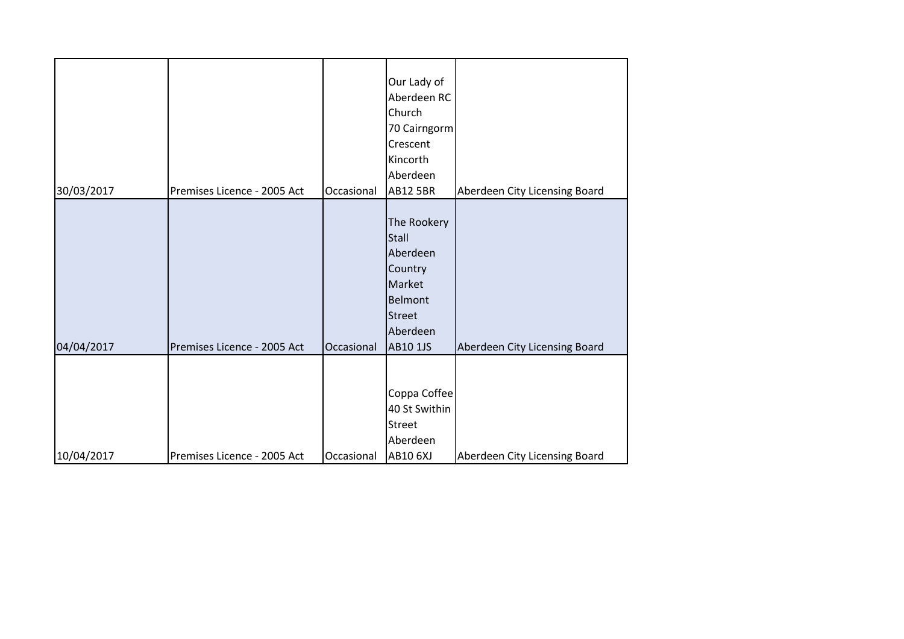|            |                             |            | Our Lady of<br>Aberdeen RC                                                                                       |                               |
|------------|-----------------------------|------------|------------------------------------------------------------------------------------------------------------------|-------------------------------|
|            |                             |            | Church                                                                                                           |                               |
|            |                             |            | 70 Cairngorm<br>Crescent                                                                                         |                               |
|            |                             |            | Kincorth                                                                                                         |                               |
|            |                             |            | Aberdeen                                                                                                         |                               |
| 30/03/2017 | Premises Licence - 2005 Act | Occasional | <b>AB12 5BR</b>                                                                                                  | Aberdeen City Licensing Board |
| 04/04/2017 | Premises Licence - 2005 Act | Occasional | The Rookery<br>Stall<br>Aberdeen<br>Country<br>Market<br><b>Belmont</b><br><b>Street</b><br>Aberdeen<br>AB10 1JS | Aberdeen City Licensing Board |
| 10/04/2017 | Premises Licence - 2005 Act | Occasional | Coppa Coffee<br>40 St Swithin<br><b>Street</b><br>Aberdeen<br>AB10 6XJ                                           | Aberdeen City Licensing Board |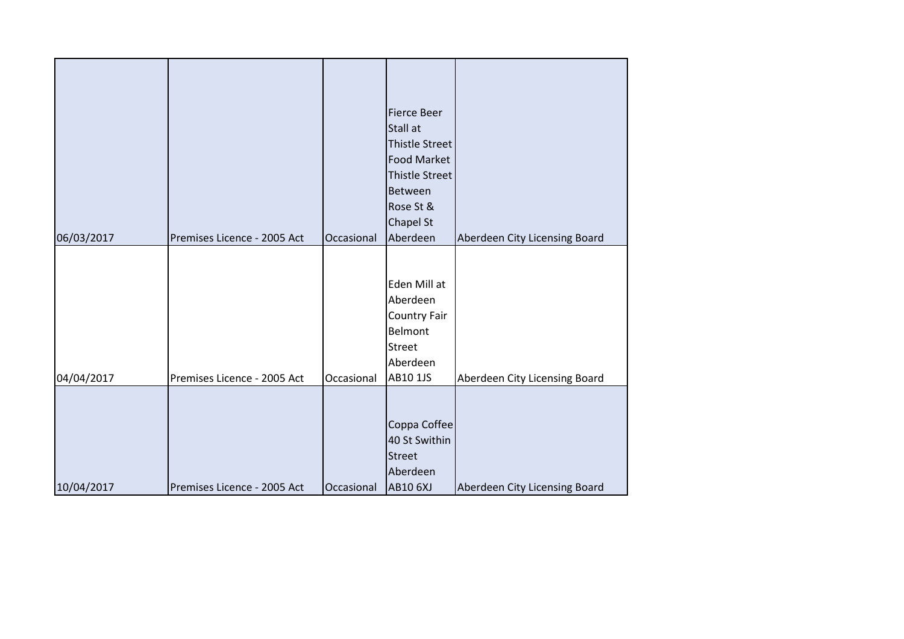|            |                             |            | <b>Fierce Beer</b>    |                               |
|------------|-----------------------------|------------|-----------------------|-------------------------------|
|            |                             |            | Stall at              |                               |
|            |                             |            | <b>Thistle Street</b> |                               |
|            |                             |            | <b>Food Market</b>    |                               |
|            |                             |            | <b>Thistle Street</b> |                               |
|            |                             |            | Between               |                               |
|            |                             |            | Rose St &             |                               |
|            |                             |            | <b>Chapel St</b>      |                               |
| 06/03/2017 | Premises Licence - 2005 Act | Occasional | Aberdeen              | Aberdeen City Licensing Board |
|            |                             |            |                       |                               |
|            |                             |            |                       |                               |
|            |                             |            | Eden Mill at          |                               |
|            |                             |            | Aberdeen              |                               |
|            |                             |            | Country Fair          |                               |
|            |                             |            | Belmont               |                               |
|            |                             |            | <b>Street</b>         |                               |
|            |                             |            | Aberdeen              |                               |
| 04/04/2017 | Premises Licence - 2005 Act | Occasional | <b>AB10 1JS</b>       | Aberdeen City Licensing Board |
|            |                             |            |                       |                               |
|            |                             |            |                       |                               |
|            |                             |            | Coppa Coffee          |                               |
|            |                             |            | 40 St Swithin         |                               |
|            |                             |            | <b>Street</b>         |                               |
|            |                             |            | Aberdeen              |                               |
| 10/04/2017 | Premises Licence - 2005 Act | Occasional | <b>AB10 6XJ</b>       | Aberdeen City Licensing Board |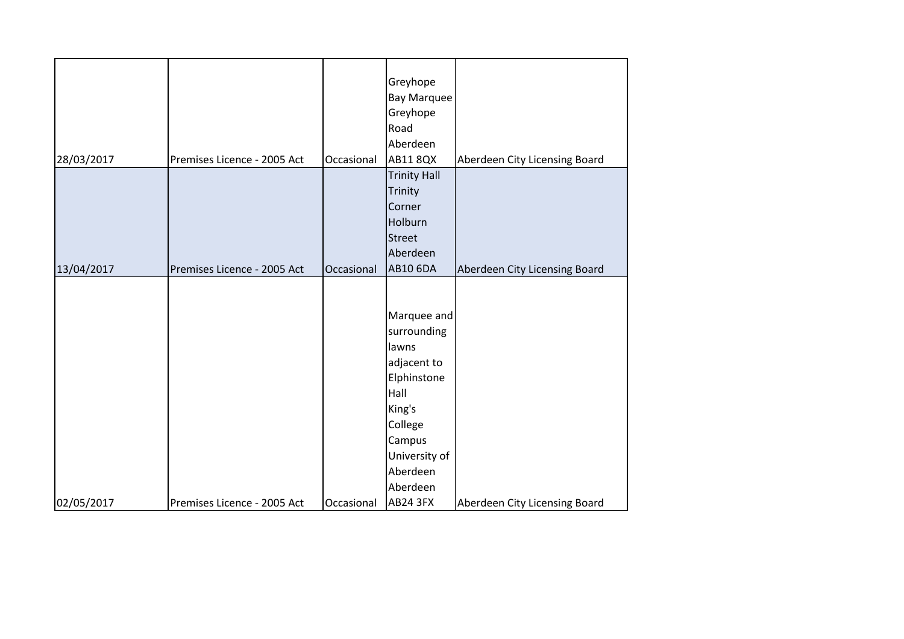| 28/03/2017 | Premises Licence - 2005 Act | Occasional | Greyhope<br><b>Bay Marquee</b><br>Greyhope<br>Road<br>Aberdeen<br><b>AB11 8QX</b>                                                                 | Aberdeen City Licensing Board |
|------------|-----------------------------|------------|---------------------------------------------------------------------------------------------------------------------------------------------------|-------------------------------|
| 13/04/2017 | Premises Licence - 2005 Act | Occasional | <b>Trinity Hall</b><br>Trinity<br>Corner<br>Holburn<br><b>Street</b><br>Aberdeen<br><b>AB10 6DA</b>                                               | Aberdeen City Licensing Board |
|            |                             |            | Marquee and<br>surrounding<br>lawns<br>adjacent to<br>Elphinstone<br>Hall<br>King's<br>College<br>Campus<br>University of<br>Aberdeen<br>Aberdeen |                               |
| 02/05/2017 | Premises Licence - 2005 Act | Occasional | <b>AB24 3FX</b>                                                                                                                                   | Aberdeen City Licensing Board |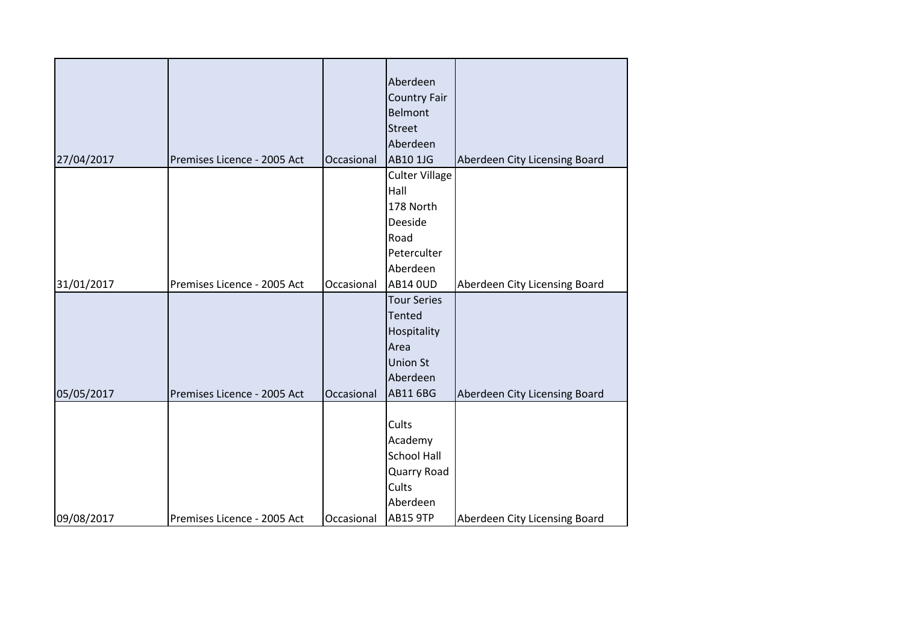|            |                             |            | Aberdeen              |                               |
|------------|-----------------------------|------------|-----------------------|-------------------------------|
|            |                             |            | <b>Country Fair</b>   |                               |
|            |                             |            | Belmont               |                               |
|            |                             |            | <b>Street</b>         |                               |
|            |                             |            | Aberdeen              |                               |
| 27/04/2017 | Premises Licence - 2005 Act | Occasional | AB10 1JG              | Aberdeen City Licensing Board |
|            |                             |            | <b>Culter Village</b> |                               |
|            |                             |            | Hall                  |                               |
|            |                             |            | 178 North             |                               |
|            |                             |            | Deeside               |                               |
|            |                             |            | Road                  |                               |
|            |                             |            | Peterculter           |                               |
|            |                             |            | Aberdeen              |                               |
| 31/01/2017 | Premises Licence - 2005 Act | Occasional | <b>AB14 OUD</b>       | Aberdeen City Licensing Board |
|            |                             |            | <b>Tour Series</b>    |                               |
|            |                             |            | <b>Tented</b>         |                               |
|            |                             |            | Hospitality           |                               |
|            |                             |            | Area                  |                               |
|            |                             |            | <b>Union St</b>       |                               |
|            |                             |            | Aberdeen              |                               |
| 05/05/2017 | Premises Licence - 2005 Act | Occasional | <b>AB11 6BG</b>       | Aberdeen City Licensing Board |
|            |                             |            |                       |                               |
|            |                             |            | Cults                 |                               |
|            |                             |            | Academy               |                               |
|            |                             |            | <b>School Hall</b>    |                               |
|            |                             |            | Quarry Road           |                               |
|            |                             |            | Cults                 |                               |
|            |                             |            | Aberdeen              |                               |
| 09/08/2017 | Premises Licence - 2005 Act | Occasional | <b>AB15 9TP</b>       | Aberdeen City Licensing Board |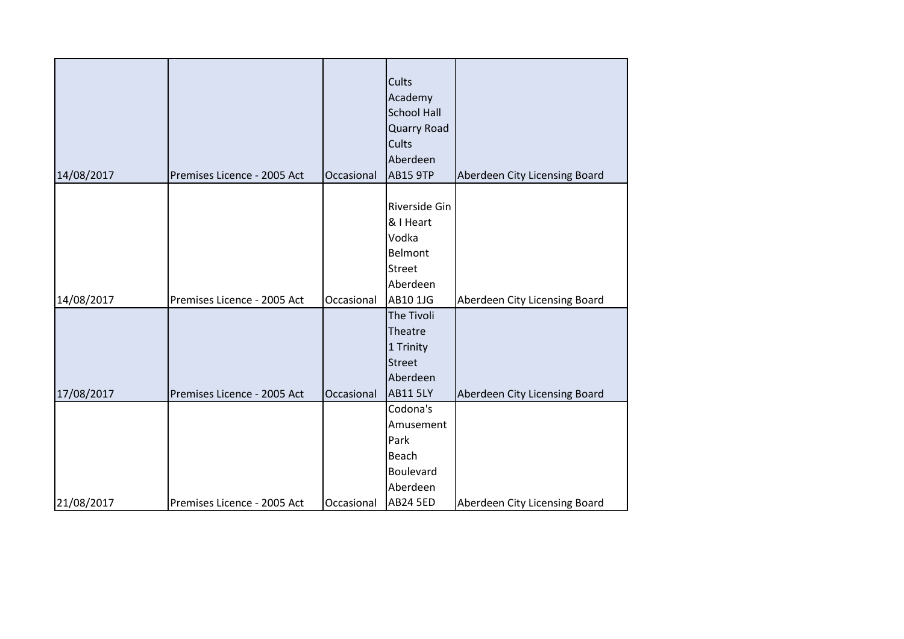| 14/08/2017 | Premises Licence - 2005 Act | Occasional | Cults<br>Academy<br><b>School Hall</b><br>Quarry Road<br>Cults<br>Aberdeen<br><b>AB15 9TP</b> | Aberdeen City Licensing Board |
|------------|-----------------------------|------------|-----------------------------------------------------------------------------------------------|-------------------------------|
|            |                             |            | Riverside Gin<br>& I Heart<br>Vodka<br><b>Belmont</b><br><b>Street</b><br>Aberdeen            |                               |
| 14/08/2017 | Premises Licence - 2005 Act | Occasional | AB10 1JG                                                                                      | Aberdeen City Licensing Board |
| 17/08/2017 | Premises Licence - 2005 Act | Occasional | The Tivoli<br>Theatre<br>1 Trinity<br><b>Street</b><br>Aberdeen<br><b>AB11 5LY</b>            | Aberdeen City Licensing Board |
|            |                             |            | Codona's<br>Amusement<br>Park<br>Beach<br>Boulevard<br>Aberdeen                               |                               |
| 21/08/2017 | Premises Licence - 2005 Act | Occasional | <b>AB24 5ED</b>                                                                               | Aberdeen City Licensing Board |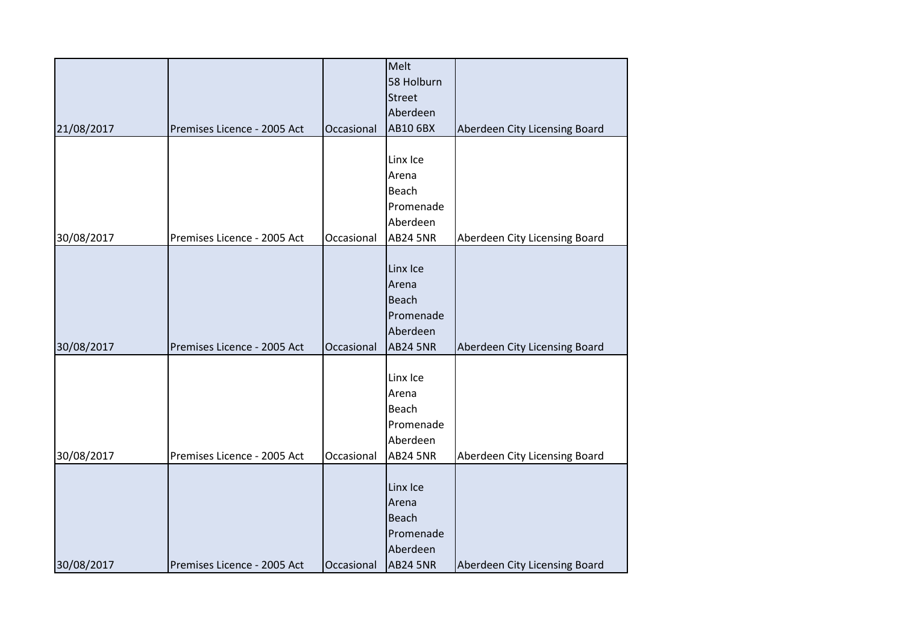|            |                             |            | Melt            |                               |
|------------|-----------------------------|------------|-----------------|-------------------------------|
|            |                             |            | 58 Holburn      |                               |
|            |                             |            | <b>Street</b>   |                               |
|            |                             |            | Aberdeen        |                               |
| 21/08/2017 | Premises Licence - 2005 Act | Occasional | <b>AB10 6BX</b> | Aberdeen City Licensing Board |
|            |                             |            |                 |                               |
|            |                             |            | Linx Ice        |                               |
|            |                             |            | Arena           |                               |
|            |                             |            | Beach           |                               |
|            |                             |            | Promenade       |                               |
|            |                             |            | Aberdeen        |                               |
| 30/08/2017 | Premises Licence - 2005 Act | Occasional | <b>AB24 5NR</b> | Aberdeen City Licensing Board |
|            |                             |            |                 |                               |
|            |                             |            | Linx Ice        |                               |
|            |                             |            | Arena           |                               |
|            |                             |            | <b>Beach</b>    |                               |
|            |                             |            | Promenade       |                               |
|            |                             |            | Aberdeen        |                               |
| 30/08/2017 | Premises Licence - 2005 Act | Occasional | <b>AB24 5NR</b> | Aberdeen City Licensing Board |
|            |                             |            |                 |                               |
|            |                             |            | Linx Ice        |                               |
|            |                             |            | Arena           |                               |
|            |                             |            | Beach           |                               |
|            |                             |            | Promenade       |                               |
|            |                             |            | Aberdeen        |                               |
| 30/08/2017 | Premises Licence - 2005 Act | Occasional | <b>AB24 5NR</b> | Aberdeen City Licensing Board |
|            |                             |            |                 |                               |
|            |                             |            | Linx Ice        |                               |
|            |                             |            | Arena           |                               |
|            |                             |            | Beach           |                               |
|            |                             |            | Promenade       |                               |
|            |                             |            | Aberdeen        |                               |
| 30/08/2017 | Premises Licence - 2005 Act | Occasional | <b>AB24 5NR</b> | Aberdeen City Licensing Board |
|            |                             |            |                 |                               |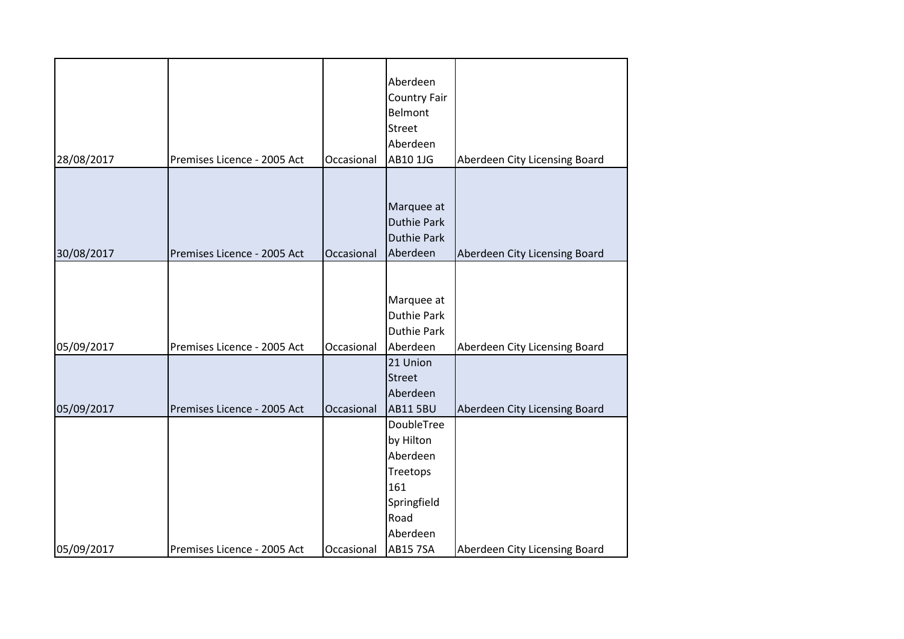|            |                             |            | Aberdeen<br><b>Country Fair</b><br><b>Belmont</b> |                               |
|------------|-----------------------------|------------|---------------------------------------------------|-------------------------------|
|            |                             |            |                                                   |                               |
|            |                             |            | <b>Street</b>                                     |                               |
|            |                             |            | Aberdeen                                          |                               |
| 28/08/2017 | Premises Licence - 2005 Act | Occasional | AB10 1JG                                          | Aberdeen City Licensing Board |
|            |                             |            |                                                   |                               |
|            |                             |            | Marquee at                                        |                               |
|            |                             |            | <b>Duthie Park</b>                                |                               |
|            |                             |            | <b>Duthie Park</b>                                |                               |
| 30/08/2017 | Premises Licence - 2005 Act | Occasional | Aberdeen                                          | Aberdeen City Licensing Board |
|            |                             |            |                                                   |                               |
|            |                             |            |                                                   |                               |
|            |                             |            | Marquee at                                        |                               |
|            |                             |            | <b>Duthie Park</b>                                |                               |
|            |                             |            | <b>Duthie Park</b>                                |                               |
| 05/09/2017 | Premises Licence - 2005 Act | Occasional | Aberdeen                                          | Aberdeen City Licensing Board |
|            |                             |            | 21 Union                                          |                               |
|            |                             |            | <b>Street</b>                                     |                               |
|            |                             |            | Aberdeen                                          |                               |
| 05/09/2017 | Premises Licence - 2005 Act | Occasional | <b>AB11 5BU</b>                                   | Aberdeen City Licensing Board |
|            |                             |            | <b>DoubleTree</b>                                 |                               |
|            |                             |            | by Hilton                                         |                               |
|            |                             |            | Aberdeen                                          |                               |
|            |                             |            | Treetops                                          |                               |
|            |                             |            | 161                                               |                               |
|            |                             |            | Springfield                                       |                               |
|            |                             |            | Road                                              |                               |
|            |                             |            | Aberdeen                                          |                               |
| 05/09/2017 | Premises Licence - 2005 Act | Occasional | <b>AB15 7SA</b>                                   | Aberdeen City Licensing Board |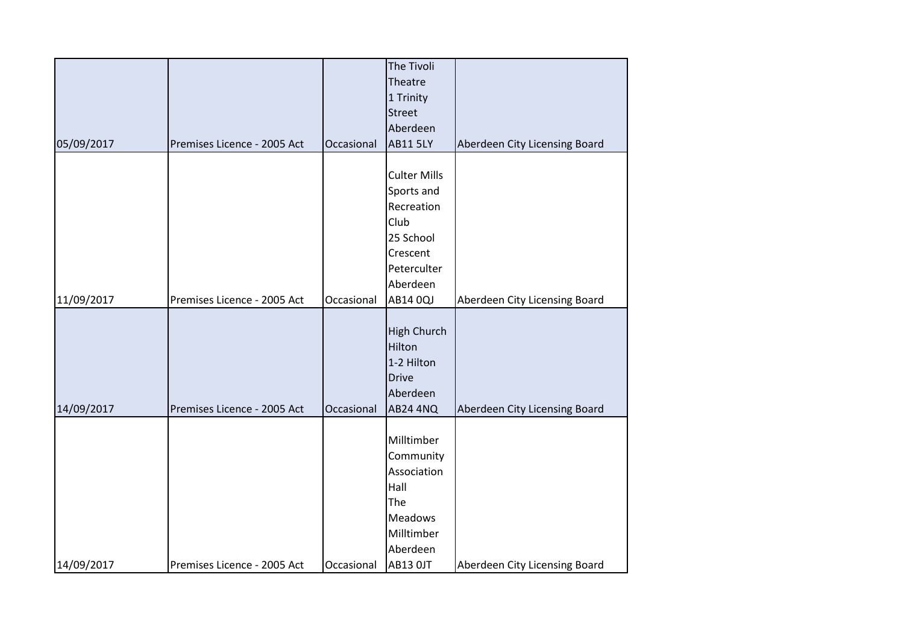|            |                             |            | The Tivoli          |                               |
|------------|-----------------------------|------------|---------------------|-------------------------------|
|            |                             |            | Theatre             |                               |
|            |                             |            | 1 Trinity           |                               |
|            |                             |            | <b>Street</b>       |                               |
|            |                             |            | Aberdeen            |                               |
| 05/09/2017 | Premises Licence - 2005 Act | Occasional | <b>AB11 5LY</b>     | Aberdeen City Licensing Board |
|            |                             |            |                     |                               |
|            |                             |            | <b>Culter Mills</b> |                               |
|            |                             |            | Sports and          |                               |
|            |                             |            | Recreation          |                               |
|            |                             |            | Club                |                               |
|            |                             |            | 25 School           |                               |
|            |                             |            | Crescent            |                               |
|            |                             |            | Peterculter         |                               |
|            |                             |            | Aberdeen            |                               |
| 11/09/2017 | Premises Licence - 2005 Act | Occasional | AB14 0QJ            | Aberdeen City Licensing Board |
|            |                             |            |                     |                               |
|            |                             |            | <b>High Church</b>  |                               |
|            |                             |            | Hilton              |                               |
|            |                             |            | 1-2 Hilton          |                               |
|            |                             |            | <b>Drive</b>        |                               |
|            |                             |            | Aberdeen            |                               |
| 14/09/2017 | Premises Licence - 2005 Act | Occasional | <b>AB24 4NQ</b>     | Aberdeen City Licensing Board |
|            |                             |            |                     |                               |
|            |                             |            | Milltimber          |                               |
|            |                             |            | Community           |                               |
|            |                             |            | Association         |                               |
|            |                             |            | Hall                |                               |
|            |                             |            | The                 |                               |
|            |                             |            | <b>Meadows</b>      |                               |
|            |                             |            | Milltimber          |                               |
|            |                             |            | Aberdeen            |                               |
| 14/09/2017 | Premises Licence - 2005 Act | Occasional | <b>AB13 OJT</b>     | Aberdeen City Licensing Board |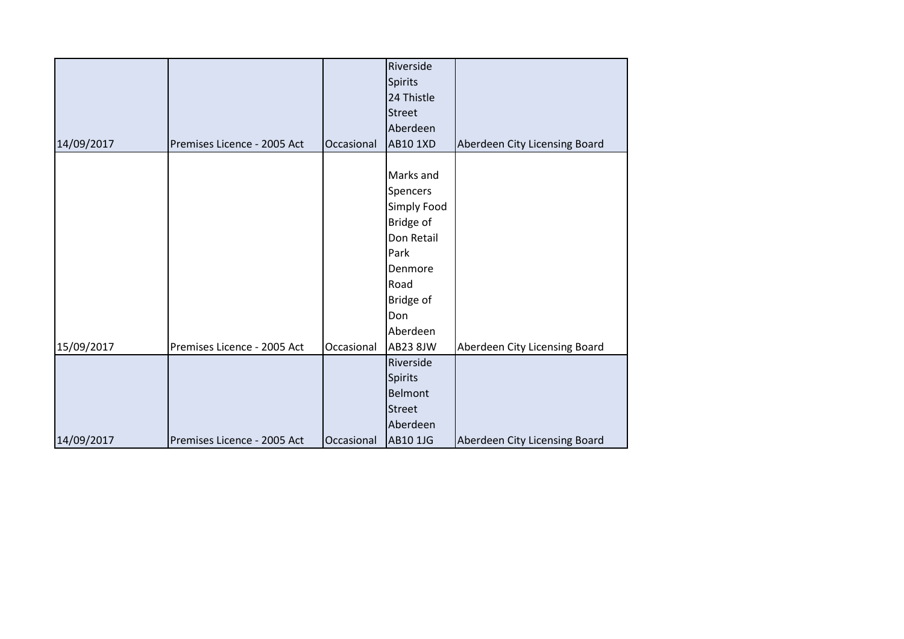|            |                             |            | Riverside       |                               |
|------------|-----------------------------|------------|-----------------|-------------------------------|
|            |                             |            | <b>Spirits</b>  |                               |
|            |                             |            | 24 Thistle      |                               |
|            |                             |            | <b>Street</b>   |                               |
|            |                             |            | Aberdeen        |                               |
| 14/09/2017 | Premises Licence - 2005 Act | Occasional | <b>AB10 1XD</b> | Aberdeen City Licensing Board |
|            |                             |            |                 |                               |
|            |                             |            | Marks and       |                               |
|            |                             |            | Spencers        |                               |
|            |                             |            | Simply Food     |                               |
|            |                             |            | Bridge of       |                               |
|            |                             |            | Don Retail      |                               |
|            |                             |            | Park            |                               |
|            |                             |            | Denmore         |                               |
|            |                             |            | Road            |                               |
|            |                             |            | Bridge of       |                               |
|            |                             |            | Don             |                               |
|            |                             |            | Aberdeen        |                               |
| 15/09/2017 | Premises Licence - 2005 Act | Occasional | AB23 8JW        | Aberdeen City Licensing Board |
|            |                             |            | Riverside       |                               |
|            |                             |            | <b>Spirits</b>  |                               |
|            |                             |            | Belmont         |                               |
|            |                             |            | <b>Street</b>   |                               |
|            |                             |            | Aberdeen        |                               |
| 14/09/2017 | Premises Licence - 2005 Act | Occasional | <b>AB10 1JG</b> | Aberdeen City Licensing Board |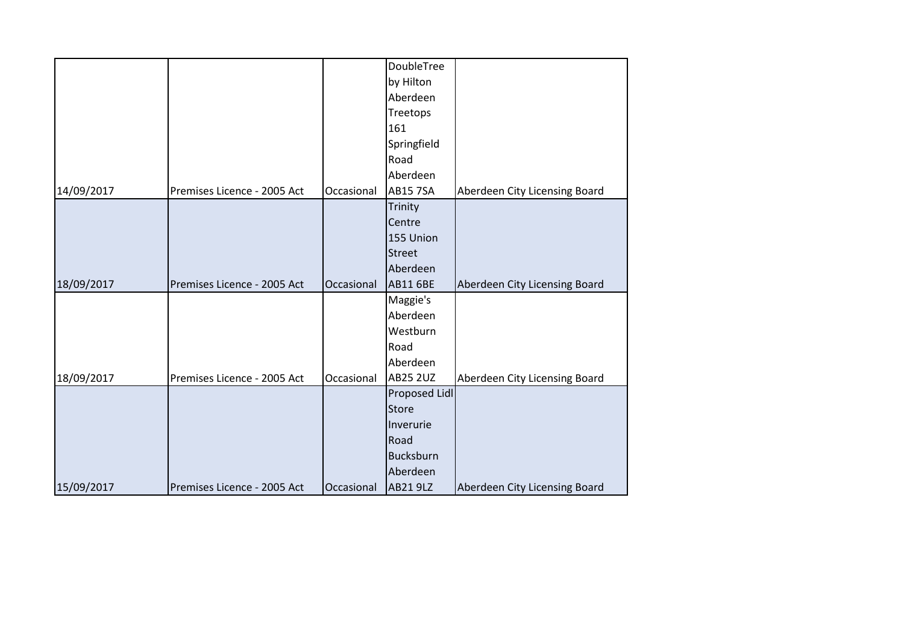|            |                             |            | DoubleTree       |                               |
|------------|-----------------------------|------------|------------------|-------------------------------|
|            |                             |            | by Hilton        |                               |
|            |                             |            | Aberdeen         |                               |
|            |                             |            | Treetops         |                               |
|            |                             |            | 161              |                               |
|            |                             |            | Springfield      |                               |
|            |                             |            | Road             |                               |
|            |                             |            | Aberdeen         |                               |
| 14/09/2017 | Premises Licence - 2005 Act | Occasional | <b>AB15 7SA</b>  | Aberdeen City Licensing Board |
|            |                             |            | Trinity          |                               |
|            |                             |            | Centre           |                               |
|            |                             |            | 155 Union        |                               |
|            |                             |            | <b>Street</b>    |                               |
|            |                             |            | Aberdeen         |                               |
| 18/09/2017 | Premises Licence - 2005 Act | Occasional | <b>AB11 6BE</b>  | Aberdeen City Licensing Board |
|            |                             |            | Maggie's         |                               |
|            |                             |            | Aberdeen         |                               |
|            |                             |            | Westburn         |                               |
|            |                             |            | Road             |                               |
|            |                             |            | Aberdeen         |                               |
| 18/09/2017 |                             |            |                  |                               |
|            | Premises Licence - 2005 Act | Occasional | <b>AB25 2UZ</b>  | Aberdeen City Licensing Board |
|            |                             |            | Proposed Lidl    |                               |
|            |                             |            | <b>Store</b>     |                               |
|            |                             |            | Inverurie        |                               |
|            |                             |            | Road             |                               |
|            |                             |            | <b>Bucksburn</b> |                               |
|            |                             |            | Aberdeen         |                               |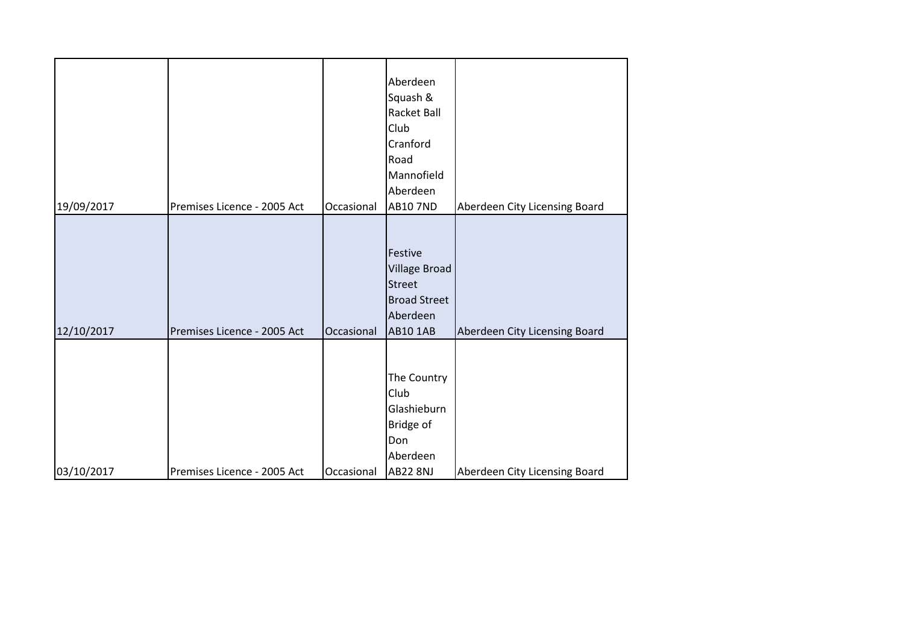| 19/09/2017 | Premises Licence - 2005 Act | Occasional | Aberdeen<br>Squash &<br>Racket Ball<br>Club<br>Cranford<br>Road<br>Mannofield<br>Aberdeen<br><b>AB10 7ND</b> | Aberdeen City Licensing Board |
|------------|-----------------------------|------------|--------------------------------------------------------------------------------------------------------------|-------------------------------|
|            |                             |            |                                                                                                              |                               |
| 12/10/2017 | Premises Licence - 2005 Act | Occasional | Festive<br><b>Village Broad</b><br><b>Street</b><br><b>Broad Street</b><br>Aberdeen<br><b>AB10 1AB</b>       | Aberdeen City Licensing Board |
| 03/10/2017 | Premises Licence - 2005 Act | Occasional | The Country<br>Club<br>Glashieburn<br>Bridge of<br>Don<br>Aberdeen<br><b>AB22 8NJ</b>                        | Aberdeen City Licensing Board |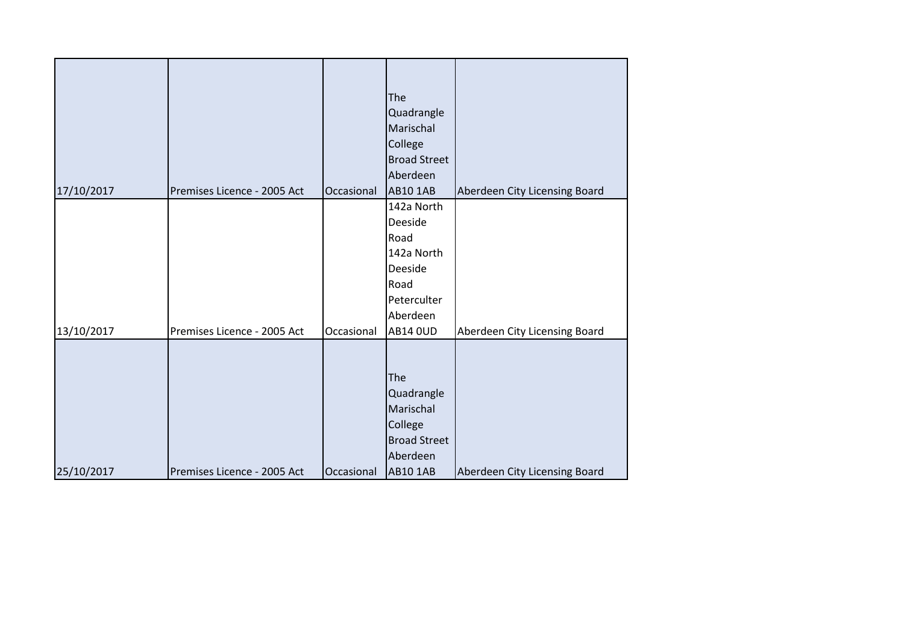| 17/10/2017 | Premises Licence - 2005 Act | Occasional | The<br>Quadrangle<br>Marischal<br>College<br><b>Broad Street</b><br>Aberdeen<br><b>AB10 1AB</b> | Aberdeen City Licensing Board |
|------------|-----------------------------|------------|-------------------------------------------------------------------------------------------------|-------------------------------|
|            |                             |            | 142a North                                                                                      |                               |
|            |                             |            | Deeside                                                                                         |                               |
|            |                             |            | Road                                                                                            |                               |
|            |                             |            | 142a North                                                                                      |                               |
|            |                             |            | Deeside                                                                                         |                               |
|            |                             |            | Road                                                                                            |                               |
|            |                             |            | Peterculter                                                                                     |                               |
|            |                             |            | Aberdeen                                                                                        |                               |
| 13/10/2017 | Premises Licence - 2005 Act | Occasional | <b>AB14 OUD</b>                                                                                 | Aberdeen City Licensing Board |
| 25/10/2017 | Premises Licence - 2005 Act | Occasional | The<br>Quadrangle<br>Marischal<br>College<br><b>Broad Street</b><br>Aberdeen<br><b>AB10 1AB</b> | Aberdeen City Licensing Board |
|            |                             |            |                                                                                                 |                               |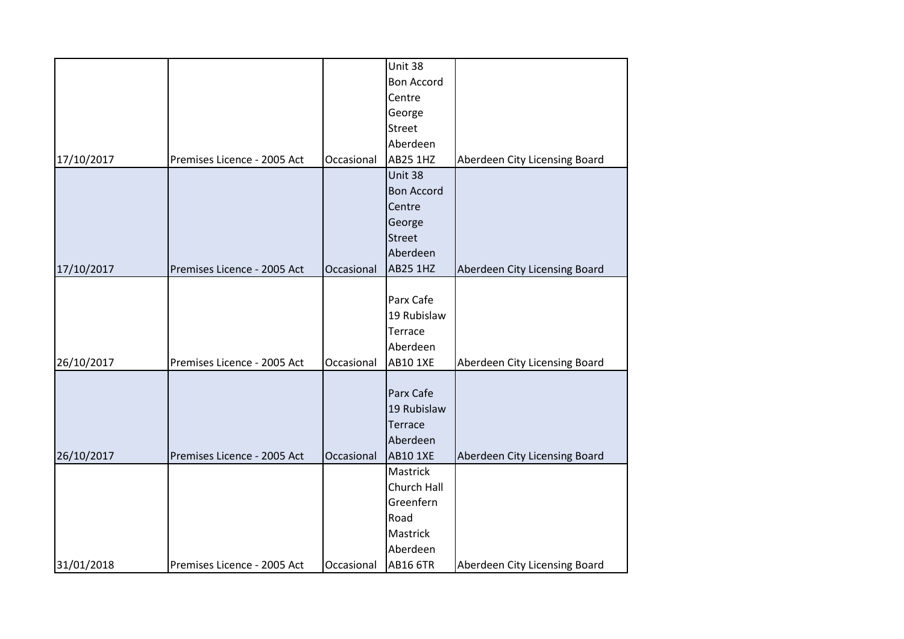|            |                             |            | Unit 38           |                               |
|------------|-----------------------------|------------|-------------------|-------------------------------|
|            |                             |            | <b>Bon Accord</b> |                               |
|            |                             |            | Centre            |                               |
|            |                             |            | George            |                               |
|            |                             |            | <b>Street</b>     |                               |
|            |                             |            | Aberdeen          |                               |
| 17/10/2017 | Premises Licence - 2005 Act | Occasional | <b>AB25 1HZ</b>   | Aberdeen City Licensing Board |
|            |                             |            | Unit 38           |                               |
|            |                             |            | <b>Bon Accord</b> |                               |
|            |                             |            | Centre            |                               |
|            |                             |            | George            |                               |
|            |                             |            | <b>Street</b>     |                               |
|            |                             |            | Aberdeen          |                               |
| 17/10/2017 | Premises Licence - 2005 Act | Occasional | <b>AB25 1HZ</b>   | Aberdeen City Licensing Board |
|            |                             |            |                   |                               |
|            |                             |            | Parx Cafe         |                               |
|            |                             |            | 19 Rubislaw       |                               |
|            |                             |            | Terrace           |                               |
|            |                             |            | Aberdeen          |                               |
| 26/10/2017 | Premises Licence - 2005 Act | Occasional | <b>AB10 1XE</b>   | Aberdeen City Licensing Board |
|            |                             |            |                   |                               |
|            |                             |            | Parx Cafe         |                               |
|            |                             |            | 19 Rubislaw       |                               |
|            |                             |            | <b>Terrace</b>    |                               |
|            |                             |            | Aberdeen          |                               |
| 26/10/2017 | Premises Licence - 2005 Act | Occasional | <b>AB10 1XE</b>   | Aberdeen City Licensing Board |
|            |                             |            | Mastrick          |                               |
|            |                             |            | Church Hall       |                               |
|            |                             |            | Greenfern         |                               |
|            |                             |            | Road              |                               |
|            |                             |            | Mastrick          |                               |
|            |                             |            | Aberdeen          |                               |
| 31/01/2018 | Premises Licence - 2005 Act | Occasional | <b>AB16 6TR</b>   | Aberdeen City Licensing Board |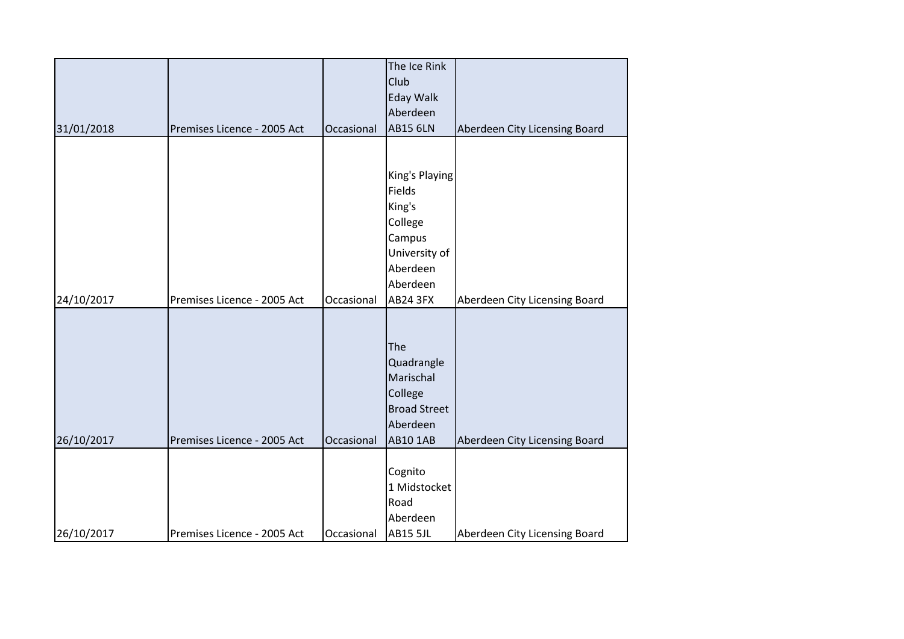|            |                             |            | The Ice Rink        |                               |
|------------|-----------------------------|------------|---------------------|-------------------------------|
|            |                             |            | Club                |                               |
|            |                             |            | <b>Eday Walk</b>    |                               |
|            |                             |            | Aberdeen            |                               |
| 31/01/2018 | Premises Licence - 2005 Act | Occasional | <b>AB15 6LN</b>     | Aberdeen City Licensing Board |
|            |                             |            |                     |                               |
|            |                             |            |                     |                               |
|            |                             |            | King's Playing      |                               |
|            |                             |            | Fields              |                               |
|            |                             |            | King's              |                               |
|            |                             |            | College             |                               |
|            |                             |            | Campus              |                               |
|            |                             |            | University of       |                               |
|            |                             |            | Aberdeen            |                               |
|            |                             |            | Aberdeen            |                               |
|            |                             |            | <b>AB24 3FX</b>     |                               |
| 24/10/2017 | Premises Licence - 2005 Act | Occasional |                     | Aberdeen City Licensing Board |
|            |                             |            |                     |                               |
|            |                             |            |                     |                               |
|            |                             |            | The                 |                               |
|            |                             |            | Quadrangle          |                               |
|            |                             |            | Marischal           |                               |
|            |                             |            | College             |                               |
|            |                             |            | <b>Broad Street</b> |                               |
|            |                             |            | Aberdeen            |                               |
| 26/10/2017 | Premises Licence - 2005 Act | Occasional | <b>AB10 1AB</b>     | Aberdeen City Licensing Board |
|            |                             |            |                     |                               |
|            |                             |            | Cognito             |                               |
|            |                             |            | 1 Midstocket        |                               |
|            |                             |            | Road                |                               |
|            |                             |            | Aberdeen            |                               |
| 26/10/2017 | Premises Licence - 2005 Act | Occasional | <b>AB15 5JL</b>     | Aberdeen City Licensing Board |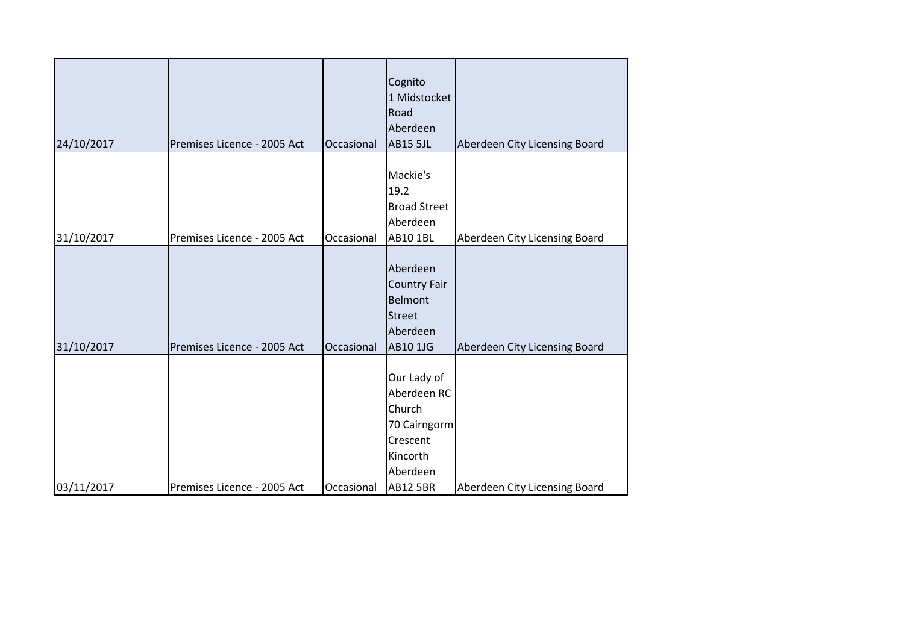|            |                             |            | Cognito<br>1 Midstocket<br>Road                                                                             |                               |
|------------|-----------------------------|------------|-------------------------------------------------------------------------------------------------------------|-------------------------------|
| 24/10/2017 | Premises Licence - 2005 Act | Occasional | Aberdeen<br><b>AB15 5JL</b>                                                                                 | Aberdeen City Licensing Board |
| 31/10/2017 | Premises Licence - 2005 Act | Occasional | Mackie's<br>19.2<br><b>Broad Street</b><br>Aberdeen<br><b>AB10 1BL</b>                                      | Aberdeen City Licensing Board |
| 31/10/2017 | Premises Licence - 2005 Act | Occasional | Aberdeen<br><b>Country Fair</b><br>Belmont<br><b>Street</b><br>Aberdeen<br>AB10 1JG                         | Aberdeen City Licensing Board |
| 03/11/2017 | Premises Licence - 2005 Act | Occasional | Our Lady of<br>Aberdeen RC<br>Church<br>70 Cairngorm<br>Crescent<br>Kincorth<br>Aberdeen<br><b>AB12 5BR</b> | Aberdeen City Licensing Board |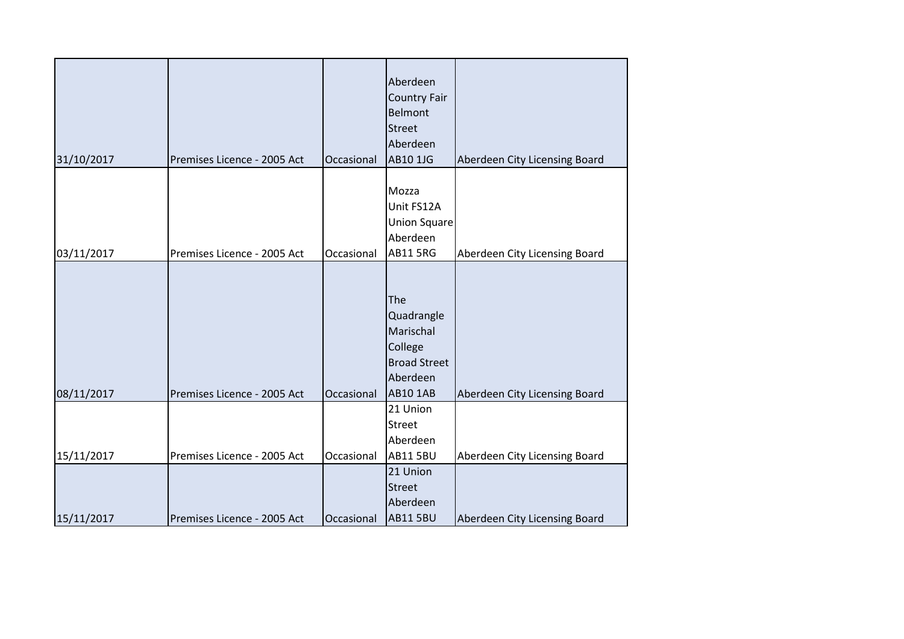| 31/10/2017 | Premises Licence - 2005 Act | Occasional | Aberdeen<br><b>Country Fair</b><br>Belmont<br><b>Street</b><br>Aberdeen<br>AB10 1JG             | Aberdeen City Licensing Board |
|------------|-----------------------------|------------|-------------------------------------------------------------------------------------------------|-------------------------------|
| 03/11/2017 | Premises Licence - 2005 Act | Occasional | Mozza<br>Unit FS12A<br><b>Union Square</b><br>Aberdeen<br><b>AB11 5RG</b>                       | Aberdeen City Licensing Board |
| 08/11/2017 | Premises Licence - 2005 Act | Occasional | The<br>Quadrangle<br>Marischal<br>College<br><b>Broad Street</b><br>Aberdeen<br><b>AB10 1AB</b> | Aberdeen City Licensing Board |
| 15/11/2017 | Premises Licence - 2005 Act | Occasional | 21 Union<br><b>Street</b><br>Aberdeen<br><b>AB11 5BU</b>                                        | Aberdeen City Licensing Board |
| 15/11/2017 | Premises Licence - 2005 Act | Occasional | 21 Union<br><b>Street</b><br>Aberdeen<br><b>AB11 5BU</b>                                        | Aberdeen City Licensing Board |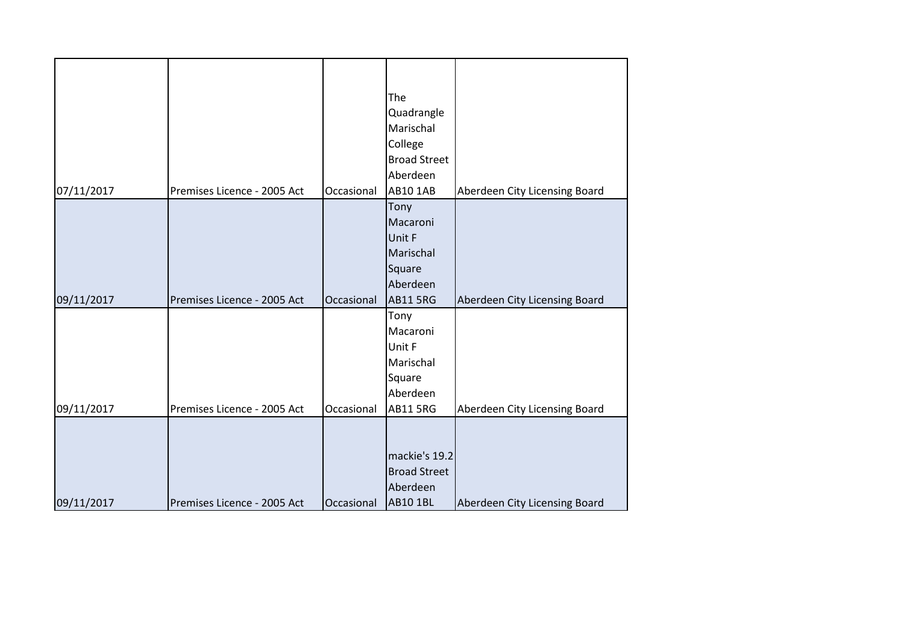| 07/11/2017 | Premises Licence - 2005 Act | Occasional | The<br>Quadrangle<br>Marischal<br>College<br><b>Broad Street</b><br>Aberdeen<br><b>AB10 1AB</b> | Aberdeen City Licensing Board |
|------------|-----------------------------|------------|-------------------------------------------------------------------------------------------------|-------------------------------|
|            |                             |            | Tony                                                                                            |                               |
|            |                             |            | Macaroni                                                                                        |                               |
|            |                             |            | Unit F                                                                                          |                               |
|            |                             |            | Marischal                                                                                       |                               |
|            |                             |            | Square                                                                                          |                               |
|            |                             |            | Aberdeen                                                                                        |                               |
| 09/11/2017 | Premises Licence - 2005 Act | Occasional | <b>AB11 5RG</b>                                                                                 | Aberdeen City Licensing Board |
|            |                             |            | Tony                                                                                            |                               |
|            |                             |            | Macaroni                                                                                        |                               |
|            |                             |            | Unit F                                                                                          |                               |
|            |                             |            | Marischal                                                                                       |                               |
|            |                             |            | Square                                                                                          |                               |
|            |                             |            | Aberdeen                                                                                        |                               |
| 09/11/2017 | Premises Licence - 2005 Act | Occasional | <b>AB11 5RG</b>                                                                                 | Aberdeen City Licensing Board |
|            |                             |            |                                                                                                 |                               |
|            |                             |            | mackie's 19.2                                                                                   |                               |
|            |                             |            | <b>Broad Street</b>                                                                             |                               |
|            |                             |            | Aberdeen                                                                                        |                               |
| 09/11/2017 | Premises Licence - 2005 Act | Occasional | <b>AB10 1BL</b>                                                                                 | Aberdeen City Licensing Board |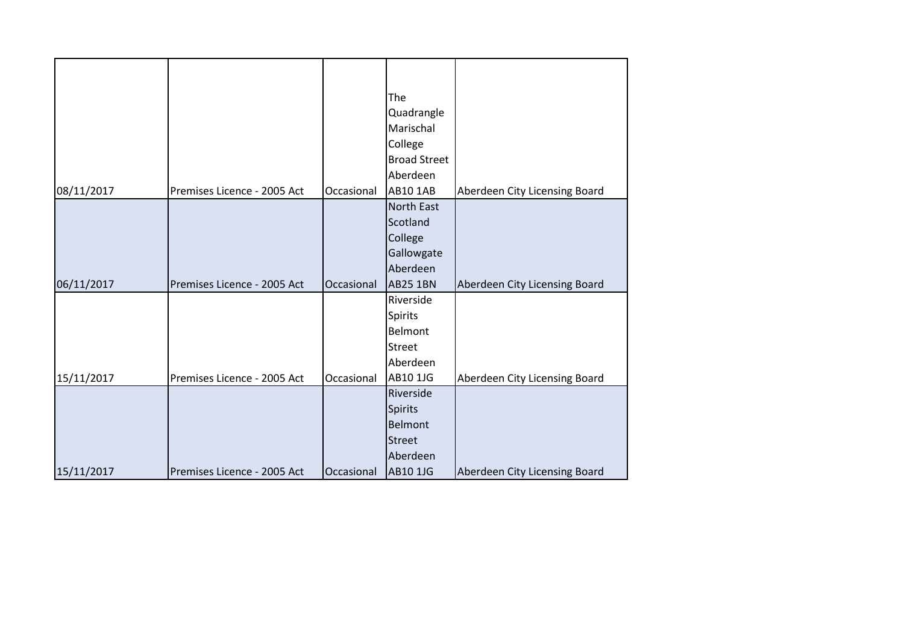| 08/11/2017 | Premises Licence - 2005 Act | Occasional | The<br>Quadrangle<br>Marischal<br>College<br><b>Broad Street</b><br>Aberdeen<br><b>AB10 1AB</b> | Aberdeen City Licensing Board |
|------------|-----------------------------|------------|-------------------------------------------------------------------------------------------------|-------------------------------|
|            |                             |            | North East                                                                                      |                               |
|            |                             |            | Scotland                                                                                        |                               |
|            |                             |            | College                                                                                         |                               |
|            |                             |            | Gallowgate                                                                                      |                               |
|            |                             |            | Aberdeen                                                                                        |                               |
| 06/11/2017 | Premises Licence - 2005 Act | Occasional | <b>AB25 1BN</b>                                                                                 | Aberdeen City Licensing Board |
|            |                             |            | Riverside                                                                                       |                               |
|            |                             |            | Spirits                                                                                         |                               |
|            |                             |            | Belmont                                                                                         |                               |
|            |                             |            | Street                                                                                          |                               |
|            |                             |            | Aberdeen                                                                                        |                               |
| 15/11/2017 | Premises Licence - 2005 Act | Occasional | AB10 1JG                                                                                        | Aberdeen City Licensing Board |
|            |                             |            | Riverside                                                                                       |                               |
|            |                             |            | <b>Spirits</b>                                                                                  |                               |
|            |                             |            | <b>Belmont</b>                                                                                  |                               |
|            |                             |            | <b>Street</b>                                                                                   |                               |
|            |                             |            | Aberdeen                                                                                        |                               |
| 15/11/2017 | Premises Licence - 2005 Act | Occasional | <b>AB10 1JG</b>                                                                                 | Aberdeen City Licensing Board |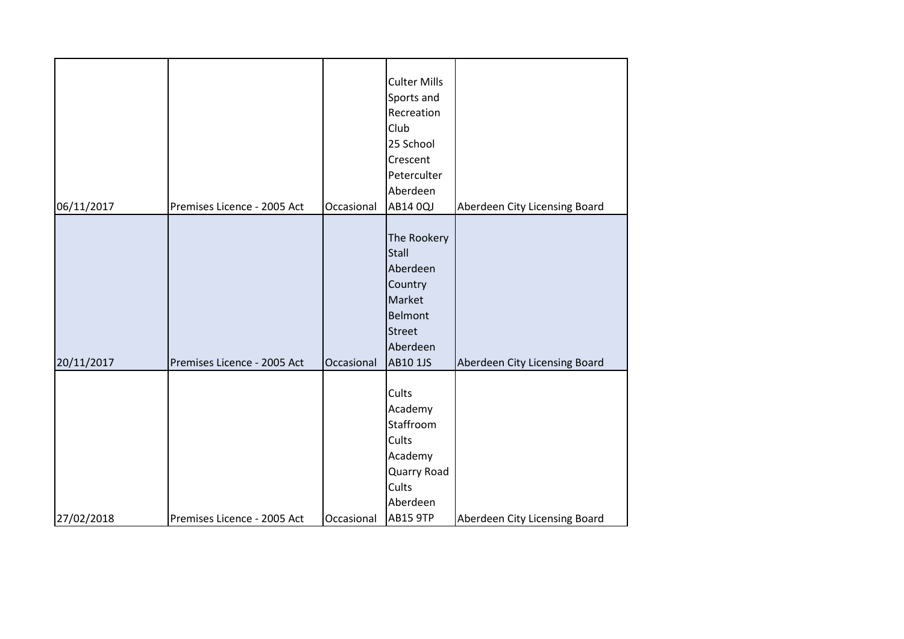| 06/11/2017 | Premises Licence - 2005 Act | Occasional | <b>Culter Mills</b><br>Sports and<br>Recreation<br>Club<br>25 School<br>Crescent<br>Peterculter<br>Aberdeen<br>AB14 0QJ | Aberdeen City Licensing Board |
|------------|-----------------------------|------------|-------------------------------------------------------------------------------------------------------------------------|-------------------------------|
|            |                             |            |                                                                                                                         |                               |
|            |                             |            | The Rookery                                                                                                             |                               |
|            |                             |            | <b>Stall</b>                                                                                                            |                               |
|            |                             |            | Aberdeen                                                                                                                |                               |
|            |                             |            | Country                                                                                                                 |                               |
|            |                             |            | Market<br>Belmont                                                                                                       |                               |
|            |                             |            | <b>Street</b>                                                                                                           |                               |
|            |                             |            | Aberdeen                                                                                                                |                               |
| 20/11/2017 | Premises Licence - 2005 Act | Occasional | <b>AB10 1JS</b>                                                                                                         | Aberdeen City Licensing Board |
|            |                             |            |                                                                                                                         |                               |
|            |                             |            | Cults                                                                                                                   |                               |
|            |                             |            | Academy                                                                                                                 |                               |
|            |                             |            | Staffroom                                                                                                               |                               |
|            |                             |            | Cults                                                                                                                   |                               |
|            |                             |            | Academy                                                                                                                 |                               |
|            |                             |            | Quarry Road<br>Cults                                                                                                    |                               |
|            |                             |            | Aberdeen                                                                                                                |                               |
| 27/02/2018 | Premises Licence - 2005 Act | Occasional | <b>AB15 9TP</b>                                                                                                         | Aberdeen City Licensing Board |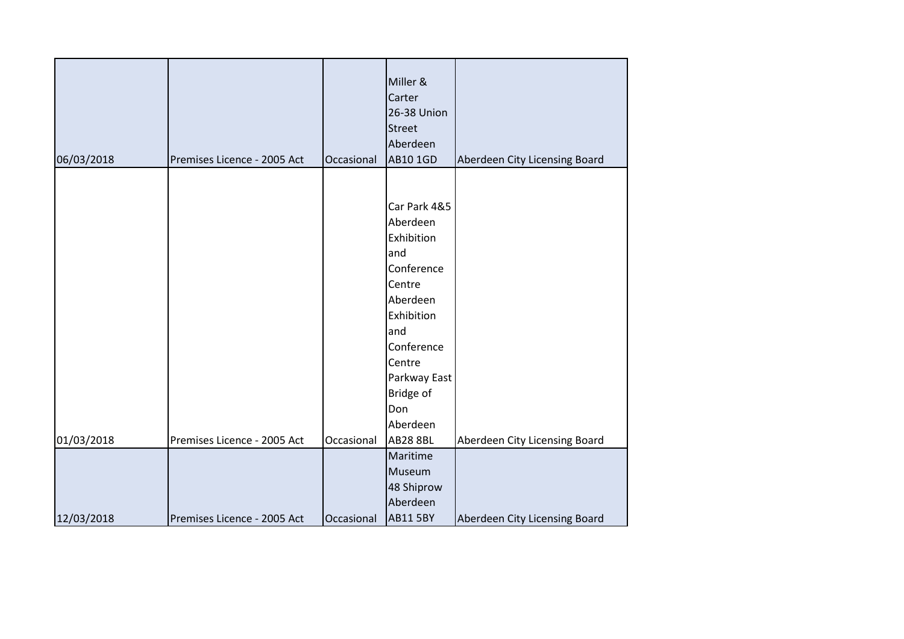| 06/03/2018 | Premises Licence - 2005 Act | Occasional | Miller &<br>Carter<br>26-38 Union<br><b>Street</b><br>Aberdeen<br>AB10 1GD | Aberdeen City Licensing Board |
|------------|-----------------------------|------------|----------------------------------------------------------------------------|-------------------------------|
|            |                             |            | Car Park 4&5<br>Aberdeen                                                   |                               |
|            |                             |            | Exhibition<br>and<br>Conference                                            |                               |
|            |                             |            | Centre<br>Aberdeen<br>Exhibition                                           |                               |
|            |                             |            | and<br>Conference                                                          |                               |
|            |                             |            | Centre<br>Parkway East<br>Bridge of                                        |                               |
|            |                             |            | Don<br>Aberdeen                                                            |                               |
| 01/03/2018 | Premises Licence - 2005 Act | Occasional | <b>AB28 8BL</b>                                                            | Aberdeen City Licensing Board |
|            |                             |            | Maritime                                                                   |                               |
|            |                             |            | Museum                                                                     |                               |
|            |                             |            | 48 Shiprow                                                                 |                               |
|            |                             |            | Aberdeen                                                                   |                               |
| 12/03/2018 | Premises Licence - 2005 Act | Occasional | <b>AB11 5BY</b>                                                            | Aberdeen City Licensing Board |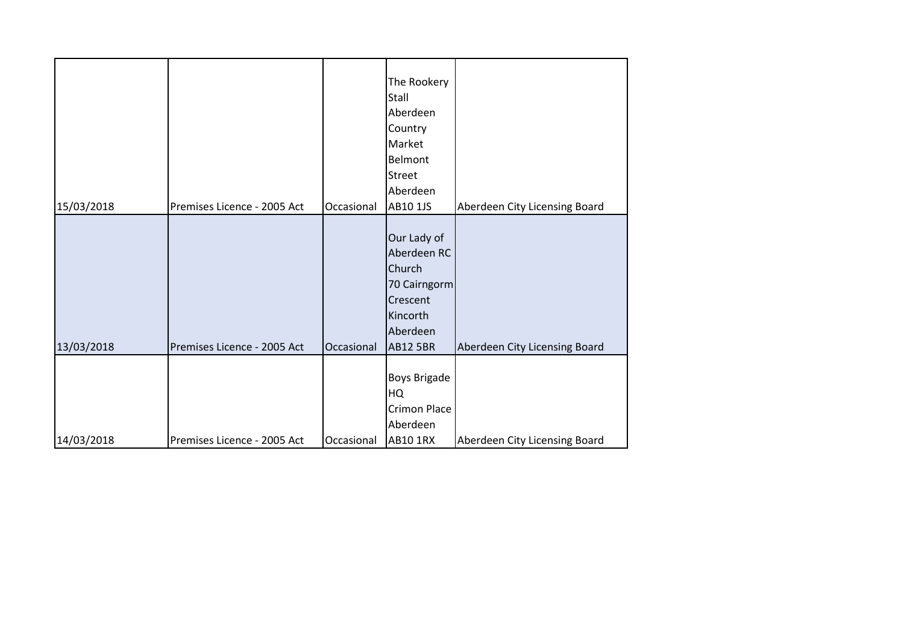| 15/03/2018 | Premises Licence - 2005 Act | Occasional | The Rookery<br>Stall<br>Aberdeen<br>Country<br>Market<br>Belmont<br><b>Street</b><br>Aberdeen<br>AB10 1JS   | Aberdeen City Licensing Board |
|------------|-----------------------------|------------|-------------------------------------------------------------------------------------------------------------|-------------------------------|
|            |                             |            |                                                                                                             |                               |
| 13/03/2018 | Premises Licence - 2005 Act | Occasional | Our Lady of<br>Aberdeen RC<br>Church<br>70 Cairngorm<br>Crescent<br>Kincorth<br>Aberdeen<br><b>AB12 5BR</b> | Aberdeen City Licensing Board |
|            |                             |            |                                                                                                             |                               |
|            |                             |            | Boys Brigade<br>HQ                                                                                          |                               |
|            |                             |            | Crimon Place                                                                                                |                               |
|            |                             |            | Aberdeen                                                                                                    |                               |
| 14/03/2018 | Premises Licence - 2005 Act | Occasional | AB10 1RX                                                                                                    | Aberdeen City Licensing Board |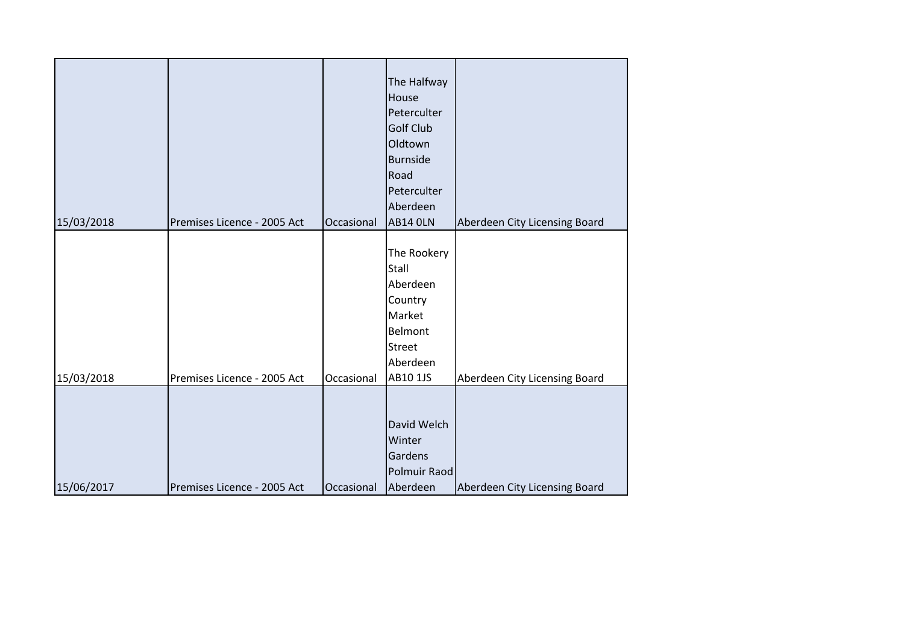| 15/03/2018 | Premises Licence - 2005 Act | Occasional | The Halfway<br>House<br>Peterculter<br><b>Golf Club</b><br>Oldtown<br><b>Burnside</b><br>Road<br>Peterculter<br>Aberdeen<br><b>AB14 OLN</b> | Aberdeen City Licensing Board |
|------------|-----------------------------|------------|---------------------------------------------------------------------------------------------------------------------------------------------|-------------------------------|
| 15/03/2018 | Premises Licence - 2005 Act | Occasional | The Rookery<br>Stall<br>Aberdeen<br>Country<br>Market<br>Belmont<br><b>Street</b><br>Aberdeen<br>AB10 1JS                                   | Aberdeen City Licensing Board |
| 15/06/2017 | Premises Licence - 2005 Act | Occasional | David Welch<br>Winter<br>Gardens<br>Polmuir Raod<br>Aberdeen                                                                                | Aberdeen City Licensing Board |